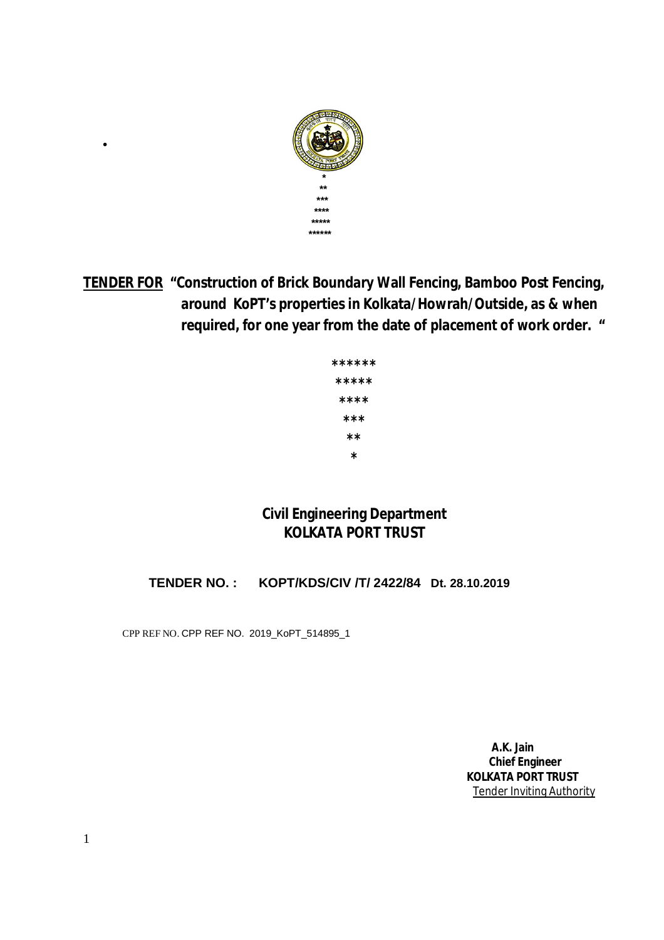

**TENDER FOR "Construction of Brick Boundary Wall Fencing, Bamboo Post Fencing, around KoPT's properties in Kolkata/Howrah/Outside, as & when required, for one year from the date of placement of work order. "**

| ****** |
|--------|
| *****  |
| ****   |
| ***    |
| **     |
| *      |

# **Civil Engineering Department KOLKATA PORT TRUST**

 **TENDER NO. : KOPT/KDS/CIV /T/ 2422/84 Dt. 28.10.2019** 

CPP REF NO. CPP REF NO. 2019\_KoPT\_514895\_1

 $\bullet$  and  $\bullet$  and  $\bullet$  and  $\bullet$  and  $\bullet$  and  $\bullet$  and  $\bullet$ 

 **A.K. Jain Chief Engineer KOLKATA PORT TRUST** Tender Inviting Authority

1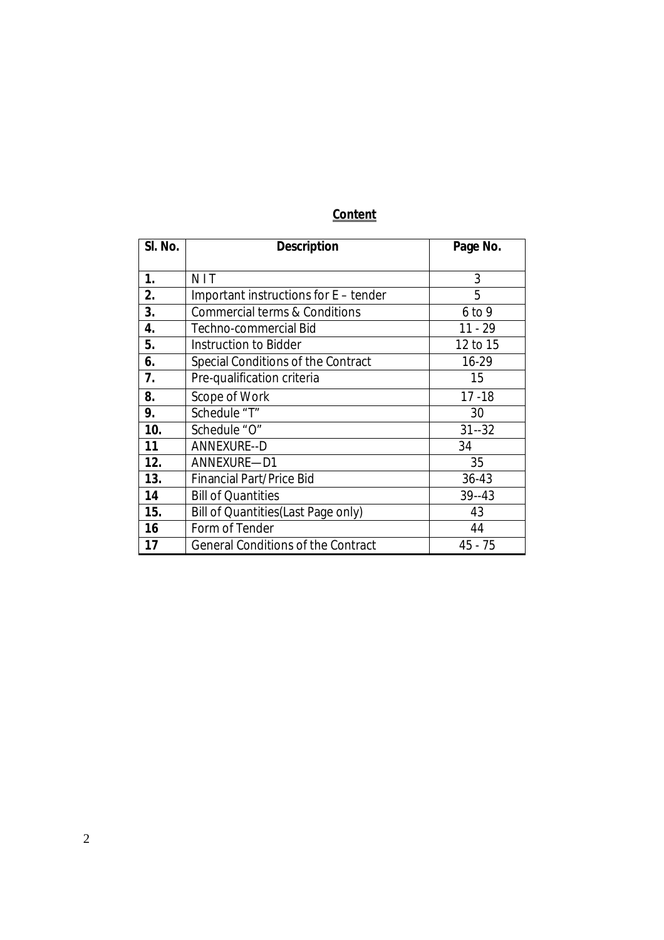# **Content**

| SI. No. | <b>Description</b>                        | Page No.  |
|---------|-------------------------------------------|-----------|
| 1.      | <b>NIT</b>                                | 3         |
| 2.      | Important instructions for E - tender     | 5         |
| 3.      | Commercial terms & Conditions             | $6$ to 9  |
| 4.      | Techno-commercial Bid                     | $11 - 29$ |
| 5.      | Instruction to Bidder                     | 12 to 15  |
| 6.      | Special Conditions of the Contract        | 16-29     |
| 7.      | Pre-qualification criteria                | 15        |
| 8.      | Scope of Work                             | $17 - 18$ |
| 9.      | Schedule "T"                              | 30        |
| 10.     | Schedule "O"<br>$31 - 32$                 |           |
| 11      | <b>ANNEXURE--D</b>                        | 34        |
| 12.     | ANNEXURE-D1                               | 35        |
| 13.     | <b>Financial Part/Price Bid</b>           | $36 - 43$ |
| 14      | <b>Bill of Quantities</b>                 | $39 - 43$ |
| 15.     | Bill of Quantities (Last Page only)       | 43        |
| 16      | Form of Tender                            | 44        |
| 17      | <b>General Conditions of the Contract</b> | 45 - 75   |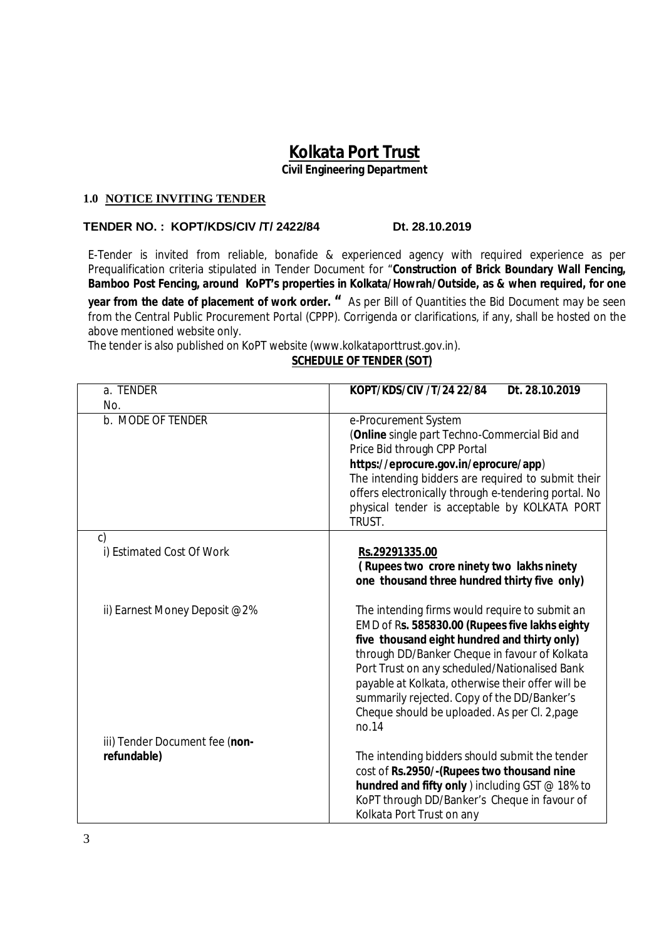# **Kolkata Port Trust**

**Civil Engineering Department**

#### **1.0 NOTICE INVITING TENDER**

#### **TENDER NO. : KOPT/KDS/CIV /T/ 2422/84 Dt. 28.10.2019**

E-Tender is invited from reliable, bonafide & experienced agency with required experience as per Prequalification criteria stipulated in Tender Document for "**Construction of Brick Boundary Wall Fencing, Bamboo Post Fencing, around KoPT's properties in Kolkata/Howrah/Outside, as & when required, for one** 

**year from the date of placement of work order. "** As per Bill of Quantities the Bid Document may be seen from the Central Public Procurement Portal (CPPP). Corrigenda or clarifications, if any, shall be hosted on the above mentioned website only.

The tender is also published on KoPT website (www.kolkataporttrust.gov.in).

#### **SCHEDULE OF TENDER (SOT)**

| a. TENDER                                     | KOPT/KDS/CIV /T/24 22/84<br>Dt. 28.10.2019                                                                                                                                                                                                                                                                                                                                                                       |
|-----------------------------------------------|------------------------------------------------------------------------------------------------------------------------------------------------------------------------------------------------------------------------------------------------------------------------------------------------------------------------------------------------------------------------------------------------------------------|
| No.                                           |                                                                                                                                                                                                                                                                                                                                                                                                                  |
| b. MODE OF TENDER                             | e-Procurement System<br>(Online single part Techno-Commercial Bid and<br>Price Bid through CPP Portal<br>https://eprocure.gov.in/eprocure/app)<br>The intending bidders are required to submit their<br>offers electronically through e-tendering portal. No<br>physical tender is acceptable by KOLKATA PORT<br>TRUST.                                                                                          |
| $\mathsf{C}$                                  |                                                                                                                                                                                                                                                                                                                                                                                                                  |
| i) Estimated Cost Of Work                     | Rs.29291335.00<br>(Rupees two crore ninety two lakhs ninety<br>one thousand three hundred thirty five only)                                                                                                                                                                                                                                                                                                      |
| ii) Earnest Money Deposit @2%                 | The intending firms would require to submit an<br>EMD of Rs. 585830.00 (Rupees five lakhs eighty<br>five thousand eight hundred and thirty only)<br>through DD/Banker Cheque in favour of Kolkata<br>Port Trust on any scheduled/Nationalised Bank<br>payable at Kolkata, otherwise their offer will be<br>summarily rejected. Copy of the DD/Banker's<br>Cheque should be uploaded. As per Cl. 2, page<br>no.14 |
| iii) Tender Document fee (non-<br>refundable) | The intending bidders should submit the tender<br>cost of Rs.2950/-(Rupees two thousand nine<br>hundred and fifty only ) including GST @ 18% to<br>KoPT through DD/Banker's Cheque in favour of<br>Kolkata Port Trust on any                                                                                                                                                                                     |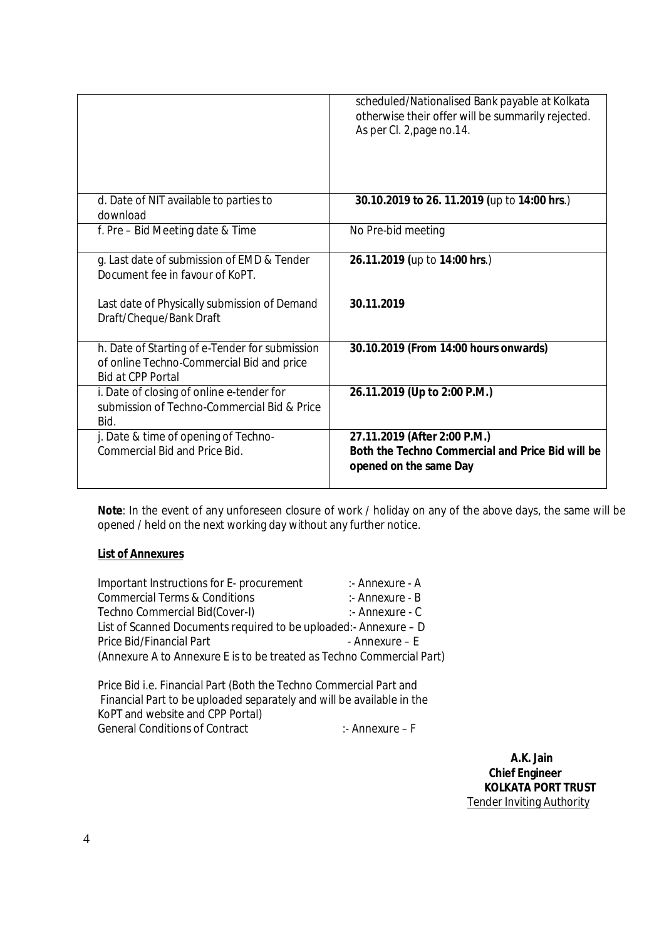|                                                                                                                         | scheduled/Nationalised Bank payable at Kolkata<br>otherwise their offer will be summarily rejected.<br>As per Cl. 2, page no.14. |
|-------------------------------------------------------------------------------------------------------------------------|----------------------------------------------------------------------------------------------------------------------------------|
|                                                                                                                         |                                                                                                                                  |
| d. Date of NIT available to parties to<br>download                                                                      | 30.10.2019 to 26. 11.2019 (up to 14:00 hrs.)                                                                                     |
| f. Pre - Bid Meeting date & Time                                                                                        | No Pre-bid meeting                                                                                                               |
| g. Last date of submission of EMD & Tender<br>Document fee in favour of KoPT.                                           | 26.11.2019 (up to 14:00 hrs.)                                                                                                    |
| Last date of Physically submission of Demand<br>Draft/Cheque/Bank Draft                                                 | 30.11.2019                                                                                                                       |
| h. Date of Starting of e-Tender for submission<br>of online Techno-Commercial Bid and price<br><b>Bid at CPP Portal</b> | 30.10.2019 (From 14:00 hours onwards)                                                                                            |
| i. Date of closing of online e-tender for<br>submission of Techno-Commercial Bid & Price<br>Bid.                        | 26.11.2019 (Up to 2:00 P.M.)                                                                                                     |
| j. Date & time of opening of Techno-<br>Commercial Bid and Price Bid.                                                   | 27.11.2019 (After 2:00 P.M.)<br>Both the Techno Commercial and Price Bid will be<br>opened on the same Day                       |

**Note**: In the event of any unforeseen closure of work / holiday on any of the above days, the same will be opened / held on the next working day without any further notice.

#### **List of Annexures**

| Important Instructions for E- procurement                             | :- Annexure - A |
|-----------------------------------------------------------------------|-----------------|
| <b>Commercial Terms &amp; Conditions</b>                              | :- Annexure - B |
| Techno Commercial Bid(Cover-I)                                        | :- Annexure - C |
| List of Scanned Documents required to be uploaded: - Annexure - D     |                 |
| Price Bid/Financial Part                                              | - Annexure – E  |
| (Annexure A to Annexure E is to be treated as Techno Commercial Part) |                 |
|                                                                       |                 |

Price Bid i.e. Financial Part (Both the Techno Commercial Part and Financial Part to be uploaded separately and will be available in the KoPT and website and CPP Portal) General Conditions of Contract : Annexure – F

 **A.K. Jain Chief Engineer KOLKATA PORT TRUST** Tender Inviting Authority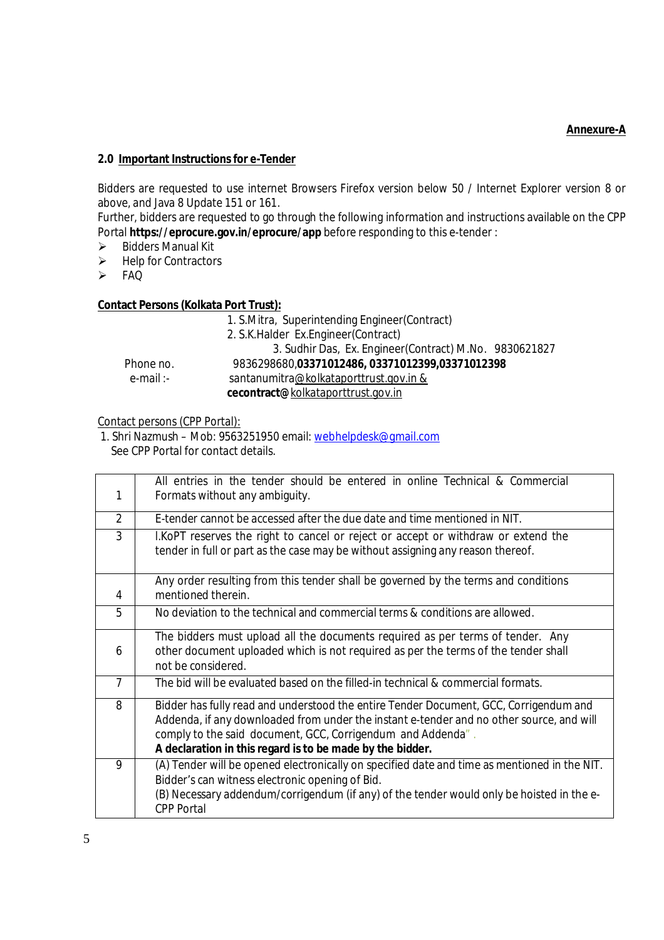#### **Annexure-A**

#### **2.0 Important Instructions for e-Tender**

Bidders are requested to use internet Browsers Firefox version below 50 / Internet Explorer version 8 or above, and Java 8 Update 151 or 161.

Further, bidders are requested to go through the following information and instructions available on the CPP Portal **https://eprocure.gov.in/eprocure/app** before responding to this e-tender :

- $\triangleright$  Bidders Manual Kit
- $\triangleright$  Help for Contractors
- > FAQ

#### **Contact Persons (Kolkata Port Trust):**

 1. S.Mitra, Superintending Engineer(Contract) 2. S.K.Halder Ex.Engineer(Contract) 3. Sudhir Das, Ex. Engineer(Contract) M.No. 9830621827 Phone no. 9836298680,**03371012486, 03371012399,03371012398** e-mail :- santanumitra@kolkataporttrust.gov.in &  **cecontract@**kolkataporttrust.gov.in

#### Contact persons (CPP Portal):

1. Shri Nazmush – Mob: 9563251950 email: webhelpdesk@gmail.com See CPP Portal for contact details.

| 1                                                                                      | All entries in the tender should be entered in online Technical & Commercial<br>Formats without any ambiguity. |  |  |  |
|----------------------------------------------------------------------------------------|----------------------------------------------------------------------------------------------------------------|--|--|--|
| $\overline{2}$                                                                         | E-tender cannot be accessed after the due date and time mentioned in NIT.                                      |  |  |  |
|                                                                                        |                                                                                                                |  |  |  |
| 3<br>I.KoPT reserves the right to cancel or reject or accept or withdraw or extend the |                                                                                                                |  |  |  |
|                                                                                        | tender in full or part as the case may be without assigning any reason thereof.                                |  |  |  |
| 4                                                                                      | Any order resulting from this tender shall be governed by the terms and conditions<br>mentioned therein.       |  |  |  |
| 5                                                                                      | No deviation to the technical and commercial terms & conditions are allowed.                                   |  |  |  |
|                                                                                        | The bidders must upload all the documents required as per terms of tender. Any                                 |  |  |  |
| 6                                                                                      | other document uploaded which is not required as per the terms of the tender shall<br>not be considered.       |  |  |  |
| $\overline{7}$                                                                         | The bid will be evaluated based on the filled-in technical & commercial formats.                               |  |  |  |
| 8                                                                                      | Bidder has fully read and understood the entire Tender Document, GCC, Corrigendum and                          |  |  |  |
|                                                                                        | Addenda, if any downloaded from under the instant e-tender and no other source, and will                       |  |  |  |
|                                                                                        | comply to the said document, GCC, Corrigendum and Addenda".                                                    |  |  |  |
|                                                                                        | A declaration in this regard is to be made by the bidder.                                                      |  |  |  |
| 9                                                                                      | (A) Tender will be opened electronically on specified date and time as mentioned in the NIT.                   |  |  |  |
|                                                                                        | Bidder's can witness electronic opening of Bid.                                                                |  |  |  |
|                                                                                        | (B) Necessary addendum/corrigendum (if any) of the tender would only be hoisted in the e-                      |  |  |  |
|                                                                                        | <b>CPP Portal</b>                                                                                              |  |  |  |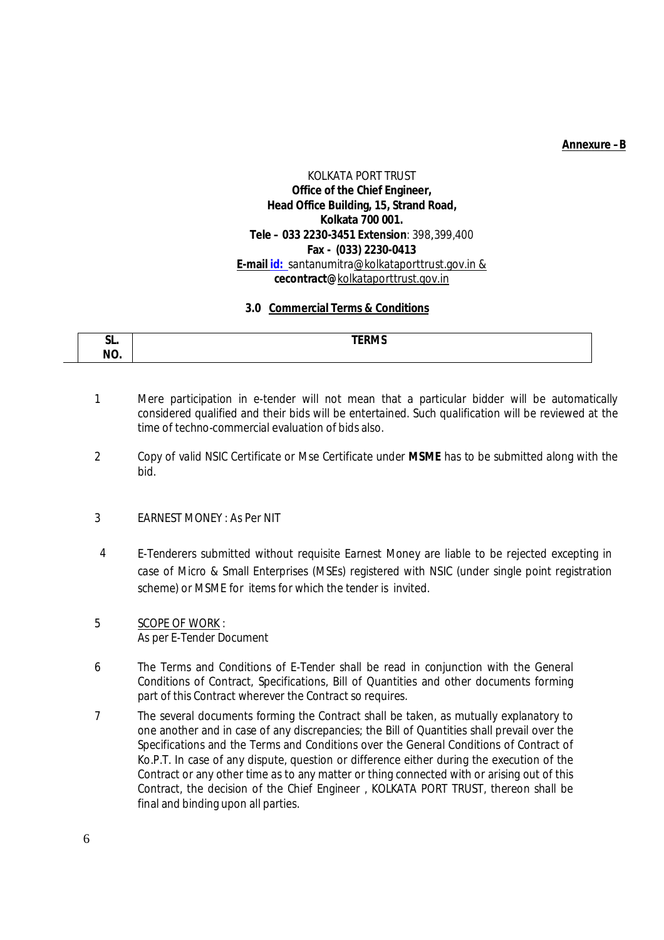#### **Annexure –B**

### KOLKATA PORT TRUST **Office of the Chief Engineer, Head Office Building, 15, Strand Road, Kolkata 700 001. Tele – 033 2230-3451 Extension**: 398,399,400 **Fax - (033) 2230-0413 E-mail id:** santanumitra@kolkataporttrust.gov.in & **cecontract@**kolkataporttrust.gov.in

#### **3.0 Commercial Terms & Conditions**

| $\sim$<br>JL.                         | <b>TEDRAC</b><br>I EKIVIJ |
|---------------------------------------|---------------------------|
|                                       |                           |
| $\overline{\phantom{a}}$<br>N<br>ıvv. |                           |

- 1 Mere participation in e-tender will not mean that a particular bidder will be automatically considered qualified and their bids will be entertained. Such qualification will be reviewed at the time of techno-commercial evaluation of bids also.
- 2 Copy of valid NSIC Certificate or Mse Certificate under **MSME** has to be submitted along with the bid.
- 3 EARNEST MONEY : As Per NIT
- 4 E-Tenderers submitted without requisite Earnest Money are liable to be rejected excepting in case of Micro & Small Enterprises (MSEs) registered with NSIC (under single point registration scheme) or MSME for items for which the tender is invited.
- 5 SCOPE OF WORK : As per E-Tender Document
- 6 The Terms and Conditions of E-Tender shall be read in conjunction with the General Conditions of Contract, Specifications, Bill of Quantities and other documents forming part of this Contract wherever the Contract so requires.
- 7 The several documents forming the Contract shall be taken, as mutually explanatory to one another and in case of any discrepancies; the Bill of Quantities shall prevail over the Specifications and the Terms and Conditions over the General Conditions of Contract of Ko.P.T. In case of any dispute, question or difference either during the execution of the Contract or any other time as to any matter or thing connected with or arising out of this Contract, the decision of the Chief Engineer , KOLKATA PORT TRUST, thereon shall be final and binding upon all parties.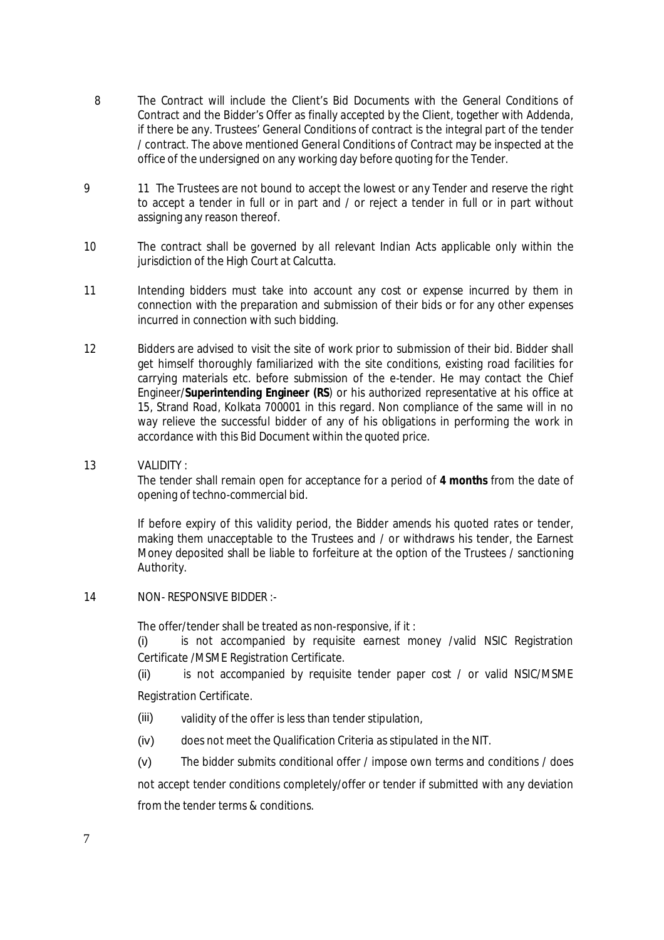- 8 The Contract will include the Client's Bid Documents with the General Conditions of Contract and the Bidder's Offer as finally accepted by the Client, together with Addenda, if there be any. Trustees' General Conditions of contract is the integral part of the tender / contract. The above mentioned General Conditions of Contract may be inspected at the office of the undersigned on any working day before quoting for the Tender.
- 9 11 The Trustees are not bound to accept the lowest or any Tender and reserve the right to accept a tender in full or in part and / or reject a tender in full or in part without assigning any reason thereof.
- 10 The contract shall be governed by all relevant Indian Acts applicable only within the jurisdiction of the High Court at Calcutta.
- 11 Intending bidders must take into account any cost or expense incurred by them in connection with the preparation and submission of their bids or for any other expenses incurred in connection with such bidding.
- 12 Bidders are advised to visit the site of work prior to submission of their bid. Bidder shall get himself thoroughly familiarized with the site conditions, existing road facilities for carrying materials etc. before submission of the e-tender. He may contact the Chief Engineer/**Superintending Engineer (RS**) or his authorized representative at his office at 15, Strand Road, Kolkata 700001 in this regard. Non compliance of the same will in no way relieve the successful bidder of any of his obligations in performing the work in accordance with this Bid Document within the quoted price.
- 13 VALIDITY :

The tender shall remain open for acceptance for a period of **4 months** from the date of opening of techno-commercial bid.

If before expiry of this validity period, the Bidder amends his quoted rates or tender, making them unacceptable to the Trustees and / or withdraws his tender, the Earnest Money deposited shall be liable to forfeiture at the option of the Trustees / sanctioning Authority.

14 NON- RESPONSIVE BIDDER :-

The offer/tender shall be treated as non-responsive, if it :

(i) is not accompanied by requisite earnest money /valid NSIC Registration Certificate /MSME Registration Certificate.

(ii) is not accompanied by requisite tender paper cost / or valid NSIC/MSME Registration Certificate.

- (iii) validity of the offer is less than tender stipulation,
- (iv) does not meet the Qualification Criteria as stipulated in the NIT.
- (v) The bidder submits conditional offer / impose own terms and conditions / does

not accept tender conditions completely/offer or tender if submitted with any deviation from the tender terms & conditions.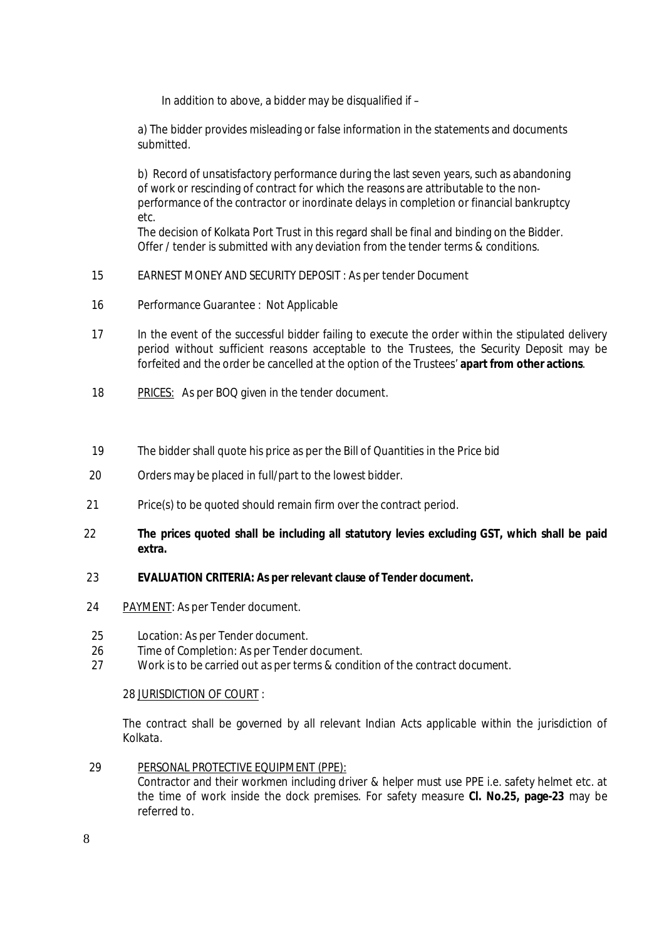In addition to above, a bidder may be disqualified if  $-$ 

a) The bidder provides misleading or false information in the statements and documents submitted.

b) Record of unsatisfactory performance during the last seven years, such as abandoning of work or rescinding of contract for which the reasons are attributable to the nonperformance of the contractor or inordinate delays in completion or financial bankruptcy etc.

The decision of Kolkata Port Trust in this regard shall be final and binding on the Bidder. Offer / tender is submitted with any deviation from the tender terms & conditions.

- 15 EARNEST MONEY AND SECURITY DEPOSIT : As per tender Document
- 16 Performance Guarantee : Not Applicable
- 17 In the event of the successful bidder failing to execute the order within the stipulated delivery period without sufficient reasons acceptable to the Trustees, the Security Deposit may be forfeited and the order be cancelled at the option of the Trustees' **apart from other actions**.
- 18 PRICES: As per BOQ given in the tender document.
- 19 The bidder shall quote his price as per the Bill of Quantities in the Price bid
- 20 Orders may be placed in full/part to the lowest bidder.
- 21 Price(s) to be quoted should remain firm over the contract period.
- $22$ **The prices quoted shall be including all statutory levies excluding GST, which shall be paid extra.**

#### 23 **EVALUATION CRITERIA: As per relevant clause of Tender document.**

- 24 PAYMENT: As per Tender document.
- 25 Location: As per Tender document.<br>26 Time of Completion: As per Tender
- Time of Completion: As per Tender document.
- 27 Work is to be carried out as per terms & condition of the contract document.

#### 28 JURISDICTION OF COURT :

The contract shall be governed by all relevant Indian Acts applicable within the jurisdiction of Kolkata.

 29 PERSONAL PROTECTIVE EQUIPMENT (PPE):

> Contractor and their workmen including driver & helper must use PPE i.e. safety helmet etc. at the time of work inside the dock premises. For safety measure **Cl. No.25, page-23** may be referred to.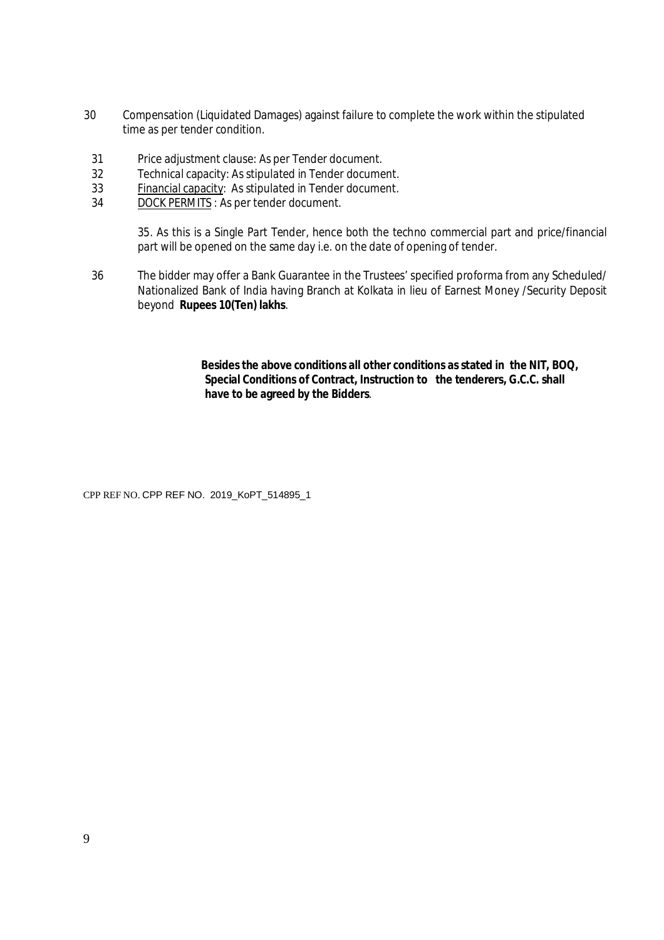- 30 Compensation (Liquidated Damages) against failure to complete the work within the stipulated time as per tender condition.
- 31 Price adjustment clause: As per Tender document.
- 32 Technical capacity: As stipulated in Tender document.
- 33 Financial capacity: As stipulated in Tender document.
- 34 DOCK PERMITS : As per tender document.

35. As this is a Single Part Tender, hence both the techno commercial part and price/financial part will be opened on the same day i.e. on the date of opening of tender.

36 The bidder may offer a Bank Guarantee in the Trustees' specified proforma from any Scheduled/ Nationalized Bank of India having Branch at Kolkata in lieu of Earnest Money /Security Deposit beyond **Rupees 10(Ten) lakhs**.

> **Besides the above conditions all other conditions as stated in the NIT, BOQ, Special Conditions of Contract, Instruction to the tenderers, G.C.C. shall have to be agreed by the Bidders**.

CPP REF NO. CPP REF NO. 2019\_KoPT\_514895\_1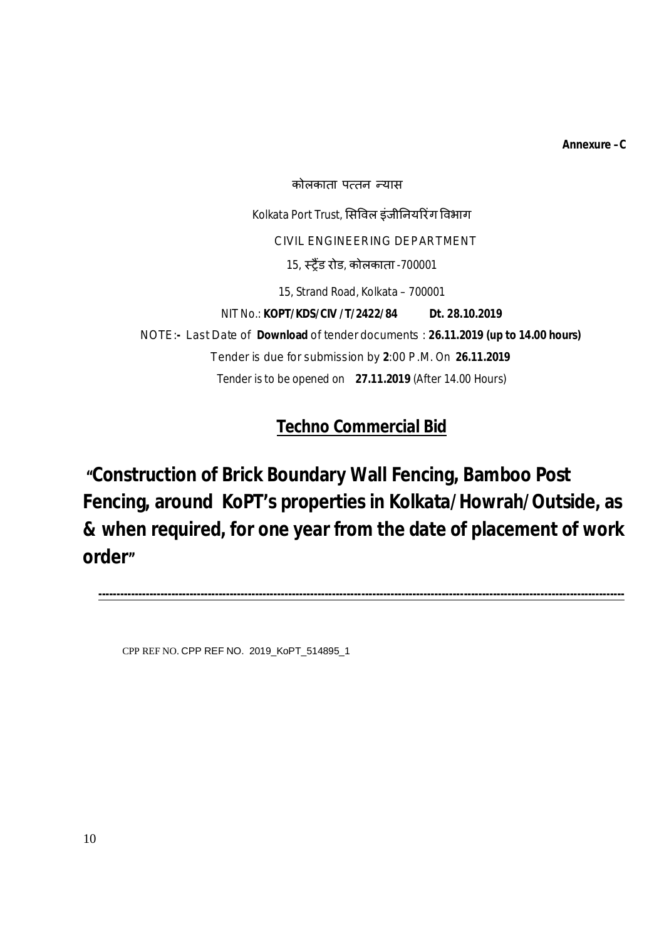**Annexure –C**

कोलकाता पत्तन न्यास Kolkata Port Trust, सिविल इंजीनियरिंग विभाग CIVIL ENGINEERING DEPARTMENT 15, èĚɇड रोड, कोलकाता -700001 15, Strand Road, Kolkata – 700001 NIT No.: **KOPT/KDS/CIV /T/2422/84 Dt. 28.10.2019** NOTE:**-** Last Date of **Download** of tender documents : **26.11.2019 (up to 14.00 hours)** Tender is due for submission by **2**:00 P.M. On **26.11.2019** Tender is to be opened on **27.11.2019** (After 14.00 Hours)

**Techno Commercial Bid**

**"Construction of Brick Boundary Wall Fencing, Bamboo Post Fencing, around KoPT's properties in Kolkata/Howrah/Outside, as & when required, for one year from the date of placement of work order"**

**------------------------------------------------------------------------------------------------------------------------------------------------**

CPP REF NO. CPP REF NO. 2019\_KoPT\_514895\_1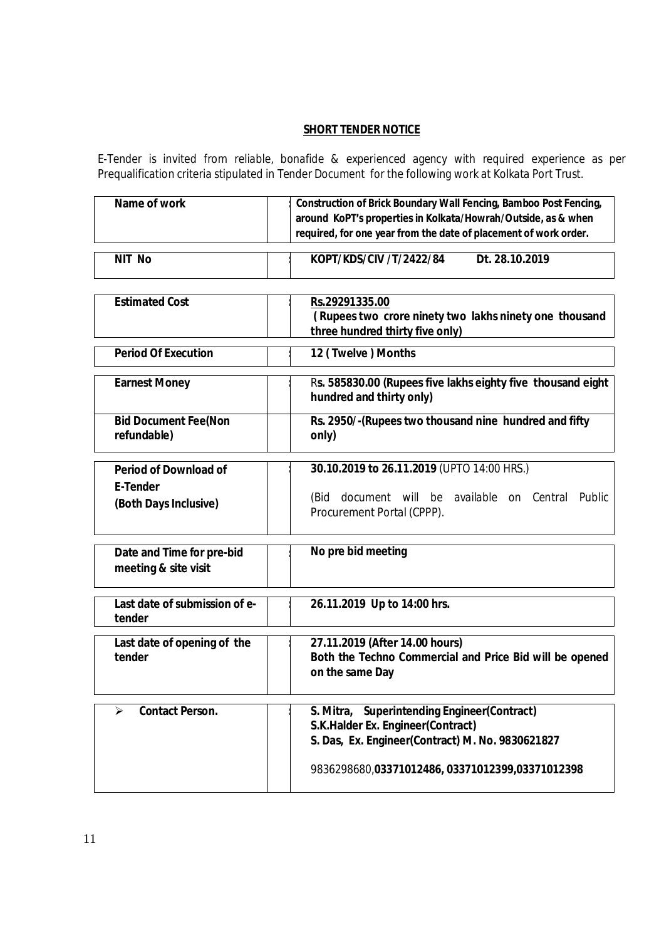# **SHORT TENDER NOTICE**

E-Tender is invited from reliable, bonafide & experienced agency with required experience as per Prequalification criteria stipulated in Tender Document for the following work at Kolkata Port Trust.

| Name of work | <b>Construction of Brick Boundary Wall Fencing, Bamboo Post Fencing,</b>                                                          |  |  |
|--------------|-----------------------------------------------------------------------------------------------------------------------------------|--|--|
|              | around KoPT's properties in Kolkata/Howrah/Outside, as & when<br>required, for one year from the date of placement of work order. |  |  |
|              |                                                                                                                                   |  |  |

| <b>NIT</b><br><b>No</b> | KOPT/KDS/CIV /T/2422/84 | Dt. 28.10.2019 |
|-------------------------|-------------------------|----------------|

| <b>Estimated Cost</b>                                                    | Rs.29291335.00<br>(Rupees two crore ninety two lakhs ninety one thousand<br>three hundred thirty five only)                                                                            |  |  |
|--------------------------------------------------------------------------|----------------------------------------------------------------------------------------------------------------------------------------------------------------------------------------|--|--|
| <b>Period Of Execution</b>                                               | 12 (Twelve) Months                                                                                                                                                                     |  |  |
| <b>Earnest Money</b>                                                     | Rs. 585830.00 (Rupees five lakhs eighty five thousand eight<br>hundred and thirty only)                                                                                                |  |  |
| <b>Bid Document Fee(Non</b><br>refundable)                               | Rs. 2950/-(Rupees two thousand nine hundred and fifty<br>only)                                                                                                                         |  |  |
| <b>Period of Download of</b><br><b>E-Tender</b><br>(Both Days Inclusive) | 30.10.2019 to 26.11.2019 (UPTO 14:00 HRS.)<br>document will be available on Central Public<br>(Bid<br>Procurement Portal (CPPP).                                                       |  |  |
| Date and Time for pre-bid<br>meeting & site visit                        | No pre bid meeting                                                                                                                                                                     |  |  |
| Last date of submission of e-<br>tender                                  | 26.11.2019 Up to 14:00 hrs.                                                                                                                                                            |  |  |
| Last date of opening of the<br>tender                                    | 27.11.2019 (After 14.00 hours)<br>Both the Techno Commercial and Price Bid will be opened<br>on the same Day                                                                           |  |  |
| <b>Contact Person.</b><br>⋗                                              | S. Mitra, Superintending Engineer(Contract)<br>S.K.Halder Ex. Engineer(Contract)<br>S. Das, Ex. Engineer(Contract) M. No. 9830621827<br>9836298680,03371012486,03371012399,03371012398 |  |  |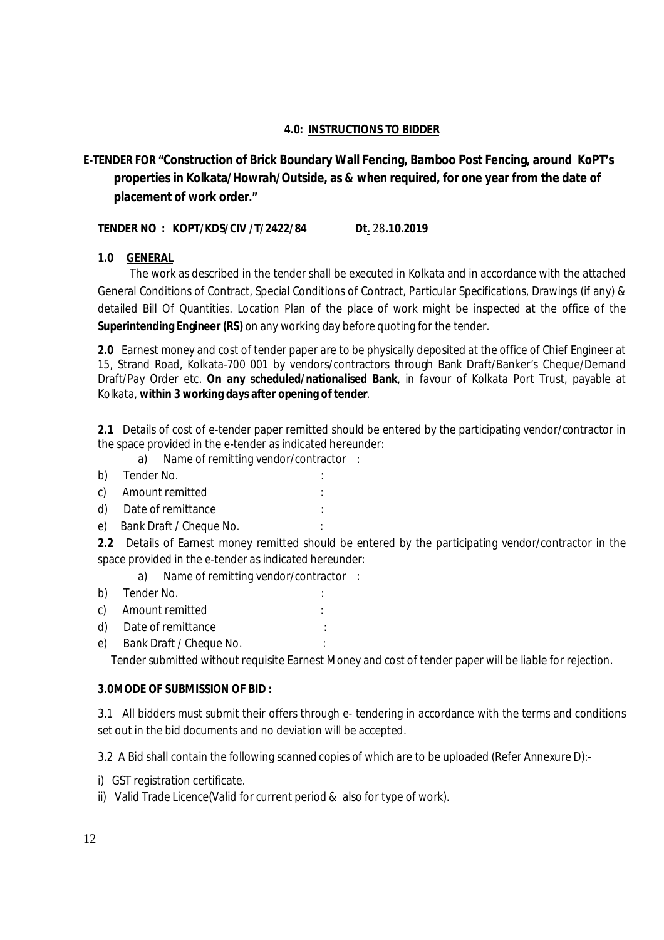#### **4.0: INSTRUCTIONS TO BIDDER**

# **E-TENDER FOR "Construction of Brick Boundary Wall Fencing, Bamboo Post Fencing, around KoPT's properties in Kolkata/Howrah/Outside, as & when required, for one year from the date of placement of work order."**

#### **TENDER NO : KOPT/KDS/CIV /T/2422/84 Dt.** 28**.10.2019**

#### **1.0 GENERAL**

 The work as described in the tender shall be executed in Kolkata and in accordance with the attached General Conditions of Contract, Special Conditions of Contract, Particular Specifications, Drawings (if any) & detailed Bill Of Quantities. Location Plan of the place of work might be inspected at the office of the **Superintending Engineer (RS)** on any working day before quoting for the tender.

**2.0** Earnest money and cost of tender paper are to be physically deposited at the office of Chief Engineer at 15, Strand Road, Kolkata-700 001 by vendors/contractors through Bank Draft/Banker's Cheque/Demand Draft/Pay Order etc. **On any scheduled/nationalised Bank**, in favour of Kolkata Port Trust, payable at Kolkata, **within 3 working days after opening of tender**.

**2.1** Details of cost of e-tender paper remitted should be entered by the participating vendor/contractor in the space provided in the e-tender as indicated hereunder:

- a) Name of remitting vendor/contractor :
- b) Tender No.
- c) Amount remitted :
- d) Date of remittance
- e) Bank Draft / Cheque No.

**2.2** Details of Earnest money remitted should be entered by the participating vendor/contractor in the space provided in the e-tender as indicated hereunder:

- a) Name of remitting vendor/contractor :
- b) Tender No.  $\qquad \qquad$ :
- c) Amount remitted :
- d) Date of remittance :
- e) Bank Draft / Cheque No.

Tender submitted without requisite Earnest Money and cost of tender paper will be liable for rejection.

#### **3.0MODE OF SUBMISSION OF BID :**

3.1 All bidders must submit their offers through e- tendering in accordance with the terms and conditions set out in the bid documents and no deviation will be accepted.

3.2 A Bid shall contain the following *scanned copies of* which are to be uploaded (Refer Annexure D):-

- i) GST registration certificate.
- ii) Valid Trade Licence(Valid for current period & also for type of work).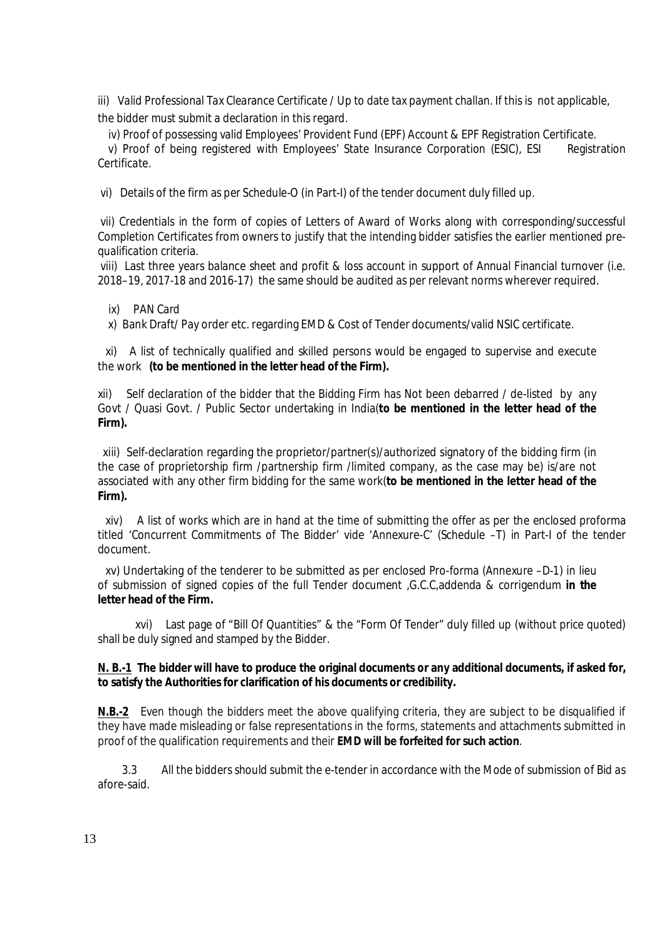iii) Valid Professional Tax Clearance Certificate / Up to date tax payment challan. If this is not applicable, the bidder must submit a declaration in this regard.

iv) Proof of possessing valid Employees' Provident Fund (EPF) Account & EPF Registration Certificate.

 v) Proof of being registered with Employees' State Insurance Corporation (ESIC), ESI Registration Certificate.

vi) Details of the firm as per Schedule-O (in Part-I) of the tender document duly filled up.

vii) Credentials in the form of copies of Letters of Award of Works along with corresponding/successful Completion Certificates from owners to justify that the intending bidder satisfies the earlier mentioned prequalification criteria.

viii) Last three years balance sheet and profit & loss account in support of Annual Financial turnover (i.e. 2018–19, 2017-18 and 2016-17) the same should be audited as per relevant norms wherever required.

ix) PAN Card

x) Bank Draft/ Pay order etc. regarding EMD & Cost of Tender documents/valid NSIC certificate.

 xi) A list of technically qualified and skilled persons would be engaged to supervise and execute the work **(to be mentioned in the letter head of the Firm).**

xii) Self declaration of the bidder that the Bidding Firm has Not been debarred / de-listed by any Govt / Quasi Govt. / Public Sector undertaking in India(**to be mentioned in the letter head of the Firm).**

xiii) Self-declaration regarding the proprietor/partner(s)/authorized signatory of the bidding firm (in the case of proprietorship firm /partnership firm /limited company, as the case may be) is/are not associated with any other firm bidding for the same work(**to be mentioned in the letter head of the Firm).**

 xiv) A list of works which are in hand at the time of submitting the offer as per the enclosed proforma titled 'Concurrent Commitments of The Bidder' vide 'Annexure-C' (Schedule –T) in Part-I of the tender document.

 xv) Undertaking of the tenderer to be submitted as per enclosed Pro-forma (Annexure –D-1) in lieu of submission of signed copies of the full Tender document ,G.C.C,addenda & corrigendum **in the letter head of the Firm.**

 xvi) Last page of "Bill Of Quantities" & the "Form Of Tender" duly filled up (without price quoted) shall be duly signed and stamped by the Bidder.

#### **N. B.-1 The bidder will have to produce the original documents or any additional documents, if asked for, to satisfy the Authorities for clarification of his documents or credibility.**

**N.B.-2** Even though the bidders meet the above qualifying criteria, they are subject to be disqualified if they have made misleading or false representations in the forms, statements and attachments submitted in proof of the qualification requirements and their **EMD will be forfeited for such action**.

 3.3 All the bidders should submit the e-tender in accordance with the Mode of submission of Bid as afore-said.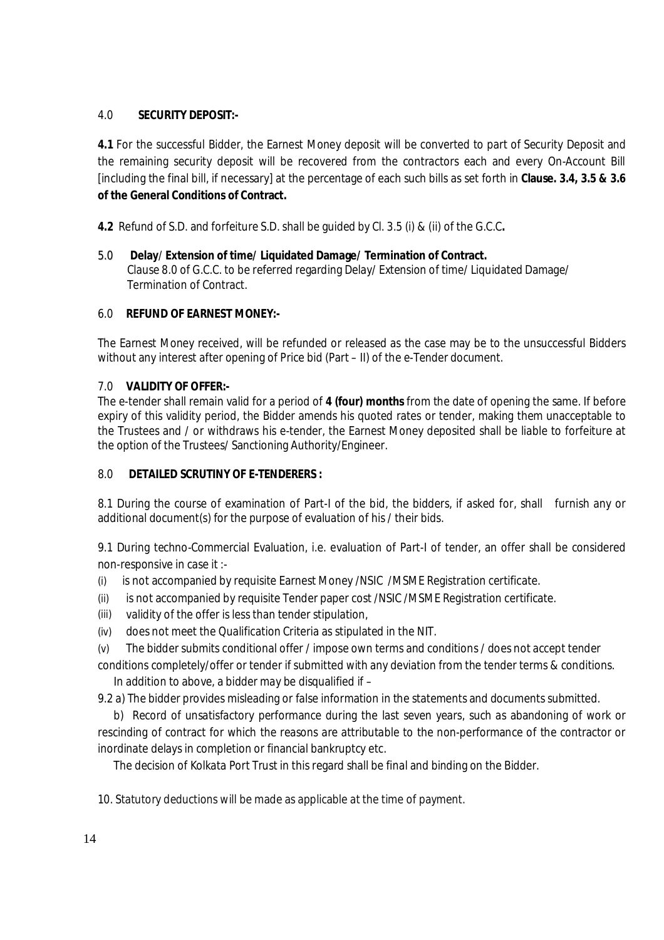# 4.0 **SECURITY DEPOSIT:-**

**4.1** For the successful Bidder, the Earnest Money deposit will be converted to part of Security Deposit and the remaining security deposit will be recovered from the contractors each and every On-Account Bill [including the final bill, if necessary] at the percentage of each such bills as set forth in **Clause. 3.4, 3.5 & 3.6 of the General Conditions of Contract.** 

**4.2** Refund of S.D. and forfeiture S.D.shall be guided by Cl. 3.5 (i) & (ii) of the G.C.C**.**

#### 5.0 **Delay**/ **Extension of time/ Liquidated Damage/ Termination of Contract.** Clause 8.0 of G.C.C. to be referred regarding Delay/ Extension of time/ Liquidated Damage/ Termination of Contract.

# 6.0 **REFUND OF EARNEST MONEY:-**

The Earnest Money received, will be refunded or released as the case may be to the unsuccessful Bidders without any interest after opening of Price bid (Part – II) of the e-Tender document.

# 7.0 **VALIDITY OF OFFER:-**

The e-tender shall remain valid for a period of **4 (four) months** from the date of opening the same. If before expiry of this validity period, the Bidder amends his quoted rates or tender, making them unacceptable to the Trustees and / or withdraws his e-tender, the Earnest Money deposited shall be liable to forfeiture at the option of the Trustees/ Sanctioning Authority/Engineer.

#### 8.0 **DETAILED SCRUTINY OF E-TENDERERS :**

8.1 During the course of examination of Part-I of the bid, the bidders, if asked for, shall furnish any or additional document(s) for the purpose of evaluation of his / their bids.

9.1 During techno-Commercial Evaluation, i.e. evaluation of Part-I of tender, an offer shall be considered non-responsive in case it :-

- (i) is not accompanied by requisite Earnest Money /NSIC /MSME Registration certificate.
- (ii) is not accompanied by requisite Tender paper cost /NSIC /MSME Registration certificate.
- (iii) validity of the offer is less than tender stipulation,
- (iv) does not meet the Qualification Criteria as stipulated in the NIT.
- (v) The bidder submits conditional offer / impose own terms and conditions / does not accept tender

conditions completely/offer or tender if submitted with any deviation from the tender terms & conditions. In addition to above, a bidder may be disqualified if –

9.2 a) The bidder provides misleading or false information in the statements and documents submitted.

 b) Record of unsatisfactory performance during the last seven years, such as abandoning of work or rescinding of contract for which the reasons are attributable to the non-performance of the contractor or inordinate delays in completion or financial bankruptcy etc.

The decision of Kolkata Port Trust in this regard shall be final and binding on the Bidder.

10. Statutory deductions will be made as applicable at the time of payment.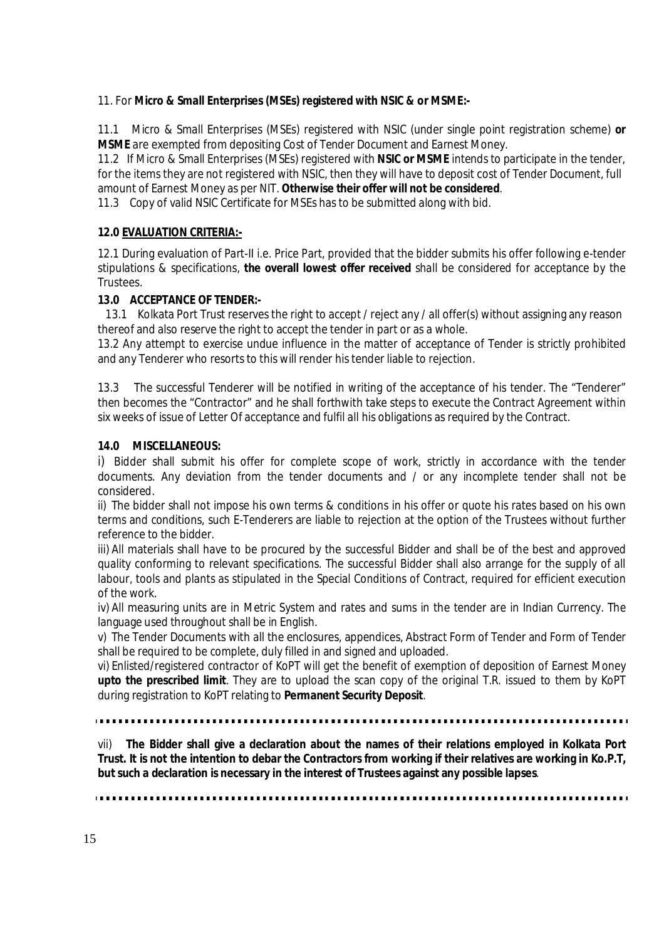# 11. For **Micro & Small Enterprises (MSEs) registered with NSIC & or MSME:-**

11.1 Micro & Small Enterprises (MSEs) registered with NSIC (under single point registration scheme) **or MSME** are exempted from depositing Cost of Tender Document and Earnest Money.

11.2 If Micro & Small Enterprises (MSEs) registered with **NSIC or MSME** intends to participate in the tender, for the items they are not registered with NSIC, then they will have to deposit cost of Tender Document, full amount of Earnest Money as per NIT. **Otherwise their offer will not be considered**.

11.3 Copy of valid NSIC Certificate for MSEs has to be submitted along with bid.

# **12.0 EVALUATION CRITERIA:-**

12.1 During evaluation of Part-II i.e. Price Part, provided that the bidder submits his offer following e-tender stipulations & specifications, **the overall lowest offer received** shall be considered for acceptance by the Trustees.

# **13.0 ACCEPTANCE OF TENDER:-**

 13.1 Kolkata Port Trust reserves the right to accept / reject any / all offer(s) without assigning any reason thereof and also reserve the right to accept the tender in part or as a whole.

13.2 Any attempt to exercise undue influence in the matter of acceptance of Tender is strictly prohibited and any Tenderer who resorts to this will render his tender liable to rejection.

13.3 The successful Tenderer will be notified in writing of the acceptance of his tender. The "Tenderer" then becomes the "Contractor" and he shall forthwith take steps to execute the Contract Agreement within six weeks of issue of Letter Of acceptance and fulfil all his obligations as required by the Contract.

# **14.0 MISCELLANEOUS:**

i) Bidder shall submit his offer for complete scope of work, strictly in accordance with the tender documents. Any deviation from the tender documents and / or any incomplete tender shall not be considered.

ii) The bidder shall not impose his own terms & conditions in his offer or quote his rates based on his own terms and conditions, such E-Tenderers are liable to rejection at the option of the Trustees without further reference to the bidder.

iii) All materials shall have to be procured by the successful Bidder and shall be of the best and approved quality conforming to relevant specifications. The successful Bidder shall also arrange for the supply of all labour, tools and plants as stipulated in the Special Conditions of Contract, required for efficient execution of the work.

iv) All measuring units are in Metric System and rates and sums in the tender are in Indian Currency. The language used throughout shall be in English.

v) The Tender Documents with all the enclosures, appendices, Abstract Form of Tender and Form of Tender shall be required to be complete, duly filled in and signed and uploaded.

vi) Enlisted/registered contractor of KoPT will get the benefit of exemption of deposition of Earnest Money **upto the prescribed limit**. They are to upload the scan copy of the original T.R. issued to them by KoPT during registration to KoPT relating to **Permanent Security Deposit**.

vii) **The Bidder shall give a declaration about the names of their relations employed in Kolkata Port Trust. It is not the intention to debar the Contractors from working if their relatives are working in Ko.P.T, but such a declaration is necessary in the interest of Trustees against any possible lapses**.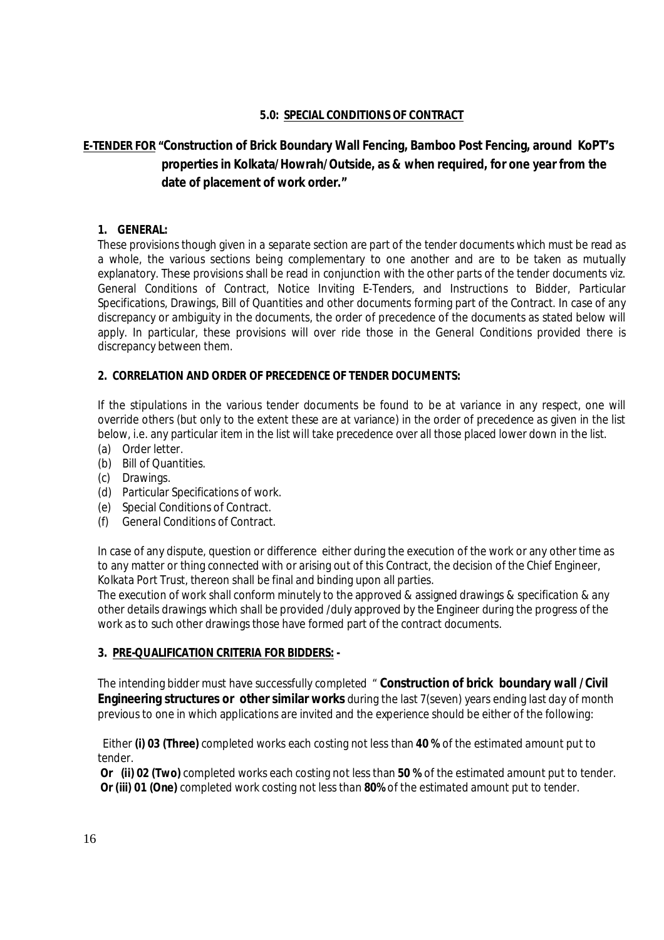# **5.0: SPECIAL CONDITIONS OF CONTRACT**

# **E-TENDER FOR "Construction of Brick Boundary Wall Fencing, Bamboo Post Fencing, around KoPT's properties in Kolkata/Howrah/Outside, as & when required, for one year from the date of placement of work order."**

#### **1. GENERAL:**

These provisions though given in a separate section are part of the tender documents which must be read as a whole, the various sections being complementary to one another and are to be taken as mutually explanatory. These provisions shall be read in conjunction with the other parts of the tender documents viz. General Conditions of Contract, Notice Inviting E-Tenders, and Instructions to Bidder, Particular Specifications, Drawings, Bill of Quantities and other documents forming part of the Contract. In case of any discrepancy or ambiguity in the documents, the order of precedence of the documents as stated below will apply. In particular, these provisions will over ride those in the General Conditions provided there is discrepancy between them.

#### **2. CORRELATION AND ORDER OF PRECEDENCE OF TENDER DOCUMENTS:**

If the stipulations in the various tender documents be found to be at variance in any respect, one will override others (but only to the extent these are at variance) in the order of precedence as given in the list below, i.e. any particular item in the list will take precedence over all those placed lower down in the list.

- (a) Order letter
- (b) Bill of Quantities.
- (c) Drawings.
- (d) Particular Specifications of work.
- (e) Special Conditions of Contract.
- (f) General Conditions of Contract.

In case of any dispute, question or difference either during the execution of the work or any other time as to any matter or thing connected with or arising out of this Contract, the decision of the Chief Engineer, Kolkata Port Trust, thereon shall be final and binding upon all parties.

The execution of work shall conform minutely to the approved & assigned drawings & specification & any other details drawings which shall be provided /duly approved by the Engineer during the progress of the work as to such other drawings those have formed part of the contract documents.

#### **3. PRE-QUALIFICATION CRITERIA FOR BIDDERS: -**

The intending bidder must have successfully completed " **Construction of brick boundary wall /Civil Engineering structures or other similar works** during the last 7(seven) years ending last day of month previous to one in which applications are invited and the experience should be either of the following:

 Either **(i) 03 (Three)** completed works each costing not less than **40 %** of the estimated amount put to tender.

**Or (ii) 02 (Two)** completed works each costing not less than **50 %** of the estimated amount put to tender. **Or (iii) 01 (One)** completed work costing not less than **80%** of the estimated amount put to tender.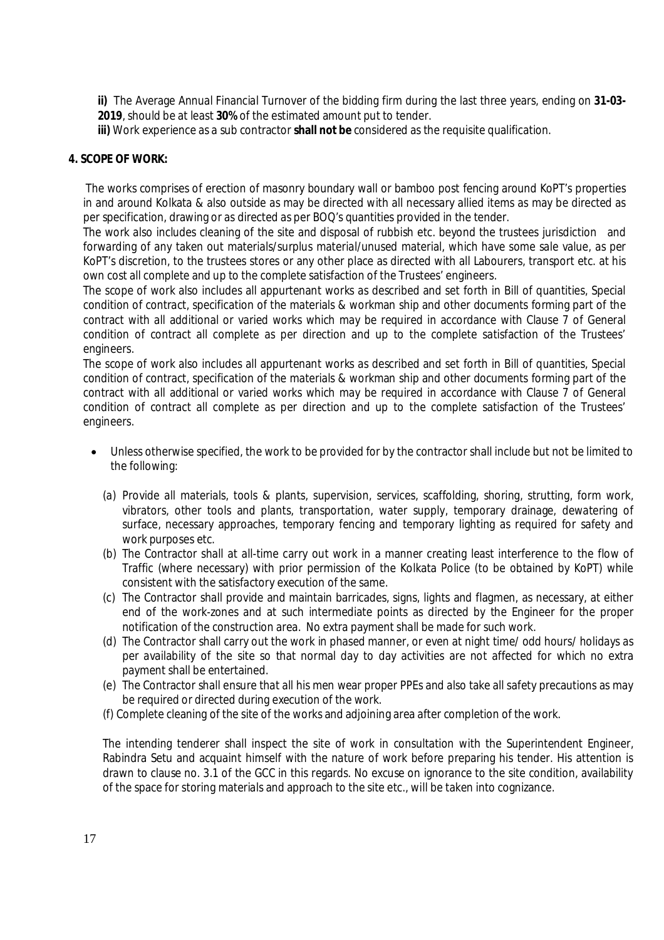**ii)** The Average Annual Financial Turnover of the bidding firm during the last three years, ending on **31-03- 2019**, should be at least **30%** of the estimated amount put to tender.

**iii)** Work experience as a sub contractor **shall not be** considered as the requisite qualification.

#### **4. SCOPE OF WORK:**

The works comprises of erection of masonry boundary wall or bamboo post fencing around KoPT's properties in and around Kolkata & also outside as may be directed with all necessary allied items as may be directed as per specification, drawing or as directed as per BOQ's quantities provided in the tender.

The work also includes cleaning of the site and disposal of rubbish etc. beyond the trustees jurisdiction and forwarding of any taken out materials/surplus material/unused material, which have some sale value, as per KoPT's discretion, to the trustees stores or any other place as directed with all Labourers, transport etc. at his own cost all complete and up to the complete satisfaction of the Trustees' engineers.

The scope of work also includes all appurtenant works as described and set forth in Bill of quantities, Special condition of contract, specification of the materials & workman ship and other documents forming part of the contract with all additional or varied works which may be required in accordance with Clause 7 of General condition of contract all complete as per direction and up to the complete satisfaction of the Trustees' engineers.

The scope of work also includes all appurtenant works as described and set forth in Bill of quantities, Special condition of contract, specification of the materials & workman ship and other documents forming part of the contract with all additional or varied works which may be required in accordance with Clause 7 of General condition of contract all complete as per direction and up to the complete satisfaction of the Trustees' engineers.

- Unless otherwise specified, the work to be provided for by the contractor shall include but not be limited to the following:
	- (a) Provide all materials, tools & plants, supervision, services, scaffolding, shoring, strutting, form work, vibrators, other tools and plants, transportation, water supply, temporary drainage, dewatering of surface, necessary approaches, temporary fencing and temporary lighting as required for safety and work purposes etc.
	- (b) The Contractor shall at all-time carry out work in a manner creating least interference to the flow of Traffic (where necessary) with prior permission of the Kolkata Police (to be obtained by KoPT) while consistent with the satisfactory execution of the same.
	- (c) The Contractor shall provide and maintain barricades, signs, lights and flagmen, as necessary, at either end of the work-zones and at such intermediate points as directed by the Engineer for the proper notification of the construction area. No extra payment shall be made for such work.
	- (d) The Contractor shall carry out the work in phased manner, or even at night time/ odd hours/ holidays as per availability of the site so that normal day to day activities are not affected for which no extra payment shall be entertained.
	- (e) The Contractor shall ensure that all his men wear proper PPEs and also take all safety precautions as may be required or directed during execution of the work.
	- (f) Complete cleaning of the site of the works and adjoining area after completion of the work.

The intending tenderer shall inspect the site of work in consultation with the Superintendent Engineer, Rabindra Setu and acquaint himself with the nature of work before preparing his tender. His attention is drawn to clause no. 3.1 of the GCC in this regards. No excuse on ignorance to the site condition, availability of the space for storing materials and approach to the site etc., will be taken into cognizance.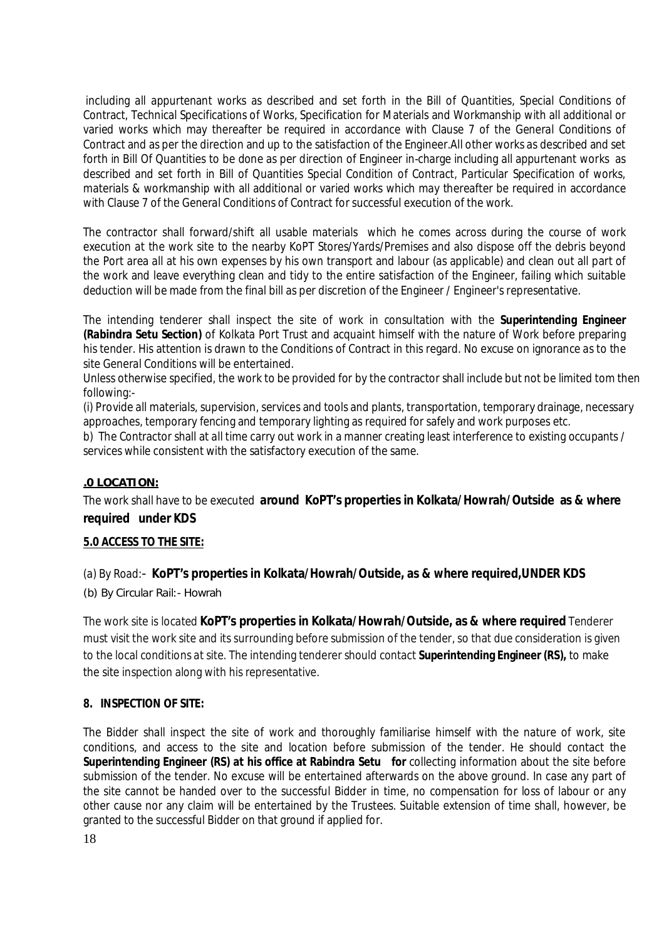including all appurtenant works as described and set forth in the Bill of Quantities, Special Conditions of Contract, Technical Specifications of Works, Specification for Materials and Workmanship with all additional or varied works which may thereafter be required in accordance with Clause 7 of the General Conditions of Contract and as per the direction and up to the satisfaction of the Engineer.All other works as described and set forth in Bill Of Quantities to be done as per direction of Engineer in-charge including all appurtenant works as described and set forth in Bill of Quantities Special Condition of Contract, Particular Specification of works, materials & workmanship with all additional or varied works which may thereafter be required in accordance with Clause 7 of the General Conditions of Contract for successful execution of the work.

The contractor shall forward/shift all usable materials which he comes across during the course of work execution at the work site to the nearby KoPT Stores/Yards/Premises and also dispose off the debris beyond the Port area all at his own expenses by his own transport and labour (as applicable) and clean out all part of the work and leave everything clean and tidy to the entire satisfaction of the Engineer, failing which suitable deduction will be made from the final bill as per discretion of the Engineer / Engineer's representative.

The intending tenderer shall inspect the site of work in consultation with the **Superintending Engineer (Rabindra Setu Section)** of Kolkata Port Trust and acquaint himself with the nature of Work before preparing his tender. His attention is drawn to the Conditions of Contract in this regard. No excuse on ignorance as to the site General Conditions will be entertained.

Unless otherwise specified, the work to be provided for by the contractor shall include but not be limited tom then following:-

(i) Provide all materials, supervision, services and tools and plants, transportation, temporary drainage, necessary approaches, temporary fencing and temporary lighting as required for safely and work purposes etc.

b) The Contractor shall at all time carry out work in a manner creating least interference to existing occupants / services while consistent with the satisfactory execution of the same.

#### **.0 LOCATION:**

The work shall have to be executed **around KoPT's properties in Kolkata/Howrah/Outside as & where required under KDS**

#### **5.0 ACCESS TO THE SITE:**

(a) By Road:- **KoPT's properties in Kolkata/Howrah/Outside, as & where required,UNDER KDS**

(b) By Circular Rail:- Howrah

The work site is located **KoPT's properties in Kolkata/Howrah/Outside, as & where required** Tenderer must visit the work site and its surrounding before submission of the tender, so that due consideration is given to the local conditions at site. The intending tenderer should contact **Superintending Engineer (RS),** to make the site inspection along with his representative.

#### **8. INSPECTION OF SITE:**

The Bidder shall inspect the site of work and thoroughly familiarise himself with the nature of work, site conditions, and access to the site and location before submission of the tender. He should contact the **Superintending Engineer (RS) at his office at Rabindra Setu for** collecting information about the site before submission of the tender. No excuse will be entertained afterwards on the above ground. In case any part of the site cannot be handed over to the successful Bidder in time, no compensation for loss of labour or any other cause nor any claim will be entertained by the Trustees. Suitable extension of time shall, however, be granted to the successful Bidder on that ground if applied for.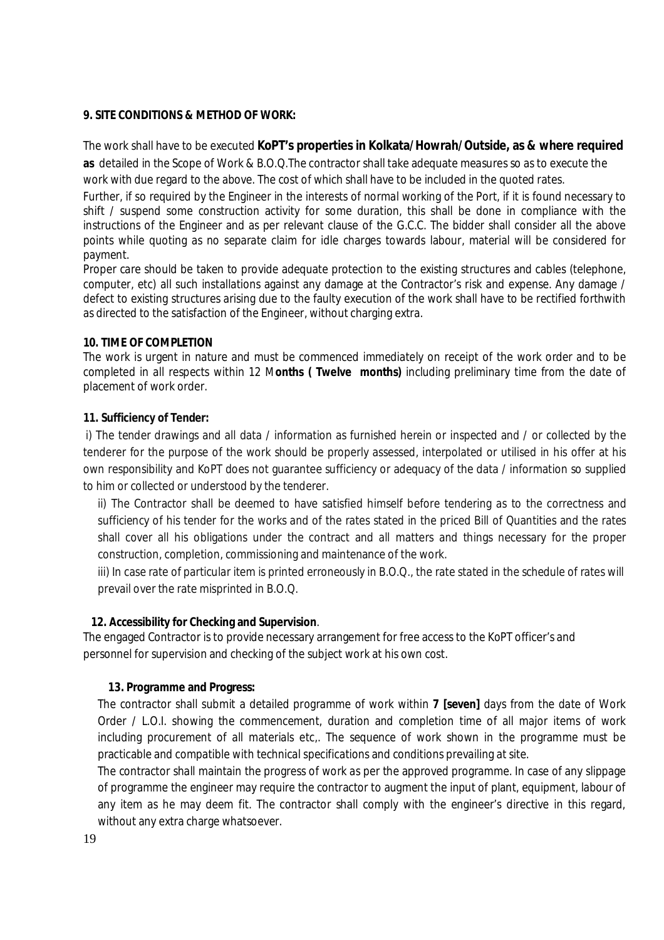#### **9. SITE CONDITIONS & METHOD OF WORK:**

The work shall have to be executed **KoPT's properties in Kolkata/Howrah/Outside, as & where required**

**as** detailed in the Scope of Work & B.O.Q.The contractor shall take adequate measures so as to execute the work with due regard to the above. The cost of which shall have to be included in the quoted rates.

Further, if so required by the Engineer in the interests of normal working of the Port, if it is found necessary to shift / suspend some construction activity for some duration, this shall be done in compliance with the instructions of the Engineer and as per relevant clause of the G.C.C. The bidder shall consider all the above points while quoting as no separate claim for idle charges towards labour, material will be considered for payment.

Proper care should be taken to provide adequate protection to the existing structures and cables (telephone, computer, etc) all such installations against any damage at the Contractor's risk and expense. Any damage / defect to existing structures arising due to the faulty execution of the work shall have to be rectified forthwith as directed to the satisfaction of the Engineer, without charging extra.

#### **10. TIME OF COMPLETION**

The work is urgent in nature and must be commenced immediately on receipt of the work order and to be completed in all respects within 12 M**onths ( Twelve months)** including preliminary time from the date of placement of work order.

#### **11. Sufficiency of Tender:**

i) The tender drawings and all data / information as furnished herein or inspected and / or collected by the tenderer for the purpose of the work should be properly assessed, interpolated or utilised in his offer at his own responsibility and KoPT does not guarantee sufficiency or adequacy of the data / information so supplied to him or collected or understood by the tenderer.

ii) The Contractor shall be deemed to have satisfied himself before tendering as to the correctness and sufficiency of his tender for the works and of the rates stated in the priced Bill of Quantities and the rates shall cover all his obligations under the contract and all matters and things necessary for the proper construction, completion, commissioning and maintenance of the work.

iii) In case rate of particular item is printed erroneously in B.O.Q., the rate stated in the schedule of rates will prevail over the rate misprinted in B.O.Q.

#### **12. Accessibility for Checking and Supervision**.

The engaged Contractor is to provide necessary arrangement for free access to the KoPT officer's and personnel for supervision and checking of the subject work at his own cost.

#### **13. Programme and Progress:**

The contractor shall submit a detailed programme of work within **7 [seven]** days from the date of Work Order / L.O.I. showing the commencement, duration and completion time of all major items of work including procurement of all materials etc.. The sequence of work shown in the programme must be practicable and compatible with technical specifications and conditions prevailing at site.

The contractor shall maintain the progress of work as per the approved programme. In case of any slippage of programme the engineer may require the contractor to augment the input of plant, equipment, labour of any item as he may deem fit. The contractor shall comply with the engineer's directive in this regard, without any extra charge whatsoever.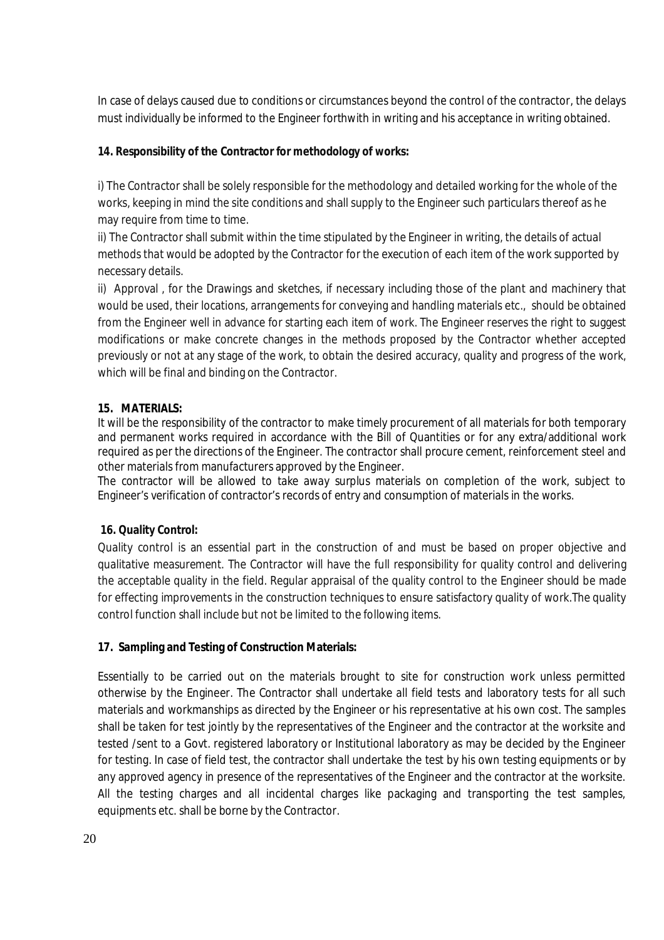In case of delays caused due to conditions or circumstances beyond the control of the contractor, the delays must individually be informed to the Engineer forthwith in writing and his acceptance in writing obtained.

# **14. Responsibility of the Contractor for methodology of works:**

i) The Contractor shall be solely responsible for the methodology and detailed working for the whole of the works, keeping in mind the site conditions and shall supply to the Engineer such particulars thereof as he may require from time to time.

ii) The Contractor shall submit within the time stipulated by the Engineer in writing, the details of actual methods that would be adopted by the Contractor for the execution of each item of the work supported by necessary details.

ii) Approval , for the Drawings and sketches, if necessary including those of the plant and machinery that would be used, their locations, arrangements for conveying and handling materials etc., should be obtained from the Engineer well in advance for starting each item of work. The Engineer reserves the right to suggest modifications or make concrete changes in the methods proposed by the Contractor whether accepted previously or not at any stage of the work, to obtain the desired accuracy, quality and progress of the work, which will be final and binding on the Contractor.

# **15. MATERIALS:**

It will be the responsibility of the contractor to make timely procurement of all materials for both temporary and permanent works required in accordance with the Bill of Quantities or for any extra/additional work required as per the directions of the Engineer. The contractor shall procure cement, reinforcement steel and other materials from manufacturers approved by the Engineer.

The contractor will be allowed to take away surplus materials on completion of the work, subject to Engineer's verification of contractor's records of entry and consumption of materials in the works.

# **16. Quality Control:**

Quality control is an essential part in the construction of and must be based on proper objective and qualitative measurement. The Contractor will have the full responsibility for quality control and delivering the acceptable quality in the field. Regular appraisal of the quality control to the Engineer should be made for effecting improvements in the construction techniques to ensure satisfactory quality of work.The quality control function shall include but not be limited to the following items.

#### **17. Sampling and Testing of Construction Materials:**

Essentially to be carried out on the materials brought to site for construction work unless permitted otherwise by the Engineer. The Contractor shall undertake all field tests and laboratory tests for all such materials and workmanships as directed by the Engineer or his representative at his own cost. The samples shall be taken for test jointly by the representatives of the Engineer and the contractor at the worksite and tested /sent to a Govt. registered laboratory or Institutional laboratory as may be decided by the Engineer for testing. In case of field test, the contractor shall undertake the test by his own testing equipments or by any approved agency in presence of the representatives of the Engineer and the contractor at the worksite. All the testing charges and all incidental charges like packaging and transporting the test samples, equipments etc. shall be borne by the Contractor.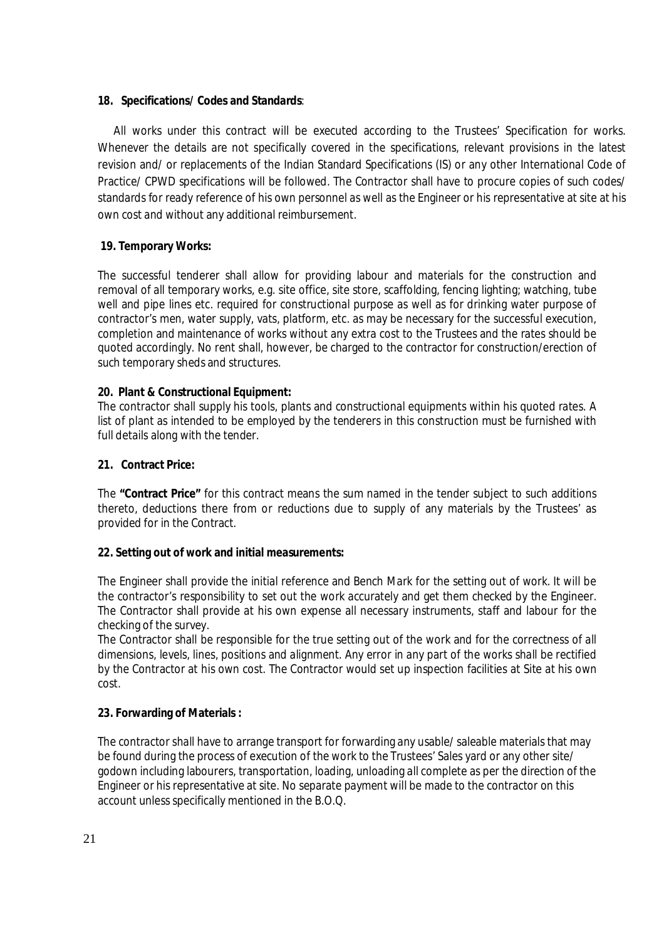#### **18. Specifications/ Codes and Standards**:

All works under this contract will be executed according to the Trustees' Specification for works. Whenever the details are not specifically covered in the specifications, relevant provisions in the latest revision and/ or replacements of the Indian Standard Specifications (IS) or any other International Code of Practice/ CPWD specifications will be followed. The Contractor shall have to procure copies of such codes/ standards for ready reference of his own personnel as well as the Engineer or his representative at site at his own cost and without any additional reimbursement.

# **19. Temporary Works:**

The successful tenderer shall allow for providing labour and materials for the construction and removal of all temporary works, e.g. site office, site store, scaffolding, fencing lighting; watching, tube well and pipe lines etc. required for constructional purpose as well as for drinking water purpose of contractor's men, water supply, vats, platform, etc. as may be necessary for the successful execution, completion and maintenance of works without any extra cost to the Trustees and the rates should be quoted accordingly. No rent shall, however, be charged to the contractor for construction/erection of such temporary sheds and structures.

#### **20. Plant & Constructional Equipment:**

The contractor shall supply his tools, plants and constructional equipments within his quoted rates. A list of plant as intended to be employed by the tenderers in this construction must be furnished with full details along with the tender.

## **21. Contract Price:**

The **"Contract Price"** for this contract means the sum named in the tender subject to such additions thereto, deductions there from or reductions due to supply of any materials by the Trustees' as provided for in the Contract.

#### **22. Setting out of work and initial measurements:**

The Engineer shall provide the initial reference and Bench Mark for the setting out of work. It will be the contractor's responsibility to set out the work accurately and get them checked by the Engineer. The Contractor shall provide at his own expense all necessary instruments, staff and labour for the checking of the survey.

The Contractor shall be responsible for the true setting out of the work and for the correctness of all dimensions, levels, lines, positions and alignment. Any error in any part of the works shall be rectified by the Contractor at his own cost. The Contractor would set up inspection facilities at Site at his own cost.

#### **23. Forwarding of Materials :**

The contractor shall have to arrange transport for forwarding any usable/ saleable materials that may be found during the process of execution of the work to the Trustees' Sales yard or any other site/ godown including labourers, transportation, loading, unloading all complete as per the direction of the Engineer or his representative at site. No separate payment will be made to the contractor on this account unless specifically mentioned in the B.O.Q.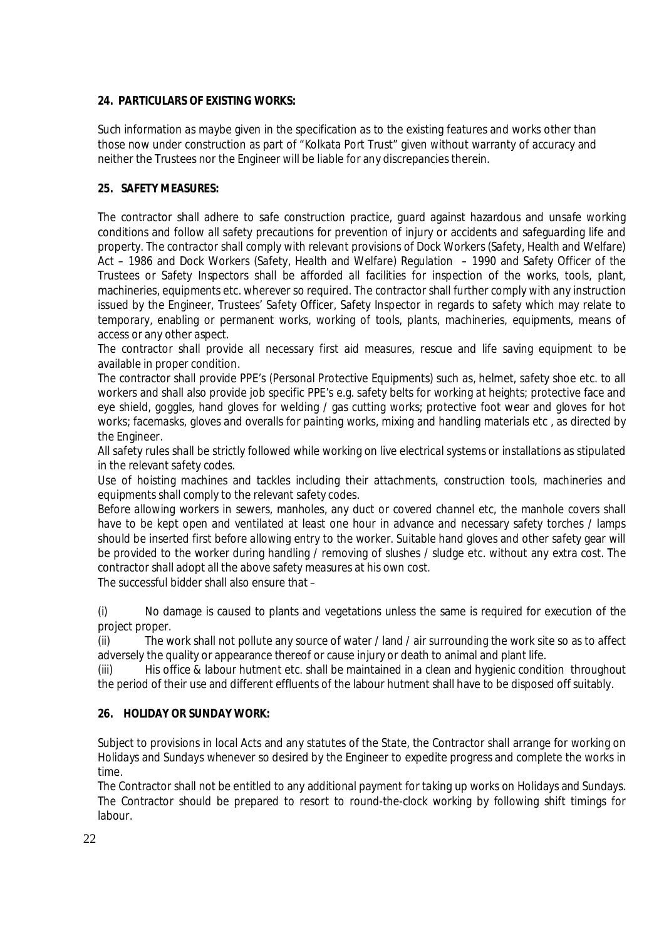# **24. PARTICULARS OF EXISTING WORKS:**

Such information as maybe given in the specification as to the existing features and works other than those now under construction as part of "Kolkata Port Trust" given without warranty of accuracy and neither the Trustees nor the Engineer will be liable for any discrepancies therein.

# **25. SAFETY MEASURES:**

The contractor shall adhere to safe construction practice, guard against hazardous and unsafe working conditions and follow all safety precautions for prevention of injury or accidents and safeguarding life and property. The contractor shall comply with relevant provisions of Dock Workers (Safety, Health and Welfare) Act – 1986 and Dock Workers (Safety, Health and Welfare) Regulation – 1990 and Safety Officer of the Trustees or Safety Inspectors shall be afforded all facilities for inspection of the works, tools, plant, machineries, equipments etc. wherever so required. The contractor shall further comply with any instruction issued by the Engineer, Trustees' Safety Officer, Safety Inspector in regards to safety which may relate to temporary, enabling or permanent works, working of tools, plants, machineries, equipments, means of access or any other aspect.

The contractor shall provide all necessary first aid measures, rescue and life saving equipment to be available in proper condition.

The contractor shall provide PPE's (Personal Protective Equipments) such as, helmet, safety shoe etc. to all workers and shall also provide job specific PPE's e.g. safety belts for working at heights; protective face and eye shield, goggles, hand gloves for welding / gas cutting works; protective foot wear and gloves for hot works; facemasks, gloves and overalls for painting works, mixing and handling materials etc , as directed by the Engineer.

All safety rules shall be strictly followed while working on live electrical systems or installations as stipulated in the relevant safety codes.

Use of hoisting machines and tackles including their attachments, construction tools, machineries and equipments shall comply to the relevant safety codes.

Before allowing workers in sewers, manholes, any duct or covered channel etc, the manhole covers shall have to be kept open and ventilated at least one hour in advance and necessary safety torches / lamps should be inserted first before allowing entry to the worker. Suitable hand gloves and other safety gear will be provided to the worker during handling / removing of slushes / sludge etc. without any extra cost. The contractor shall adopt all the above safety measures at his own cost.

The successful bidder shall also ensure that –

(i) No damage is caused to plants and vegetations unless the same is required for execution of the project proper.

(ii) The work shall not pollute any source of water / land / air surrounding the work site so as to affect adversely the quality or appearance thereof or cause injury or death to animal and plant life.

(iii) His office & labour hutment etc. shall be maintained in a clean and hygienic condition throughout the period of their use and different effluents of the labour hutment shall have to be disposed off suitably.

# **26. HOLIDAY OR SUNDAY WORK:**

Subject to provisions in local Acts and any statutes of the State, the Contractor shall arrange for working on Holidays and Sundays whenever so desired by the Engineer to expedite progress and complete the works in time.

The Contractor shall not be entitled to any additional payment for taking up works on Holidays and Sundays. The Contractor should be prepared to resort to round-the-clock working by following shift timings for labour.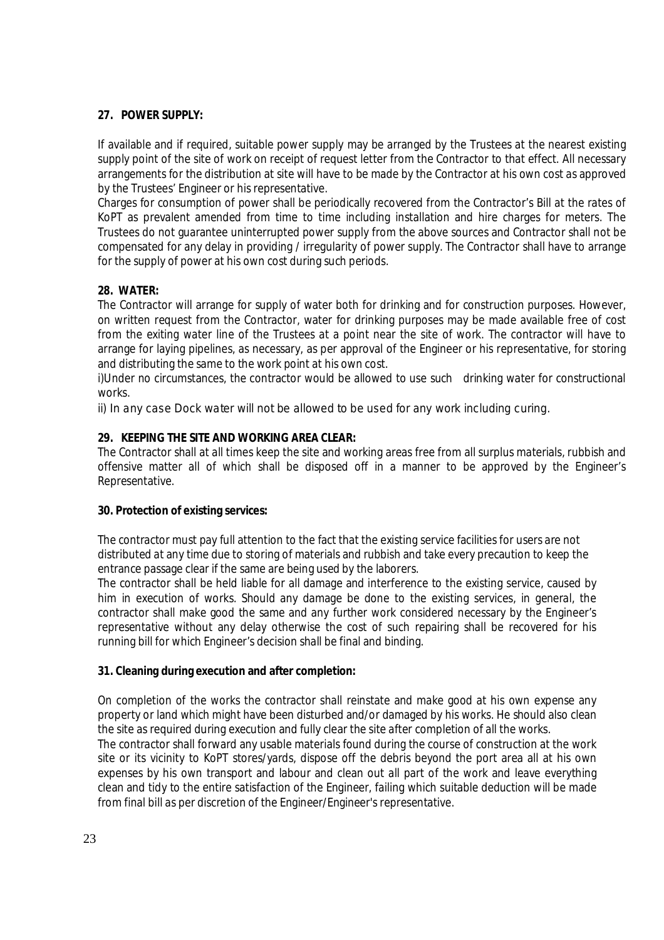## **27. POWER SUPPLY:**

If available and if required, suitable power supply may be arranged by the Trustees at the nearest existing supply point of the site of work on receipt of request letter from the Contractor to that effect. All necessary arrangements for the distribution at site will have to be made by the Contractor at his own cost as approved by the Trustees' Engineer or his representative.

Charges for consumption of power shall be periodically recovered from the Contractor's Bill at the rates of KoPT as prevalent amended from time to time including installation and hire charges for meters. The Trustees do not guarantee uninterrupted power supply from the above sources and Contractor shall not be compensated for any delay in providing / irregularity of power supply. The Contractor shall have to arrange for the supply of power at his own cost during such periods.

# **28. WATER:**

The Contractor will arrange for supply of water both for drinking and for construction purposes. However, on written request from the Contractor, water for drinking purposes may be made available free of cost from the exiting water line of the Trustees at a point near the site of work. The contractor will have to arrange for laying pipelines, as necessary, as per approval of the Engineer or his representative, for storing and distributing the same to the work point at his own cost.

i)Under no circumstances, the contractor would be allowed to use such drinking water for constructional works.

ii) In any case Dock water will not be allowed to be used for any work including curing.

# **29. KEEPING THE SITE AND WORKING AREA CLEAR:**

The Contractor shall at all times keep the site and working areas free from all surplus materials, rubbish and offensive matter all of which shall be disposed off in a manner to be approved by the Engineer's Representative.

#### **30. Protection of existing services:**

The contractor must pay full attention to the fact that the existing service facilities for users are not distributed at any time due to storing of materials and rubbish and take every precaution to keep the entrance passage clear if the same are being used by the laborers.

The contractor shall be held liable for all damage and interference to the existing service, caused by him in execution of works. Should any damage be done to the existing services, in general, the contractor shall make good the same and any further work considered necessary by the Engineer's representative without any delay otherwise the cost of such repairing shall be recovered for his running bill for which Engineer's decision shall be final and binding.

#### **31. Cleaning during execution and after completion:**

On completion of the works the contractor shall reinstate and make good at his own expense any property or land which might have been disturbed and/or damaged by his works. He should also clean the site as required during execution and fully clear the site after completion of all the works.

The contractor shall forward any usable materials found during the course of construction at the work site or its vicinity to KoPT stores/yards, dispose off the debris beyond the port area all at his own expenses by his own transport and labour and clean out all part of the work and leave everything clean and tidy to the entire satisfaction of the Engineer, failing which suitable deduction will be made from final bill as per discretion of the Engineer/Engineer's representative.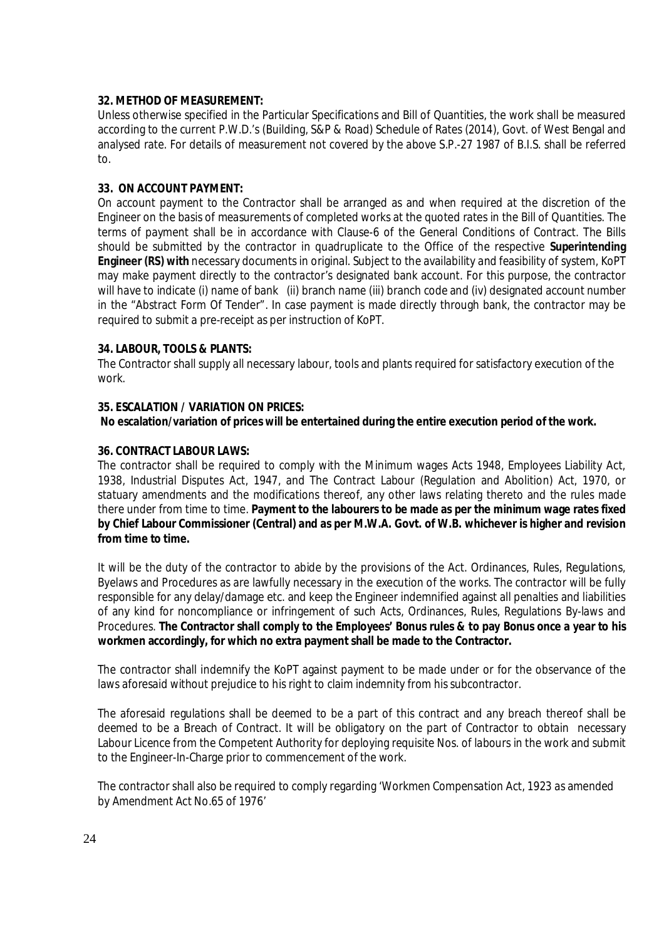#### **32. METHOD OF MEASUREMENT:**

Unless otherwise specified in the Particular Specifications and Bill of Quantities, the work shall be measured according to the current P.W.D.'s (Building, S&P & Road) Schedule of Rates (2014), Govt. of West Bengal and analysed rate. For details of measurement not covered by the above S.P.-27 1987 of B.I.S. shall be referred to.

#### **33. ON ACCOUNT PAYMENT:**

On account payment to the Contractor shall be arranged as and when required at the discretion of the Engineer on the basis of measurements of completed works at the quoted rates in the Bill of Quantities. The terms of payment shall be in accordance with Clause-6 of the General Conditions of Contract. The Bills should be submitted by the contractor in quadruplicate to the Office of the respective **Superintending Engineer (RS) with** necessary documents in original. Subject to the availability and feasibility of system, KoPT may make payment directly to the contractor's designated bank account. For this purpose, the contractor will have to indicate (i) name of bank (ii) branch name (iii) branch code and (iv) designated account number in the "Abstract Form Of Tender". In case payment is made directly through bank, the contractor may be required to submit a pre-receipt as per instruction of KoPT.

#### **34. LABOUR, TOOLS & PLANTS:**

The Contractor shall supply all necessary labour, tools and plants required for satisfactory execution of the work.

#### **35. ESCALATION / VARIATION ON PRICES:**

**No escalation/variation of prices will be entertained during the entire execution period of the work.**

#### **36. CONTRACT LABOUR LAWS:**

The contractor shall be required to comply with the Minimum wages Acts 1948, Employees Liability Act, 1938, Industrial Disputes Act, 1947, and The Contract Labour (Regulation and Abolition) Act, 1970, or statuary amendments and the modifications thereof, any other laws relating thereto and the rules made there under from time to time. **Payment to the labourers to be made as per the minimum wage rates fixed by Chief Labour Commissioner (Central) and as per M.W.A. Govt. of W.B. whichever is higher and revision from time to time.**

It will be the duty of the contractor to abide by the provisions of the Act. Ordinances, Rules, Regulations, Byelaws and Procedures as are lawfully necessary in the execution of the works. The contractor will be fully responsible for any delay/damage etc. and keep the Engineer indemnified against all penalties and liabilities of any kind for noncompliance or infringement of such Acts, Ordinances, Rules, Regulations By-laws and Procedures. **The Contractor shall comply to the Employees' Bonus rules & to pay Bonus once a year to his workmen accordingly, for which no extra payment shall be made to the Contractor.**

The contractor shall indemnify the KoPT against payment to be made under or for the observance of the laws aforesaid without prejudice to his right to claim indemnity from his subcontractor.

The aforesaid regulations shall be deemed to be a part of this contract and any breach thereof shall be deemed to be a Breach of Contract. It will be obligatory on the part of Contractor to obtain necessary Labour Licence from the Competent Authority for deploying requisite Nos. of labours in the work and submit to the Engineer-In-Charge prior to commencement of the work.

The contractor shall also be required to comply regarding 'Workmen Compensation Act, 1923 as amended by Amendment Act No.65 of 1976'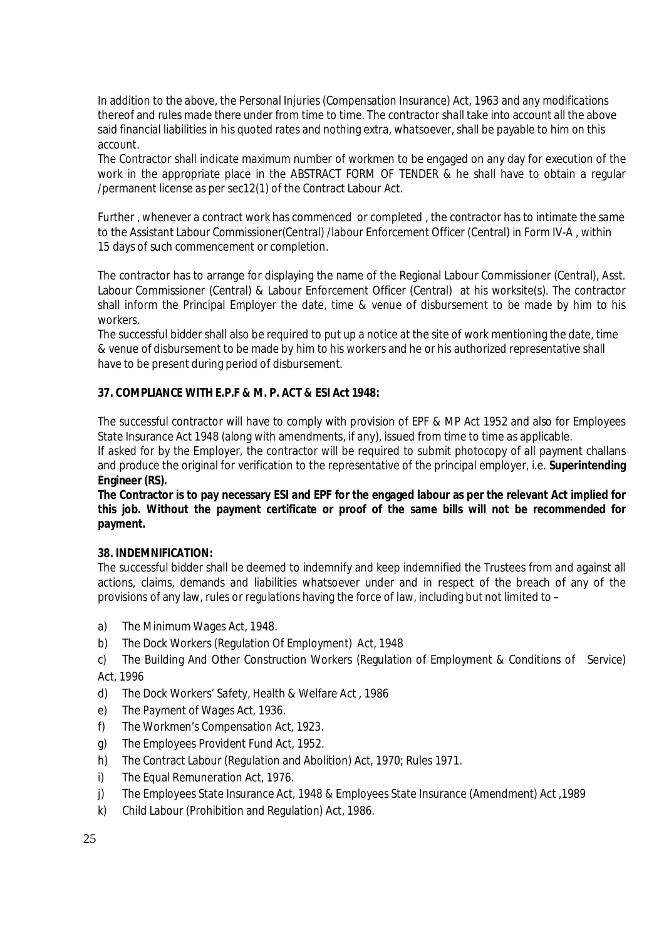In addition to the above, the Personal Injuries (Compensation Insurance) Act, 1963 and any modifications thereof and rules made there under from time to time. The contractor shall take into account all the above said financial liabilities in his quoted rates and nothing extra, whatsoever, shall be payable to him on this account.

The Contractor shall indicate maximum number of workmen to be engaged on any day for execution of the work in the appropriate place in the ABSTRACT FORM OF TENDER & he shall have to obtain a regular /permanent license as per sec12(1) of the Contract Labour Act.

Further , whenever a contract work has commenced or completed , the contractor has to intimate the same to the Assistant Labour Commissioner(Central) /labour Enforcement Officer (Central) in Form IV-A , within 15 days of such commencement or completion.

The contractor has to arrange for displaying the name of the Regional Labour Commissioner (Central), Asst. Labour Commissioner (Central) & Labour Enforcement Officer (Central) at his worksite(s). The contractor shall inform the Principal Employer the date, time & venue of disbursement to be made by him to his workers.

The successful bidder shall also be required to put up a notice at the site of work mentioning the date, time & venue of disbursement to be made by him to his workers and he or his authorized representative shall have to be present during period of disbursement.

#### **37. COMPLIANCE WITH E.P.F & M. P. ACT & ESI Act 1948:**

The successful contractor will have to comply with provision of EPF & MP Act 1952 and also for Employees State Insurance Act 1948 (along with amendments, if any), issued from time to time as applicable.

If asked for by the Employer, the contractor will be required to submit photocopy of all payment challans and produce the original for verification to the representative of the principal employer, i.e. **Superintending Engineer (RS).**

**The Contractor is to pay necessary ESI and EPF for the engaged labour as per the relevant Act implied for this job. Without the payment certificate or proof of the same bills will not be recommended for payment.**

#### **38. INDEMNIFICATION:**

The successful bidder shall be deemed to indemnify and keep indemnified the Trustees from and against all actions, claims, demands and liabilities whatsoever under and in respect of the breach of any of the provisions of any law, rules or regulations having the force of law, including but not limited to –

- a) The Minimum Wages Act, 1948.
- b) The Dock Workers (Regulation Of Employment) Act, 1948
- c) The Building And Other Construction Workers (Regulation of Employment & Conditions of Service) Act, 1996
- d) The Dock Workers' Safety, Health & Welfare Act , 1986
- e) The Payment of Wages Act, 1936.
- f) The Workmen's Compensation Act, 1923.
- g) The Employees Provident Fund Act, 1952.
- h) The Contract Labour (Regulation and Abolition) Act, 1970; Rules 1971.
- i) The Equal Remuneration Act, 1976.
- j) The Employees State Insurance Act, 1948 & Employees State Insurance (Amendment) Act ,1989
- k) Child Labour (Prohibition and Regulation) Act, 1986.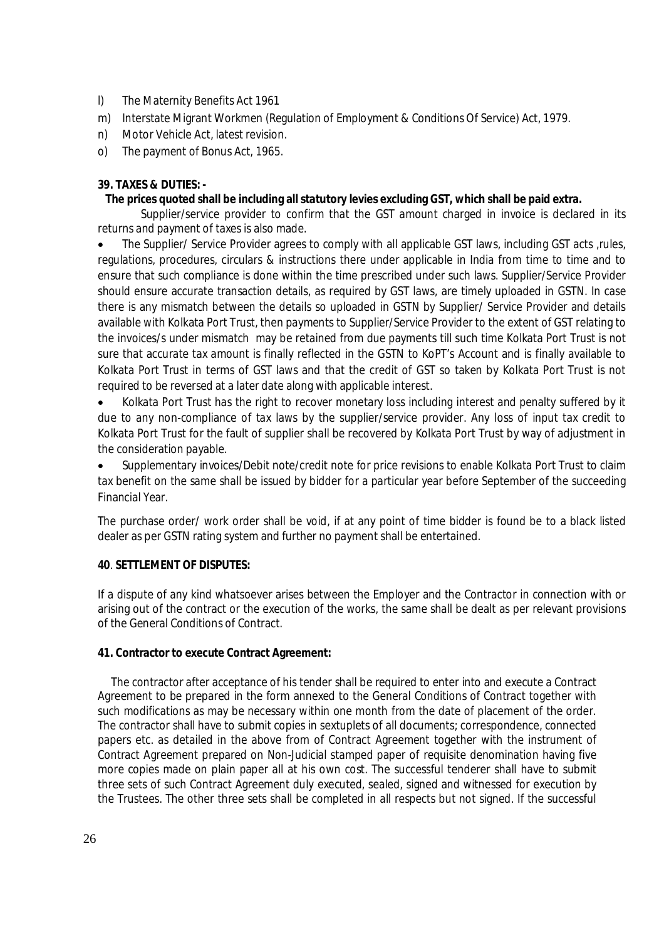- l) The Maternity Benefits Act 1961
- m) Interstate Migrant Workmen (Regulation of Employment & Conditions Of Service) Act, 1979.
- n) Motor Vehicle Act, latest revision.
- o) The payment of Bonus Act, 1965.

#### **39. TAXES & DUTIES: -**

#### **The prices quoted shall be including all statutory levies excluding GST, which shall be paid extra.**

 Supplier/service provider to confirm that the GST amount charged in invoice is declared in its returns and payment of taxes is also made.

 The Supplier/ Service Provider agrees to comply with all applicable GST laws, including GST acts ,rules, regulations, procedures, circulars & instructions there under applicable in India from time to time and to ensure that such compliance is done within the time prescribed under such laws. Supplier/Service Provider should ensure accurate transaction details, as required by GST laws, are timely uploaded in GSTN. In case there is any mismatch between the details so uploaded in GSTN by Supplier/ Service Provider and details available with Kolkata Port Trust, then payments to Supplier/Service Provider to the extent of GST relating to the invoices/s under mismatch may be retained from due payments till such time Kolkata Port Trust is not sure that accurate tax amount is finally reflected in the GSTN to KoPT's Account and is finally available to Kolkata Port Trust in terms of GST laws and that the credit of GST so taken by Kolkata Port Trust is not required to be reversed at a later date along with applicable interest.

 Kolkata Port Trust has the right to recover monetary loss including interest and penalty suffered by it due to any non-compliance of tax laws by the supplier/service provider. Any loss of input tax credit to Kolkata Port Trust for the fault of supplier shall be recovered by Kolkata Port Trust by way of adjustment in the consideration payable.

 Supplementary invoices/Debit note/credit note for price revisions to enable Kolkata Port Trust to claim tax benefit on the same shall be issued by bidder for a particular year before September of the succeeding Financial Year.

The purchase order/ work order shall be void, if at any point of time bidder is found be to a black listed dealer as per GSTN rating system and further no payment shall be entertained.

#### **40**. **SETTLEMENT OF DISPUTES:**

If a dispute of any kind whatsoever arises between the Employer and the Contractor in connection with or arising out of the contract or the execution of the works, the same shall be dealt as per relevant provisions of the General Conditions of Contract.

#### **41. Contractor to execute Contract Agreement:**

 The contractor after acceptance of his tender shall be required to enter into and execute a Contract Agreement to be prepared in the form annexed to the General Conditions of Contract together with such modifications as may be necessary within one month from the date of placement of the order. The contractor shall have to submit copies in sextuplets of all documents; correspondence, connected papers etc. as detailed in the above from of Contract Agreement together with the instrument of Contract Agreement prepared on Non-Judicial stamped paper of requisite denomination having five more copies made on plain paper all at his own cost. The successful tenderer shall have to submit three sets of such Contract Agreement duly executed, sealed, signed and witnessed for execution by the Trustees. The other three sets shall be completed in all respects but not signed. If the successful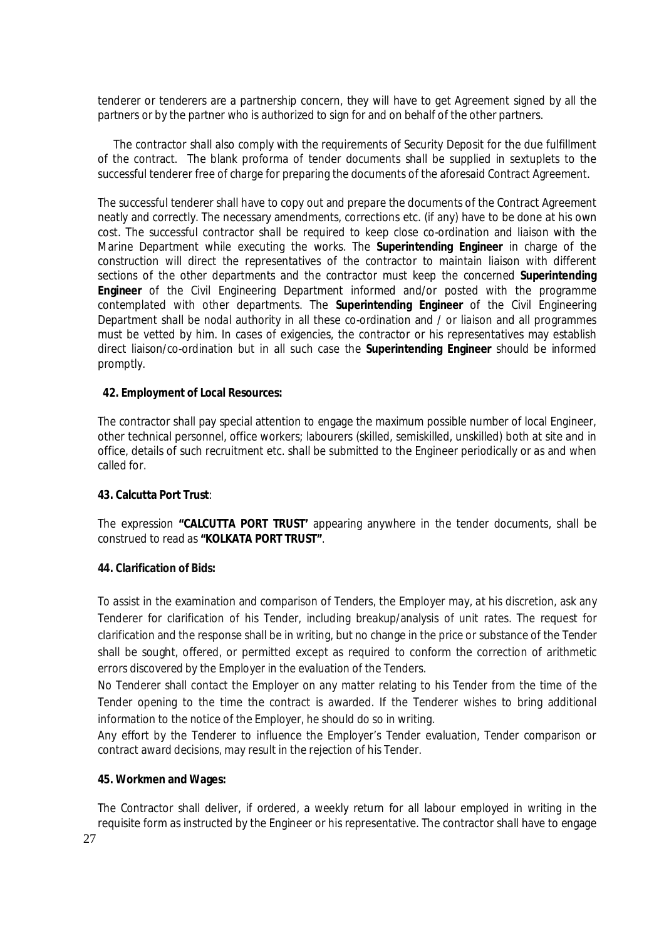tenderer or tenderers are a partnership concern, they will have to get Agreement signed by all the partners or by the partner who is authorized to sign for and on behalf of the other partners.

 The contractor shall also comply with the requirements of Security Deposit for the due fulfillment of the contract. The blank proforma of tender documents shall be supplied in sextuplets to the successful tenderer free of charge for preparing the documents of the aforesaid Contract Agreement.

The successful tenderer shall have to copy out and prepare the documents of the Contract Agreement neatly and correctly. The necessary amendments, corrections etc. (if any) have to be done at his own cost. The successful contractor shall be required to keep close co-ordination and liaison with the Marine Department while executing the works. The **Superintending Engineer** in charge of the construction will direct the representatives of the contractor to maintain liaison with different sections of the other departments and the contractor must keep the concerned **Superintending Engineer** of the Civil Engineering Department informed and/or posted with the programme contemplated with other departments. The **Superintending Engineer** of the Civil Engineering Department shall be nodal authority in all these co-ordination and / or liaison and all programmes must be vetted by him. In cases of exigencies, the contractor or his representatives may establish direct liaison/co-ordination but in all such case the **Superintending Engineer** should be informed promptly.

#### **42. Employment of Local Resources:**

The contractor shall pay special attention to engage the maximum possible number of local Engineer, other technical personnel, office workers; labourers (skilled, semiskilled, unskilled) both at site and in office, details of such recruitment etc. shall be submitted to the Engineer periodically or as and when called for.

#### **43. Calcutta Port Trust**:

The expression **"CALCUTTA PORT TRUST'** appearing anywhere in the tender documents, shall be construed to read as **"KOLKATA PORT TRUST"**.

#### **44. Clarification of Bids:**

To assist in the examination and comparison of Tenders, the Employer may, at his discretion, ask any Tenderer for clarification of his Tender, including breakup/analysis of unit rates. The request for clarification and the response shall be in writing, but no change in the price or substance of the Tender shall be sought, offered, or permitted except as required to conform the correction of arithmetic errors discovered by the Employer in the evaluation of the Tenders.

No Tenderer shall contact the Employer on any matter relating to his Tender from the time of the Tender opening to the time the contract is awarded. If the Tenderer wishes to bring additional information to the notice of the Employer, he should do so in writing.

Any effort by the Tenderer to influence the Employer's Tender evaluation, Tender comparison or contract award decisions, may result in the rejection of his Tender.

#### **45. Workmen and Wages:**

The Contractor shall deliver, if ordered, a weekly return for all labour employed in writing in the requisite form as instructed by the Engineer or his representative. The contractor shall have to engage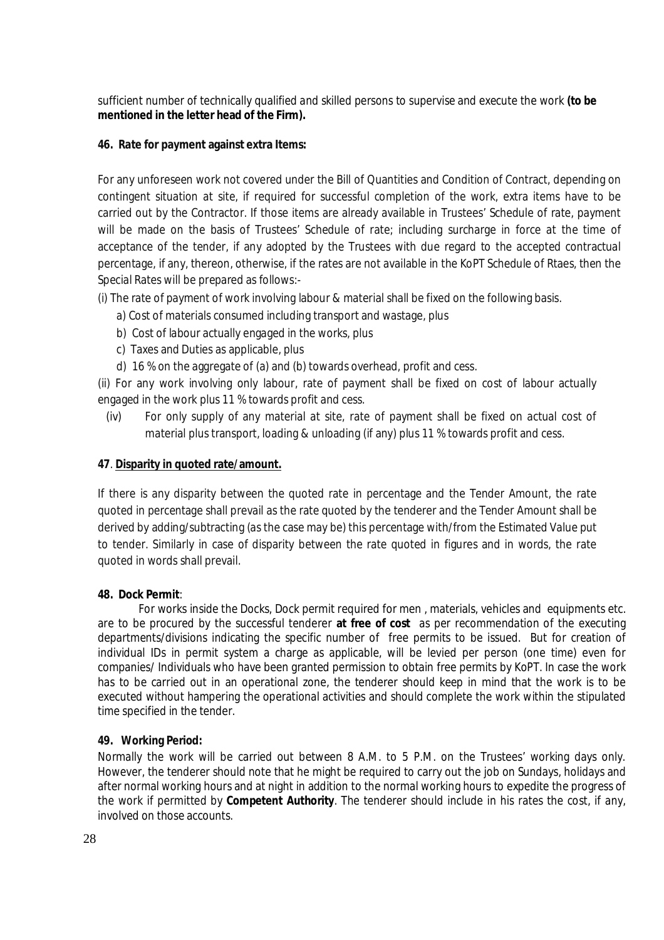sufficient number of technically qualified and skilled persons to supervise and execute the work **(to be mentioned in the letter head of the Firm).**

## **46. Rate for payment against extra Items:**

For any unforeseen work not covered under the Bill of Quantities and Condition of Contract, depending on contingent situation at site, if required for successful completion of the work, extra items have to be carried out by the Contractor. If those items are already available in Trustees' Schedule of rate, payment will be made on the basis of Trustees' Schedule of rate; including surcharge in force at the time of acceptance of the tender, if any adopted by the Trustees with due regard to the accepted contractual percentage, if any, thereon, otherwise, if the rates are not available in the KoPT Schedule of Rtaes, then the Special Rates will be prepared as follows:-

- (i) The rate of payment of work involving labour & material shall be fixed on the following basis.
	- a) Cost of materials consumed including transport and wastage, plus
	- b) Cost of labour actually engaged in the works, plus
	- c) Taxes and Duties as applicable, plus
	- d) 16 % on the aggregate of (a) and (b) towards overhead, profit and cess.

(ii) For any work involving only labour, rate of payment shall be fixed on cost of labour actually engaged in the work plus 11 % towards profit and cess.

(iv) For only supply of any material at site, rate of payment shall be fixed on actual cost of material plus transport, loading & unloading (if any) plus 11 % towards profit and cess.

# **47**. **Disparity in quoted rate/amount.**

If there is any disparity between the quoted rate in percentage and the Tender Amount, the rate quoted in percentage shall prevail as the rate quoted by the tenderer and the Tender Amount shall be derived by adding/subtracting (as the case may be) this percentage with/from the Estimated Value put to tender. Similarly in case of disparity between the rate quoted in figures and in words, the rate quoted in words shall prevail.

#### **48. Dock Permit**:

For works inside the Docks, Dock permit required for men , materials, vehicles and equipments etc. are to be procured by the successful tenderer **at free of cost** as per recommendation of the executing departments/divisions indicating the specific number of free permits to be issued.But for creation of individual IDs in permit system a charge as applicable, will be levied per person (one time) even for companies/ Individuals who have been granted permission to obtain free permits by KoPT. In case the work has to be carried out in an operational zone, the tenderer should keep in mind that the work is to be executed without hampering the operational activities and should complete the work within the stipulated time specified in the tender.

#### **49. Working Period:**

Normally the work will be carried out between 8 A.M. to 5 P.M. on the Trustees' working days only. However, the tenderer should note that he might be required to carry out the job on Sundays, holidays and after normal working hours and at night in addition to the normal working hours to expedite the progress of the work if permitted by **Competent Authority**. The tenderer should include in his rates the cost, if any, involved on those accounts.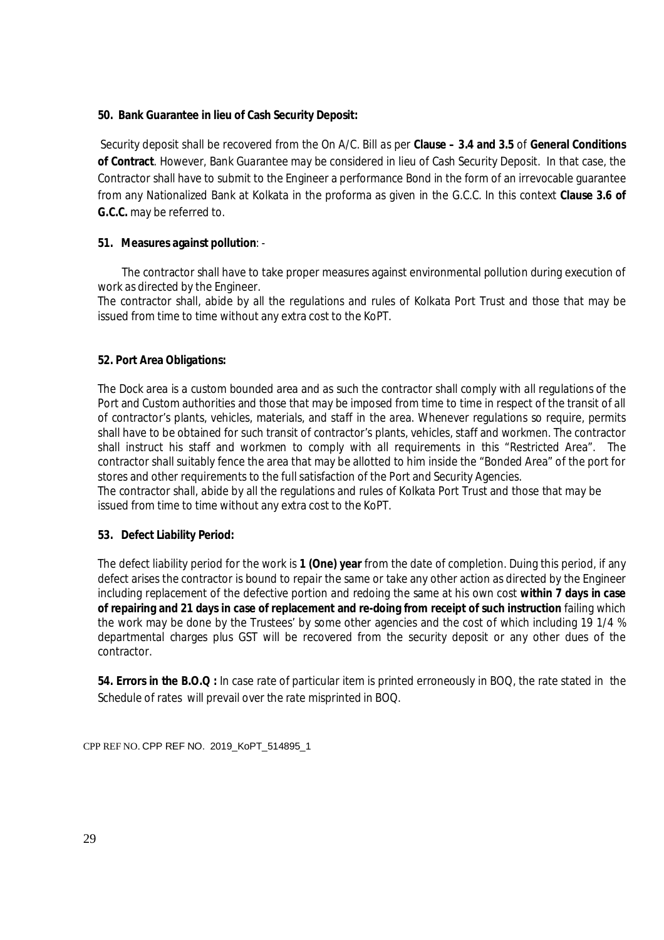#### **50. Bank Guarantee in lieu of Cash Security Deposit:**

Security deposit shall be recovered from the On A/C. Bill as per **Clause – 3.4 and 3.5** of **General Conditions of Contract**. However, Bank Guarantee may be considered in lieu of Cash Security Deposit. In that case, the Contractor shall have to submit to the Engineer a performance Bond in the form of an irrevocable guarantee from any Nationalized Bank at Kolkata in the proforma as given in the G.C.C. In this context **Clause 3.6 of G.C.C.** may be referred to.

#### **51. Measures against pollution**: -

The contractor shall have to take proper measures against environmental pollution during execution of work as directed by the Engineer.

The contractor shall, abide by all the regulations and rules of Kolkata Port Trust and those that may be issued from time to time without any extra cost to the KoPT.

#### **52. Port Area Obligations:**

The Dock area is a custom bounded area and as such the contractor shall comply with all regulations of the Port and Custom authorities and those that may be imposed from time to time in respect of the transit of all of contractor's plants, vehicles, materials, and staff in the area. Whenever regulations so require, permits shall have to be obtained for such transit of contractor's plants, vehicles, staff and workmen. The contractor shall instruct his staff and workmen to comply with all requirements in this "Restricted Area". The contractor shall suitably fence the area that may be allotted to him inside the "Bonded Area" of the port for stores and other requirements to the full satisfaction of the Port and Security Agencies.

The contractor shall, abide by all the regulations and rules of Kolkata Port Trust and those that may be issued from time to time without any extra cost to the KoPT.

#### **53. Defect Liability Period:**

The defect liability period for the work is **1 (One) year** from the date of completion. Duing this period, if any defect arises the contractor is bound to repair the same or take any other action as directed by the Engineer including replacement of the defective portion and redoing the same at his own cost **within 7 days in case of repairing and 21 days in case of replacement and re-doing from receipt of such instruction** failing which the work may be done by the Trustees' by some other agencies and the cost of which including 19 1/4 % departmental charges plus GST will be recovered from the security deposit or any other dues of the contractor.

**54. Errors in the B.O.Q :** In case rate of particular item is printed erroneously in BOQ, the rate stated in the Schedule of rates will prevail over the rate misprinted in BOQ.

CPP REF NO. CPP REF NO. 2019\_KoPT\_514895\_1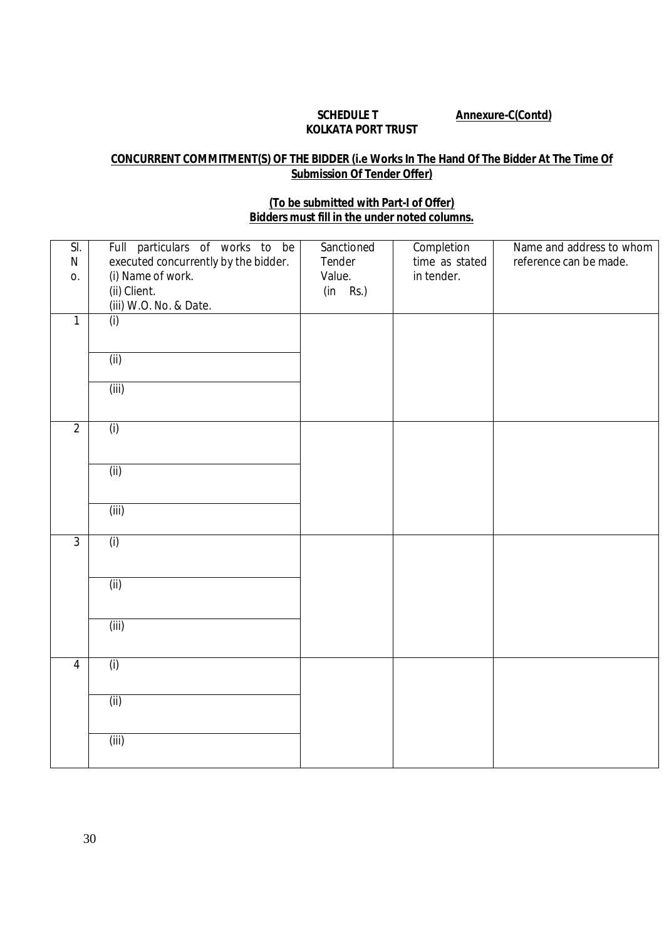#### **SCHEDULE T Annexure-C(Contd) KOLKATA PORT TRUST**

# **CONCURRENT COMMITMENT(S) OF THE BIDDER (i.e Works In The Hand Of The Bidder At The Time Of Submission Of Tender Offer)**

# **(To be submitted with Part-I of Offer) Bidders must fill in the under noted columns.**

| SI.<br>N<br>0. | Full particulars of works to be<br>executed concurrently by the bidder.<br>(i) Name of work.<br>(ii) Client.<br>(iii) W.O. No. & Date. | Sanctioned<br>Tender<br>Value.<br>$(in$ Rs.) | Completion<br>time as stated<br>in tender. | Name and address to whom<br>reference can be made. |
|----------------|----------------------------------------------------------------------------------------------------------------------------------------|----------------------------------------------|--------------------------------------------|----------------------------------------------------|
| $\mathbf{1}$   | (i)                                                                                                                                    |                                              |                                            |                                                    |
|                | (ii)                                                                                                                                   |                                              |                                            |                                                    |
|                | (iii)                                                                                                                                  |                                              |                                            |                                                    |
| $\overline{2}$ | (i)                                                                                                                                    |                                              |                                            |                                                    |
|                | (ii)                                                                                                                                   |                                              |                                            |                                                    |
|                | (iii)                                                                                                                                  |                                              |                                            |                                                    |
| $\overline{3}$ | (i)                                                                                                                                    |                                              |                                            |                                                    |
|                | (ii)                                                                                                                                   |                                              |                                            |                                                    |
|                | (iii)                                                                                                                                  |                                              |                                            |                                                    |
| $\overline{4}$ | (i)                                                                                                                                    |                                              |                                            |                                                    |
|                | (ii)                                                                                                                                   |                                              |                                            |                                                    |
|                | (iii)                                                                                                                                  |                                              |                                            |                                                    |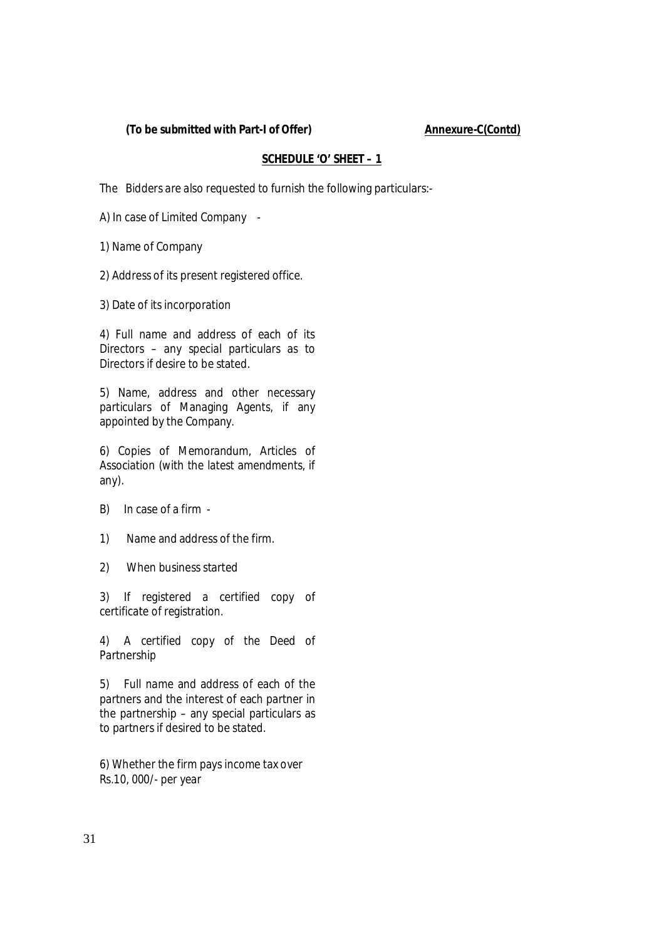#### (To be submitted with Part-I of Offer) Annexure-C(Contd)

#### **SCHEDULE 'O' SHEET – 1**

The Bidders are also requested to furnish the following particulars:-

A) In case of Limited Company -

1) Name of Company :

2) Address of its present registered office.

3) Date of its incorporation :

4) Full name and address of each of its Directors – any special particulars as to Directors if desire to be stated.

5) Name, address and other necessary particulars of Managing Agents, if any appointed by the Company.

6) Copies of Memorandum, Articles of Association (with the latest amendments, if any).

- B) In case of a firm -
- 1) Name and address of the firm.
- 2) When business started

3) If registered a certified copy of certificate of registration.

4) A certified copy of the Deed of Partnership

5) Full name and address of each of the partners and the interest of each partner in the partnership – any special particulars as to partners if desired to be stated.

6) Whether the firm pays income tax over Rs.10, 000/- per year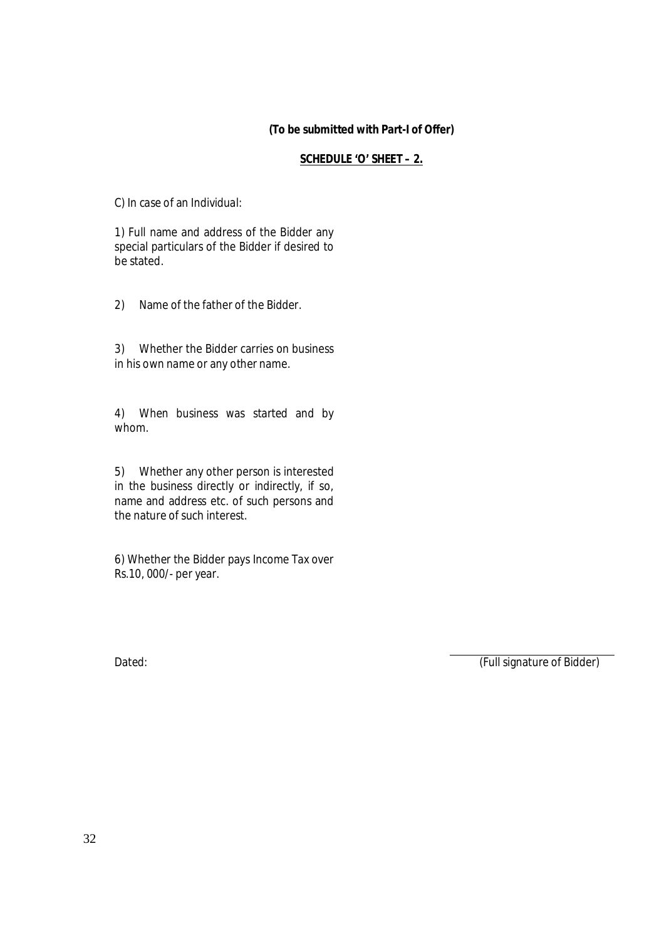#### **(To be submitted with Part-I of Offer)**

#### **SCHEDULE 'O' SHEET – 2.**

C) In case of an Individual:

1) Full name and address of the Bidder any special particulars of the Bidder if desired to be stated.

2) Name of the father of the Bidder.

3) Whether the Bidder carries on business in his own name or any other name.

4) When business was started and by whom.

5) Whether any other person is interested in the business directly or indirectly, if so, name and address etc. of such persons and the nature of such interest.

6) Whether the Bidder pays Income Tax over Rs.10, 000/- per year.

Dated: (Full signature of Bidder)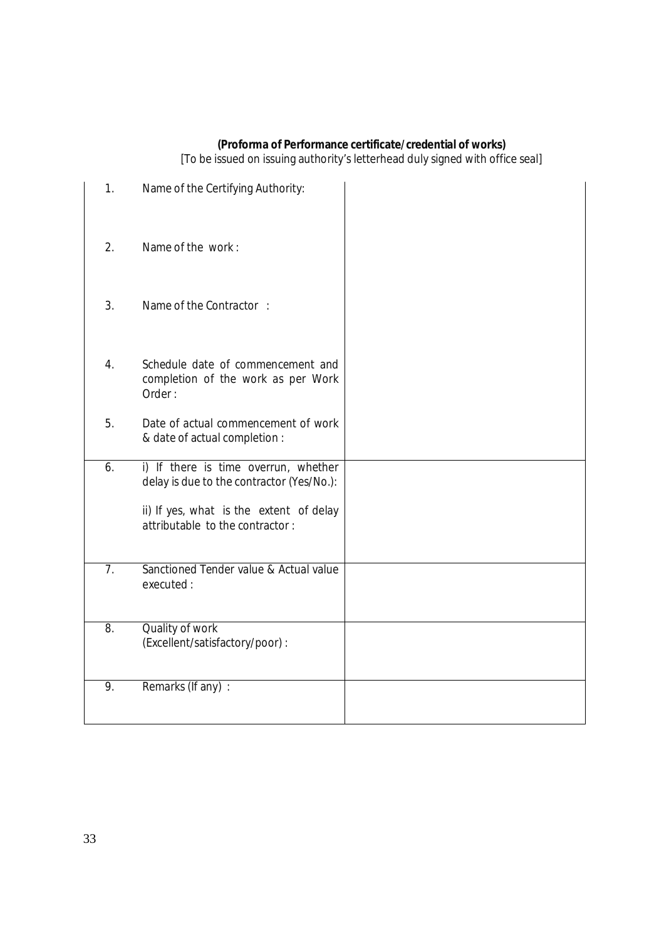#### **(Proforma of Performance certificate/credential of works)**

[To be issued on issuing authority's letterhead duly signed with office seal]

| 1.             | Name of the Certifying Authority:                                                                                                                               |  |
|----------------|-----------------------------------------------------------------------------------------------------------------------------------------------------------------|--|
| 2.             | Name of the work:                                                                                                                                               |  |
| 3.             | Name of the Contractor:                                                                                                                                         |  |
| 4.             | Schedule date of commencement and<br>completion of the work as per Work<br>Order:                                                                               |  |
| 5.             | Date of actual commencement of work<br>& date of actual completion :                                                                                            |  |
| 6.             | i) If there is time overrun, whether<br>delay is due to the contractor (Yes/No.):<br>ii) If yes, what is the extent of delay<br>attributable to the contractor: |  |
| 7 <sub>1</sub> | Sanctioned Tender value & Actual value<br>executed:                                                                                                             |  |
| 8.             | Quality of work<br>(Excellent/satisfactory/poor) :                                                                                                              |  |
| 9.             | Remarks (If any) :                                                                                                                                              |  |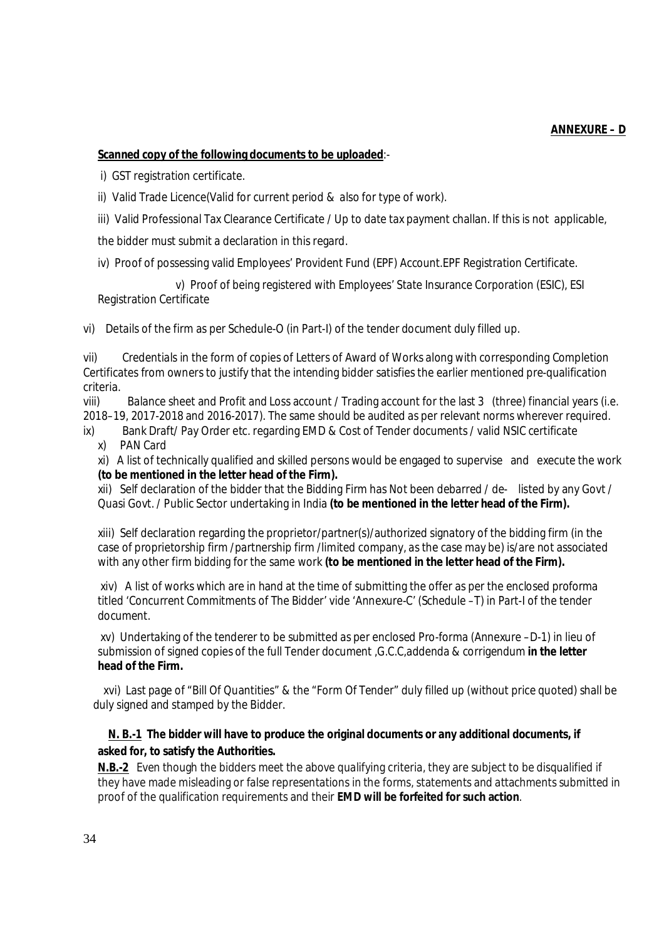# **Scanned copy of the following documents to be uploaded**:-

i) GST registration certificate.

- ii) Valid Trade Licence(Valid for current period & also for type of work).
- iii) Valid Professional Tax Clearance Certificate / Up to date tax payment challan. If this is not applicable,

the bidder must submit a declaration in this regard.

iv) Proof of possessing valid Employees' Provident Fund (EPF) Account.EPF Registration Certificate.

 v) Proof of being registered with Employees' State Insurance Corporation (ESIC), ESI Registration Certificate

vi) Details of the firm as per Schedule-O (in Part-I) of the tender document duly filled up.

vii) Credentials in the form of copies of Letters of Award of Works along with corresponding Completion Certificates from owners to justify that the intending bidder satisfies the earlier mentioned pre-qualification criteria.

viii) Balance sheet and Profit and Loss account / Trading account for the last 3 (three) financial years (i.e. 2018–19, 2017-2018 and 2016-2017). The same should be audited as per relevant norms wherever required.

ix) Bank Draft/ Pay Order etc. regarding EMD & Cost of Tender documents / valid NSIC certificate x) PAN Card

xi) A list of technically qualified and skilled persons would be engaged to supervise and execute the work **(to be mentioned in the letter head of the Firm).** 

xii) Self declaration of the bidder that the Bidding Firm has Not been debarred / de- listed by any Govt / Quasi Govt. / Public Sector undertaking in India **(to be mentioned in the letter head of the Firm).** 

xiii) Self declaration regarding the proprietor/partner(s)/authorized signatory of the bidding firm (in the case of proprietorship firm /partnership firm /limited company, as the case may be) is/are not associated with any other firm bidding for the same work **(to be mentioned in the letter head of the Firm).**

xiv) A list of works which are in hand at the time of submitting the offer as per the enclosed proforma titled 'Concurrent Commitments of The Bidder' vide 'Annexure-C' (Schedule –T) in Part-I of the tender document.

xv) Undertaking of the tenderer to be submitted as per enclosed Pro-forma (Annexure –D-1) in lieu of submission of signed copies of the full Tender document ,G.C.C,addenda & corrigendum **in the letter head of the Firm.**

 xvi) Last page of "Bill Of Quantities" & the "Form Of Tender" duly filled up (without price quoted) shall be duly signed and stamped by the Bidder.

#### **N. B.-1 The bidder will have to produce the original documents or any additional documents, if asked for, to satisfy the Authorities.**

**N.B.-2** Even though the bidders meet the above qualifying criteria, they are subject to be disqualified if they have made misleading or false representations in the forms, statements and attachments submitted in proof of the qualification requirements and their **EMD will be forfeited for such action**.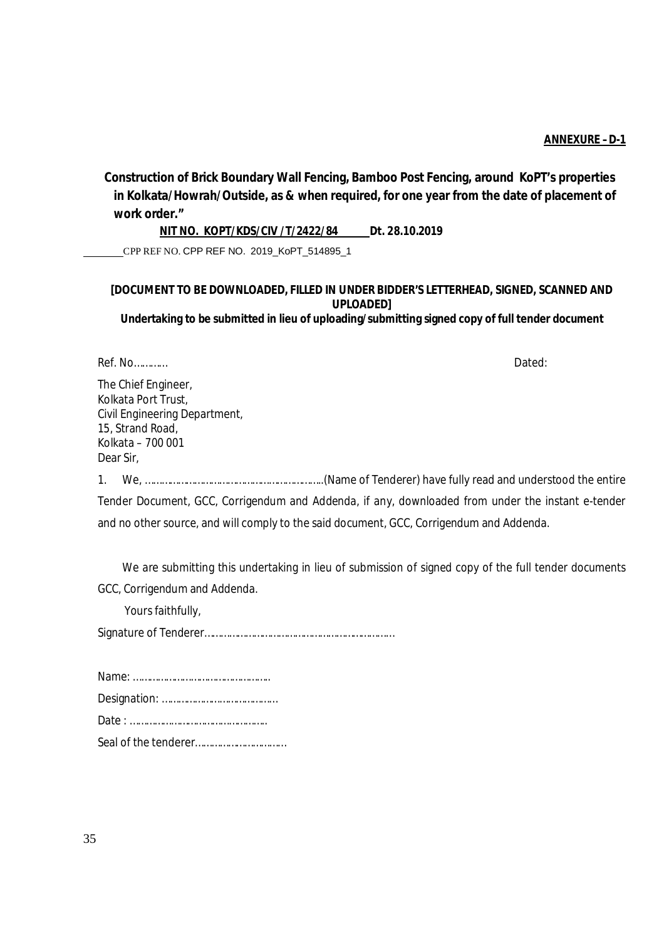**Construction of Brick Boundary Wall Fencing, Bamboo Post Fencing, around KoPT's properties in Kolkata/Howrah/Outside, as & when required, for one year from the date of placement of work order."**

 **NIT NO. KOPT/KDS/CIV /T/2422/84 Dt. 28.10.2019**

CPP REF NO. CPP REF NO. 2019\_KoPT\_514895\_1

#### **[DOCUMENT TO BE DOWNLOADED, FILLED IN UNDER BIDDER'S LETTERHEAD, SIGNED, SCANNED AND UPLOADED] Undertaking to be submitted in lieu of uploading/submitting signed copy of full tender document**

Ref. No………… Dated:

The Chief Engineer, Kolkata Port Trust, Civil Engineering Department, 15, Strand Road, Kolkata – 700 001 Dear Sir,

1. We, ………………………………………………………..(Name of Tenderer) have fully read and understood the entire Tender Document, GCC, Corrigendum and Addenda, if any, downloaded from under the instant e-tender and no other source, and will comply to the said document, GCC, Corrigendum and Addenda.

We are submitting this undertaking in lieu of submission of signed copy of the full tender documents GCC, Corrigendum and Addenda.

Yours faithfully,

Signature of Tenderer……………………………………………………………

| Seal of the tenderer |
|----------------------|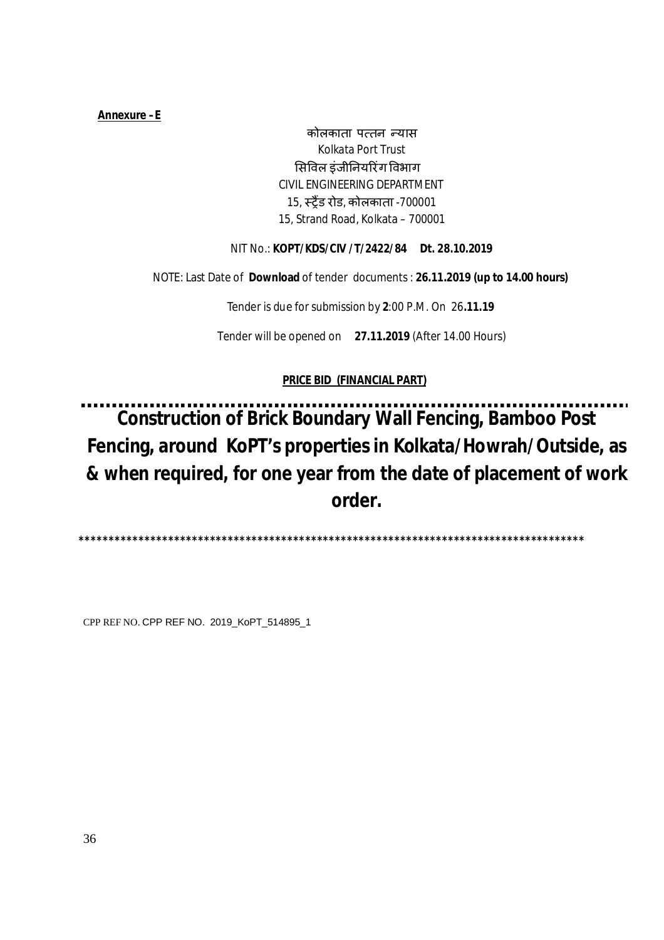## **Annexure –E**

कोलकाता पत्तन न्यास Kolkata Port Trust ͧसͪवल इंजीǓनयǐरंग ͪवभाग CIVIL ENGINEERING DEPARTMENT 15, èĚɇड रोड, कोलकाता -700001 15, Strand Road, Kolkata – 700001

# NIT No.: **KOPT/KDS/CIV /T/2422/84 Dt. 28.10.2019**

NOTE: Last Date of **Download** of tenderdocuments : **26.11.2019 (up to 14.00 hours)**

Tender is due for submission by **2**:00 P.M. On 26**.11.19**

Tender will be opened on **27.11.2019** (After 14.00 Hours)

# **PRICE BID (FINANCIAL PART)**

**Construction of Brick Boundary Wall Fencing, Bamboo Post Fencing, around KoPT's properties in Kolkata/Howrah/Outside, as & when required, for one year from the date of placement of work order.**

 **\*\*\*\*\*\*\*\*\*\*\*\*\*\*\*\*\*\*\*\*\*\*\*\*\*\*\*\*\*\*\*\*\*\*\*\*\*\*\*\*\*\*\*\*\*\*\*\*\*\*\*\*\*\*\*\*\*\*\*\*\*\*\*\*\*\*\*\*\*\*\*\*\*\*\*\*\*\*\*\*\*\*\*\*\***

CPP REF NO. CPP REF NO. 2019\_KoPT\_514895\_1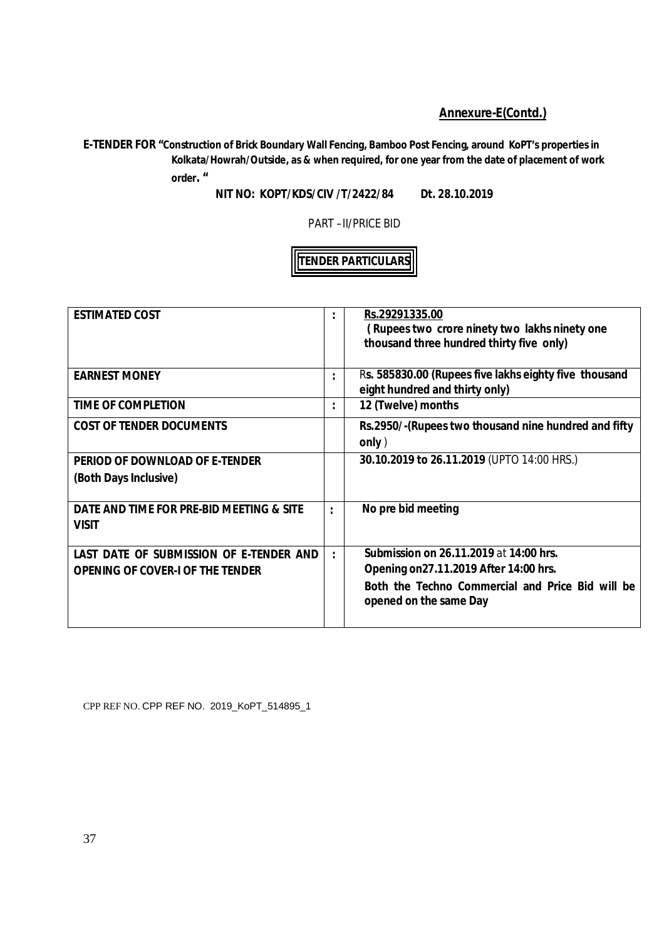# **Annexure-E(Contd.)**

**E-TENDER FOR "Construction of Brick Boundary Wall Fencing, Bamboo Post Fencing, around KoPT's properties in Kolkata/Howrah/Outside, as & when required, for one year from the date of placement of work order. "** 

**NIT NO: KOPT/KDS/CIV /T/2422/84 Dt. 28.10.2019**

PART –II/PRICE BID

# **TENDER PARTICULARS**

| <b>ESTIMATED COST</b>                                    | ٠                    | Rs.29291335.00<br>(Rupees two crore ninety two lakhs ninety one<br>thousand three hundred thirty five only) |
|----------------------------------------------------------|----------------------|-------------------------------------------------------------------------------------------------------------|
| <b>EARNEST MONEY</b>                                     | $\ddot{\phantom{a}}$ | Rs. 585830.00 (Rupees five lakhs eighty five thousand<br>eight hundred and thirty only)                     |
| <b>TIME OF COMPLETION</b>                                | $\bullet$            | 12 (Twelve) months                                                                                          |
| <b>COST OF TENDER DOCUMENTS</b>                          |                      | Rs.2950/-(Rupees two thousand nine hundred and fifty<br>only)                                               |
| PERIOD OF DOWNLOAD OF E-TENDER                           |                      | 30.10.2019 to 26.11.2019 (UPTO 14:00 HRS.)                                                                  |
| (Both Days Inclusive)                                    |                      |                                                                                                             |
| DATE AND TIME FOR PRE-BID MEETING & SITE<br><b>VISIT</b> | $\ddot{\phantom{a}}$ | No pre bid meeting                                                                                          |
| LAST DATE OF SUBMISSION OF E-TENDER AND                  | $\bullet$            | <b>Submission on 26.11.2019 at 14:00 hrs.</b>                                                               |
| <b>OPENING OF COVER-I OF THE TENDER</b>                  |                      | Opening on 27.11.2019 After 14:00 hrs.                                                                      |
|                                                          |                      | Both the Techno Commercial and Price Bid will be<br>opened on the same Day                                  |

CPP REF NO. CPP REF NO. 2019\_KoPT\_514895\_1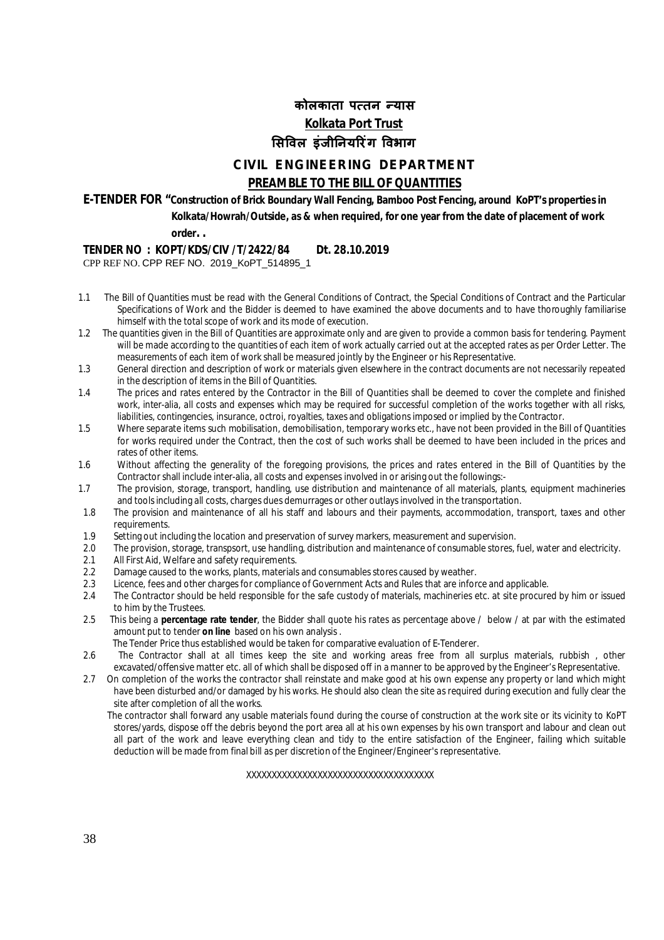# **कोलकाता प×तन Ûयास Kolkata Port Trust ͧसͪवल इंजीǓनयǐरंग ͪवभाग**

# **CIVIL ENGINEERING DEPARTMENT**

# **PREAMBLE TO THE BILL OF QUANTITIES**

**E-TENDER FOR "Construction of Brick Boundary Wall Fencing, Bamboo Post Fencing, around KoPT's properties in Kolkata/Howrah/Outside, as & when required, for one year from the date of placement of work** 

**order. .** 

## **TENDER NO : KOPT/KDS/CIV /T/2422/84 Dt. 28.10.2019**

CPP REF NO. CPP REF NO. 2019\_KoPT\_514895\_1

- 1.1 The Bill of Quantities must be read with the General Conditions of Contract, the Special Conditions of Contract and the Particular Specifications of Work and the Bidder is deemed to have examined the above documents and to have thoroughly familiarise himself with the total scope of work and its mode of execution.
- 1.2 The quantities given in the Bill of Quantities are approximate only and are given to provide a common basis for tendering. Payment will be made according to the quantities of each item of work actually carried out at the accepted rates as per Order Letter. The measurements of each item of work shall be measured jointly by the Engineer or his Representative.
- 1.3 General direction and description of work or materials given elsewhere in the contract documents are not necessarily repeated in the description of items in the Bill of Quantities.
- 1.4 The prices and rates entered by the Contractor in the Bill of Quantities shall be deemed to cover the complete and finished work, inter-alia, all costs and expenses which may be required for successful completion of the works together with all risks, liabilities, contingencies, insurance, octroi, royalties, taxes and obligations imposed or implied by the Contractor.
- 1.5 Where separate items such mobilisation, demobilisation, temporary works etc., have not been provided in the Bill of Quantities for works required under the Contract, then the cost of such works shall be deemed to have been included in the prices and rates of other items.
- 1.6 Without affecting the generality of the foregoing provisions, the prices and rates entered in the Bill of Quantities by the Contractor shall include inter-alia, all costs and expenses involved in or arising out the followings:-
- 1.7 The provision, storage, transport, handling, use distribution and maintenance of all materials, plants, equipment machineries and tools including all costs, charges dues demurrages or other outlays involved in the transportation.
- 1.8 The provision and maintenance of all his staff and labours and their payments, accommodation, transport, taxes and other requirements.
- 1.9 Setting out including the location and preservation of survey markers, measurement and supervision.
- 2.0 The provision, storage, transpsort, use handling, distribution and maintenance of consumable stores, fuel, water and electricity.<br>2.1 All First Aid Welfare and safety requirements
- All First Aid, Welfare and safety requirements.
- 2.2 Damage caused to the works, plants, materials and consumables stores caused by weather.<br>2.3 Licence, fees and other charges for compliance of Government Acts and Rules that are infor-
- 2.3 Licence, fees and other charges for compliance of Government Acts and Rules that are inforce and applicable.<br>2.4 The Contractor should be held responsible for the safe custody of materials, machineries etc. at site pro
- 2.4 The Contractor should be held responsible for the safe custody of materials, machineries etc. at site procured by him or issued to him by the Trustees.
- 2.5 This being a **percentage rate tender**, the Bidder shall quote his rates as percentage above / below / at par with the estimated amount put to tender **on line** based on his own analysis .
- The Tender Price thus established would be taken for comparative evaluation of E-Tenderer.
- 2.6 The Contractor shall at all times keep the site and working areas free from all surplus materials, rubbish , other excavated/offensive matter etc. all of which shall be disposed off in a manner to be approved by the Engineer's Representative.
- 2.7On completion of the works the contractor shall reinstate and make good at his own expense any property or land which might have been disturbed and/or damaged by his works. He should also clean the site as required during execution and fully clear the site after completion of all the works.

 The contractor shall forward any usable materials found during the course of construction at the work site or its vicinity to KoPT stores/yards, dispose off the debris beyond the port area all at his own expenses by his own transport and labour and clean out all part of the work and leave everything clean and tidy to the entire satisfaction of the Engineer, failing which suitable deduction will be made from final bill as per discretion of the Engineer/Engineer's representative.

### XXXXXXXXXXXXXXXXXXXXXXXXXXXXXXXXXXXXX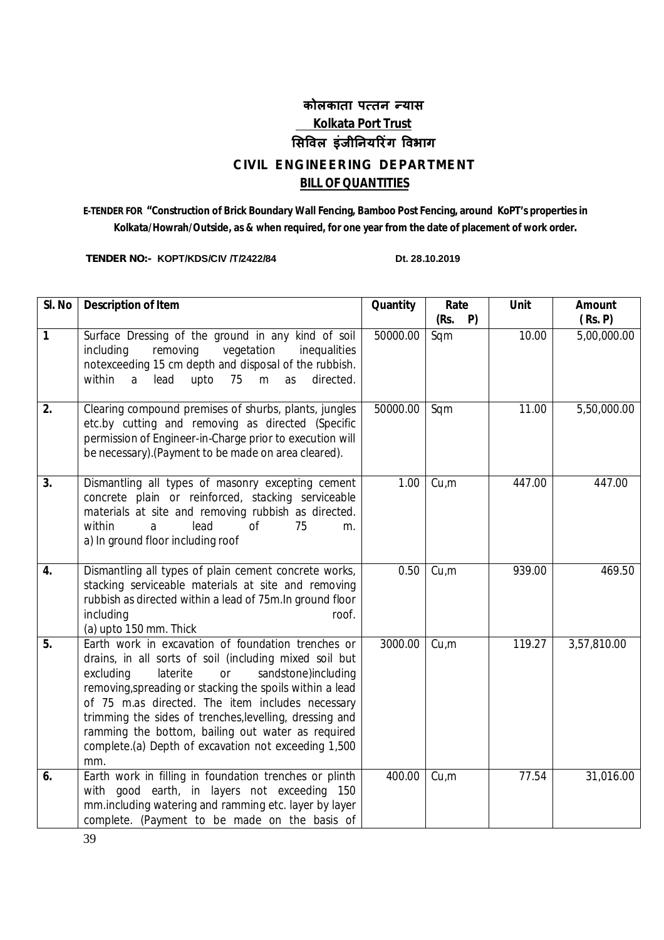# **कोलकाता प×तन Ûयास Kolkata Port Trust ͧसͪवल इंजीǓनयǐरंग ͪवभाग CIVIL ENGINEERING DEPARTMENT BILL OF QUANTITIES**

# **E-TENDER FOR "Construction of Brick Boundary Wall Fencing, Bamboo Post Fencing, around KoPT's properties in Kolkata/Howrah/Outside, as & when required, for one year from the date of placement of work order.**

**TENDER NO:- KOPT/KDS/CIV /T/2422/84 Dt. 28.10.2019** 

| SI. No           | <b>Description of Item</b>                                                                                                                                                                                                                                                                                                                                                                                                                                        | Quantity | Rate              | <b>Unit</b>        | <b>Amount</b>          |
|------------------|-------------------------------------------------------------------------------------------------------------------------------------------------------------------------------------------------------------------------------------------------------------------------------------------------------------------------------------------------------------------------------------------------------------------------------------------------------------------|----------|-------------------|--------------------|------------------------|
| $\mathbf{1}$     | Surface Dressing of the ground in any kind of soil<br>including<br>removing<br>vegetation<br>inequalities<br>notexceeding 15 cm depth and disposal of the rubbish.<br>75<br>a<br>lead<br>upto<br>m<br>directed.<br>within<br>as                                                                                                                                                                                                                                   | 50000.00 | P)<br>(Rs.<br>Sqm | $\overline{10.00}$ | (Rs. P)<br>5,00,000.00 |
| 2.               | Clearing compound premises of shurbs, plants, jungles<br>etc.by cutting and removing as directed (Specific<br>permission of Engineer-in-Charge prior to execution will<br>be necessary). (Payment to be made on area cleared).                                                                                                                                                                                                                                    | 50000.00 | Sqm               | 11.00              | 5,50,000.00            |
| 3.               | Dismantling all types of masonry excepting cement<br>concrete plain or reinforced, stacking serviceable<br>materials at site and removing rubbish as directed.<br>within<br>lead<br>of<br>75<br>a<br>m.<br>a) In ground floor including roof                                                                                                                                                                                                                      | 1.00     | Cu,m              | 447.00             | 447.00                 |
| 4.               | Dismantling all types of plain cement concrete works,<br>stacking serviceable materials at site and removing<br>rubbish as directed within a lead of 75m. In ground floor<br>including<br>roof.<br>(a) upto 150 mm. Thick                                                                                                                                                                                                                                         | 0.50     | Cu,m              | 939.00             | 469.50                 |
| $\overline{5}$ . | Earth work in excavation of foundation trenches or<br>drains, in all sorts of soil (including mixed soil but<br>excluding<br>laterite<br>or<br>sandstone)including<br>removing, spreading or stacking the spoils within a lead<br>of 75 m.as directed. The item includes necessary<br>trimming the sides of trenches, levelling, dressing and<br>ramming the bottom, bailing out water as required<br>complete.(a) Depth of excavation not exceeding 1,500<br>mm. | 3000.00  | Cu,m              | 119.27             | 3,57,810.00            |
| 6.               | Earth work in filling in foundation trenches or plinth<br>good earth, in layers not exceeding 150<br>with<br>mm.including watering and ramming etc. layer by layer<br>complete. (Payment to be made on the basis of                                                                                                                                                                                                                                               | 400.00   | Cu,m              | 77.54              | 31,016.00              |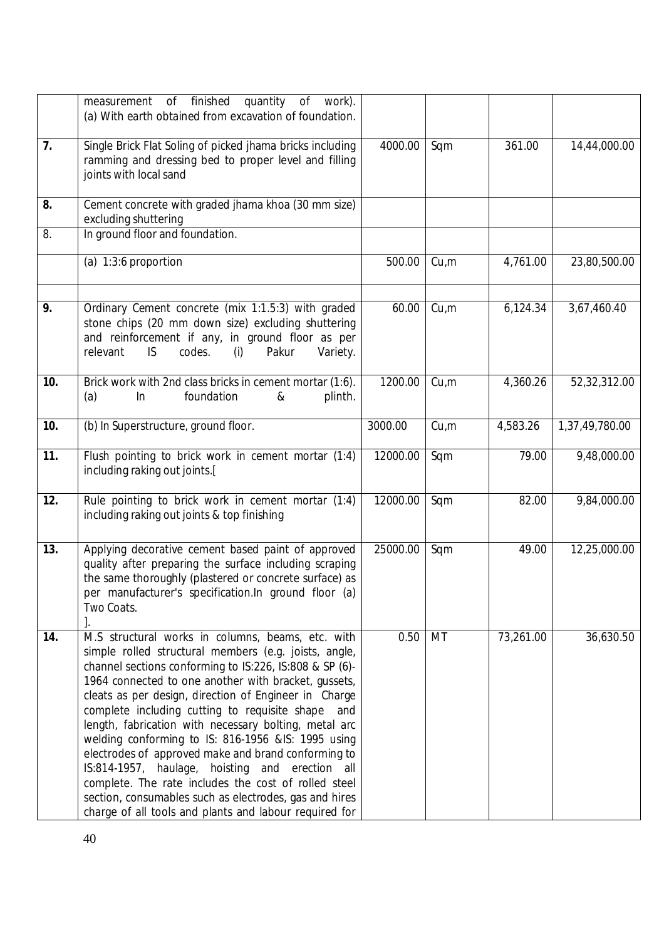|     | measurement of finished<br>quantity<br>of work).<br>(a) With earth obtained from excavation of foundation.                                                                                                                                                                                                                                                                                                                                                                                                                                                                                                                                                                                                                                          |          |      |           |                |
|-----|-----------------------------------------------------------------------------------------------------------------------------------------------------------------------------------------------------------------------------------------------------------------------------------------------------------------------------------------------------------------------------------------------------------------------------------------------------------------------------------------------------------------------------------------------------------------------------------------------------------------------------------------------------------------------------------------------------------------------------------------------------|----------|------|-----------|----------------|
| 7.  | Single Brick Flat Soling of picked jhama bricks including<br>ramming and dressing bed to proper level and filling<br>joints with local sand                                                                                                                                                                                                                                                                                                                                                                                                                                                                                                                                                                                                         | 4000.00  | Sqm  | 361.00    | 14,44,000.00   |
| 8.  | Cement concrete with graded jhama khoa (30 mm size)<br>excluding shuttering                                                                                                                                                                                                                                                                                                                                                                                                                                                                                                                                                                                                                                                                         |          |      |           |                |
| 8.  | In ground floor and foundation.                                                                                                                                                                                                                                                                                                                                                                                                                                                                                                                                                                                                                                                                                                                     |          |      |           |                |
|     | (a) 1:3:6 proportion                                                                                                                                                                                                                                                                                                                                                                                                                                                                                                                                                                                                                                                                                                                                | 500.00   | Cu,m | 4,761.00  | 23,80,500.00   |
| 9.  | Ordinary Cement concrete (mix 1:1.5:3) with graded<br>stone chips (20 mm down size) excluding shuttering<br>and reinforcement if any, in ground floor as per<br>relevant<br>IS.<br>codes.<br>Pakur<br>Variety.<br>(i)                                                                                                                                                                                                                                                                                                                                                                                                                                                                                                                               | 60.00    | Cu,m | 6,124.34  | 3,67,460.40    |
| 10. | Brick work with 2nd class bricks in cement mortar (1:6).<br>foundation<br>(a)<br>plinth.<br>In<br>&                                                                                                                                                                                                                                                                                                                                                                                                                                                                                                                                                                                                                                                 | 1200.00  | Cu,m | 4,360.26  | 52,32,312.00   |
| 10. | (b) In Superstructure, ground floor.                                                                                                                                                                                                                                                                                                                                                                                                                                                                                                                                                                                                                                                                                                                | 3000.00  | Cu,m | 4,583.26  | 1,37,49,780.00 |
| 11. | Flush pointing to brick work in cement mortar (1:4)<br>including raking out joints.[                                                                                                                                                                                                                                                                                                                                                                                                                                                                                                                                                                                                                                                                | 12000.00 | Sqm  | 79.00     | 9,48,000.00    |
| 12. | Rule pointing to brick work in cement mortar (1:4)<br>including raking out joints & top finishing                                                                                                                                                                                                                                                                                                                                                                                                                                                                                                                                                                                                                                                   | 12000.00 | Sqm  | 82.00     | 9,84,000.00    |
| 13. | Applying decorative cement based paint of approved<br>quality after preparing the surface including scraping<br>the same thoroughly (plastered or concrete surface) as<br>per manufacturer's specification.In ground floor (a)<br>Two Coats.                                                                                                                                                                                                                                                                                                                                                                                                                                                                                                        | 25000.00 | Sqm  | 49.00     | 12,25,000.00   |
| 14. | M.S structural works in columns, beams, etc. with<br>simple rolled structural members (e.g. joists, angle,<br>channel sections conforming to IS:226, IS:808 & SP (6)-<br>1964 connected to one another with bracket, gussets,<br>cleats as per design, direction of Engineer in Charge<br>complete including cutting to requisite shape<br>and<br>length, fabrication with necessary bolting, metal arc<br>welding conforming to IS: 816-1956 &IS: 1995 using<br>electrodes of approved make and brand conforming to<br>IS:814-1957, haulage, hoisting and erection all<br>complete. The rate includes the cost of rolled steel<br>section, consumables such as electrodes, gas and hires<br>charge of all tools and plants and labour required for | 0.50     | MT   | 73,261.00 | 36,630.50      |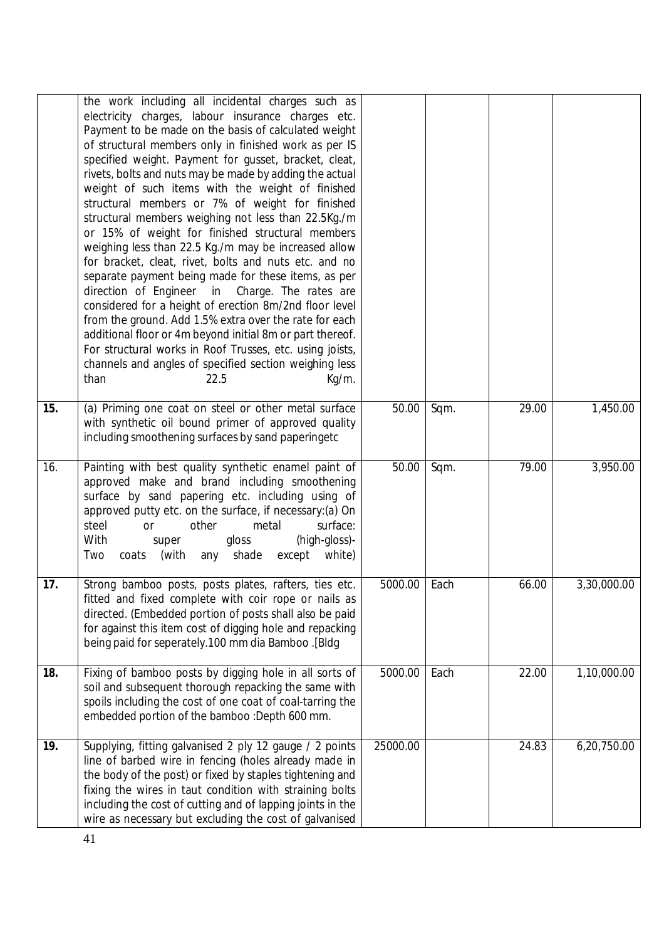|     | the work including all incidental charges such as<br>electricity charges, labour insurance charges etc.<br>Payment to be made on the basis of calculated weight<br>of structural members only in finished work as per IS<br>specified weight. Payment for gusset, bracket, cleat,                                                                                                                                                                                                                                                                                                                                                                                                                                                                      |          |      |       |             |
|-----|--------------------------------------------------------------------------------------------------------------------------------------------------------------------------------------------------------------------------------------------------------------------------------------------------------------------------------------------------------------------------------------------------------------------------------------------------------------------------------------------------------------------------------------------------------------------------------------------------------------------------------------------------------------------------------------------------------------------------------------------------------|----------|------|-------|-------------|
|     | rivets, bolts and nuts may be made by adding the actual<br>weight of such items with the weight of finished<br>structural members or 7% of weight for finished<br>structural members weighing not less than 22.5Kg./m<br>or 15% of weight for finished structural members<br>weighing less than 22.5 Kg./m may be increased allow<br>for bracket, cleat, rivet, bolts and nuts etc. and no<br>separate payment being made for these items, as per<br>direction of Engineer<br>Charge. The rates are<br>in<br>considered for a height of erection 8m/2nd floor level<br>from the ground. Add 1.5% extra over the rate for each<br>additional floor or 4m beyond initial 8m or part thereof.<br>For structural works in Roof Trusses, etc. using joists, |          |      |       |             |
|     | channels and angles of specified section weighing less<br>than<br>22.5<br>Kg/m.                                                                                                                                                                                                                                                                                                                                                                                                                                                                                                                                                                                                                                                                        |          |      |       |             |
| 15. | (a) Priming one coat on steel or other metal surface<br>with synthetic oil bound primer of approved quality<br>including smoothening surfaces by sand paperingetc                                                                                                                                                                                                                                                                                                                                                                                                                                                                                                                                                                                      | 50.00    | Sqm. | 29.00 | 1,450.00    |
| 16. | Painting with best quality synthetic enamel paint of<br>approved make and brand including smoothening<br>surface by sand papering etc. including using of<br>approved putty etc. on the surface, if necessary:(a) On<br>steel<br>metal<br>surface:<br>other<br>or<br>With<br>(high-gloss)-<br>gloss<br>super<br>except<br>coats<br>(with<br>any<br>shade<br>white)<br>Two                                                                                                                                                                                                                                                                                                                                                                              | 50.00    | Sqm. | 79.00 | 3,950.00    |
| 17. | Strong bamboo posts, posts plates, rafters, ties etc.<br>fitted and fixed complete with coir rope or nails as<br>directed. (Embedded portion of posts shall also be paid<br>for against this item cost of digging hole and repacking<br>being paid for seperately.100 mm dia Bamboo .[Bldg                                                                                                                                                                                                                                                                                                                                                                                                                                                             | 5000.00  | Each | 66.00 | 3,30,000.00 |
| 18. | Fixing of bamboo posts by digging hole in all sorts of<br>soil and subsequent thorough repacking the same with<br>spoils including the cost of one coat of coal-tarring the<br>embedded portion of the bamboo :Depth 600 mm.                                                                                                                                                                                                                                                                                                                                                                                                                                                                                                                           | 5000.00  | Each | 22.00 | 1,10,000.00 |
| 19. | Supplying, fitting galvanised 2 ply 12 gauge / 2 points<br>line of barbed wire in fencing (holes already made in<br>the body of the post) or fixed by staples tightening and<br>fixing the wires in taut condition with straining bolts<br>including the cost of cutting and of lapping joints in the<br>wire as necessary but excluding the cost of galvanised                                                                                                                                                                                                                                                                                                                                                                                        | 25000.00 |      | 24.83 | 6,20,750.00 |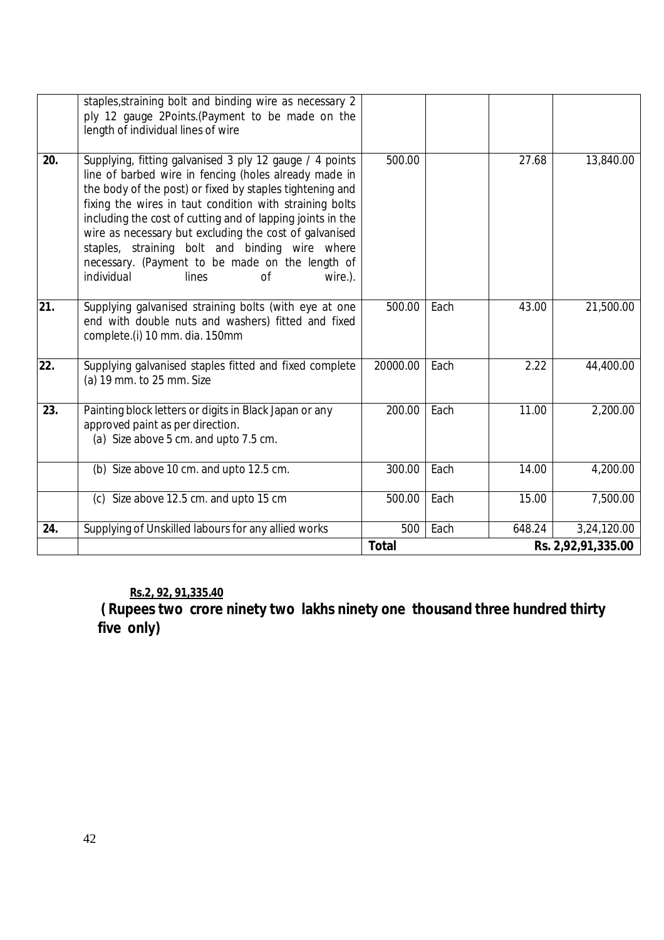# **Rs.2, 92, 91,335.40**

**( Rupees two crore ninety two lakhs ninety one thousand three hundred thirty five only)**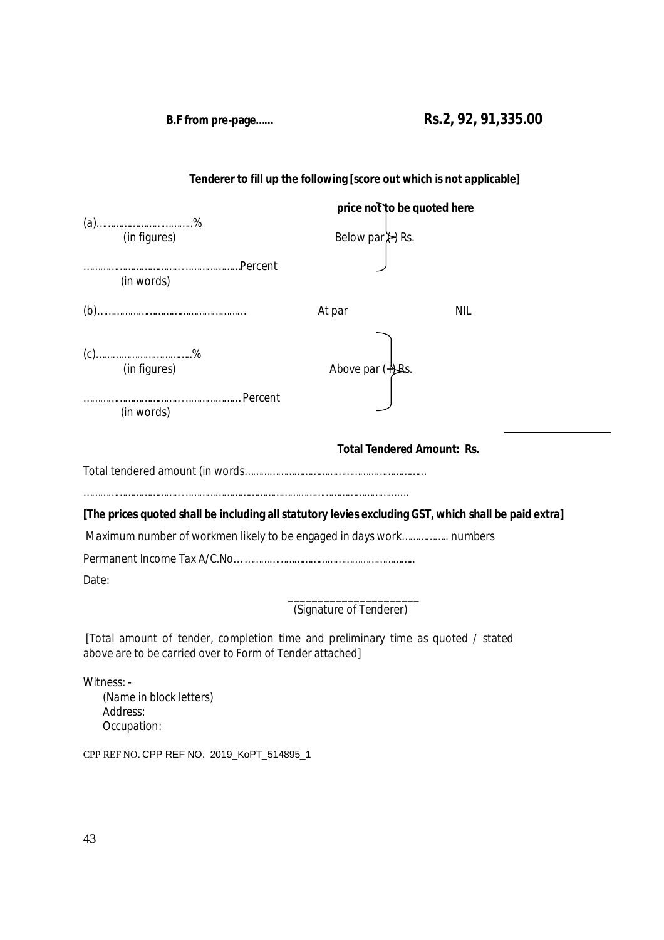**B.F from pre-page…… Rs.2, 92, 91,335.00**

# **Tenderer to fill up the following [score out which is not applicable]**

|       |                                                                                                      |                                 | price not to be quoted here       |
|-------|------------------------------------------------------------------------------------------------------|---------------------------------|-----------------------------------|
|       | $(a)$ %                                                                                              |                                 |                                   |
|       | (in figures)                                                                                         | Below par $\leftrightarrow$ Rs. |                                   |
|       |                                                                                                      |                                 |                                   |
|       | (in words)                                                                                           |                                 |                                   |
|       |                                                                                                      | At par                          | <b>NIL</b>                        |
|       |                                                                                                      |                                 |                                   |
|       | $(c)$ %                                                                                              |                                 |                                   |
|       | (in figures)                                                                                         | Above par $($ $\frac{1}{2}$ Rs. |                                   |
|       |                                                                                                      |                                 |                                   |
|       | (in words)                                                                                           |                                 |                                   |
|       |                                                                                                      |                                 | <b>Total Tendered Amount: Rs.</b> |
|       |                                                                                                      |                                 |                                   |
|       |                                                                                                      |                                 |                                   |
|       | [The prices quoted shall be including all statutory levies excluding GST, which shall be paid extra] |                                 |                                   |
|       | Maximum number of workmen likely to be engaged in days work numbers                                  |                                 |                                   |
|       |                                                                                                      |                                 |                                   |
| Date: |                                                                                                      |                                 |                                   |
|       |                                                                                                      | (Signature of Tenderer)         |                                   |
|       | [Total amount of tender, completion time and preliminary time as quoted / stated                     |                                 |                                   |

above are to be carried over to Form of Tender attached]

Witness: -

(Name in block letters) Address: Occupation:

CPP REF NO. CPP REF NO. 2019\_KoPT\_514895\_1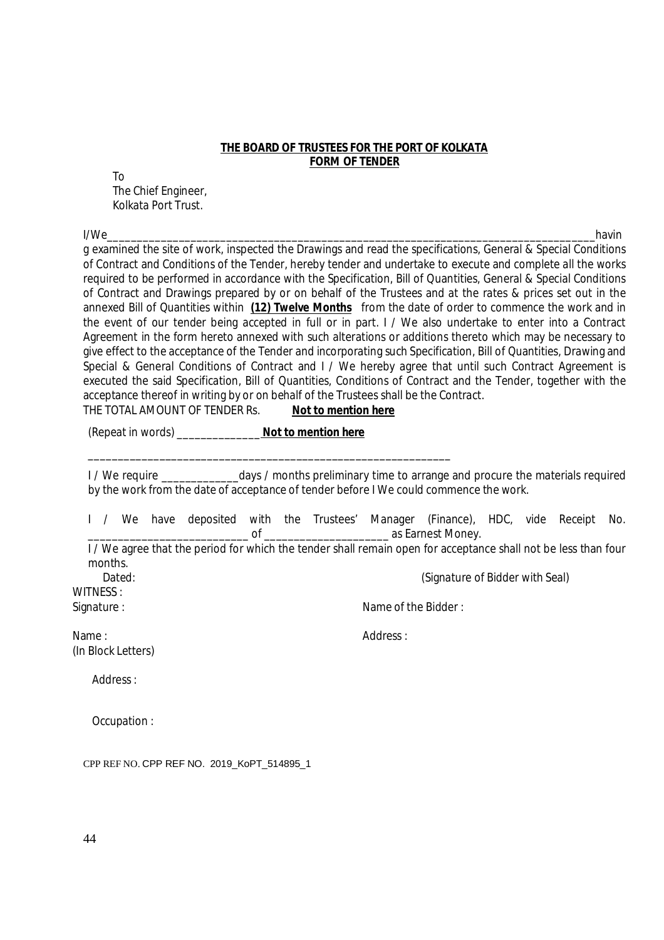# **THE BOARD OF TRUSTEES FOR THE PORT OF KOLKATA FORM OF TENDER**

To The Chief Engineer, Kolkata Port Trust.

I/We\_\_\_\_\_\_\_\_\_\_\_\_\_\_\_\_\_\_\_\_\_\_\_\_\_\_\_\_\_\_\_\_\_\_\_\_\_\_\_\_\_\_\_\_\_\_\_\_\_\_\_\_\_\_\_\_\_\_\_\_\_\_\_\_\_\_\_\_\_\_\_\_\_\_\_\_\_\_\_\_\_\_havin g examined the site of work, inspected the Drawings and read the specifications, General & Special Conditions of Contract and Conditions of the Tender, hereby tender and undertake to execute and complete all the works required to be performed in accordance with the Specification, Bill of Quantities, General & Special Conditions of Contract and Drawings prepared by or on behalf of the Trustees and at the rates & prices set out in the annexed Bill of Quantities within **(12) Twelve Months** from the date of order to commence the work and in the event of our tender being accepted in full or in part. I / We also undertake to enter into a Contract Agreement in the form hereto annexed with such alterations or additions thereto which may be necessary to give effect to the acceptance of the Tender and incorporating such Specification, Bill of Quantities, Drawing and Special & General Conditions of Contract and I / We hereby agree that until such Contract Agreement is executed the said Specification, Bill of Quantities, Conditions of Contract and the Tender, together with the acceptance thereof in writing by or on behalf of the Trustees shall be the Contract.

THE TOTAL AMOUNT OF TENDER Rs. **Not to mention here**

\_\_\_\_\_\_\_\_\_\_\_\_\_\_\_\_\_\_\_\_\_\_\_\_\_\_\_\_\_\_\_\_\_\_\_\_\_\_\_\_\_\_\_\_\_\_\_\_\_\_\_\_\_\_\_\_\_\_\_\_\_

(Repeat in words) \_\_\_\_\_\_\_\_\_\_\_\_\_\_ **Not to mention here**

I/ We require \_\_\_\_\_\_\_\_\_\_\_\_\_\_\_\_days / months preliminary time to arrange and procure the materials required by the work from the date of acceptance of tender before I We could commence the work.

I / We have deposited with the Trustees' Manager (Finance), HDC, vide Receipt No. of as Earnest Money. I / We agree that the period for which the tender shall remain open for acceptance shall not be less than four months.

Dated: Cases and California Controller Controller and Controller Controller (Signature of Bidder with Seal)

WITNESS :

Signature : Name of the Bidder :

Name : (In Block Letters) Address :

Address :

Occupation :

CPP REF NO. CPP REF NO. 2019\_KoPT\_514895\_1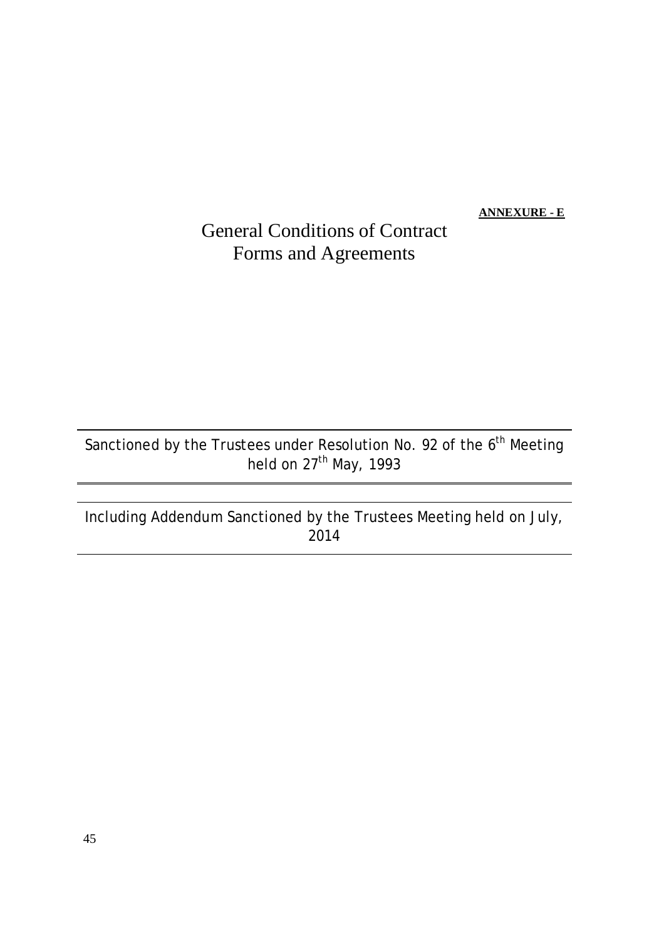**ANNEXURE - E**

# General Conditions of Contract Forms and Agreements

Sanctioned by the Trustees under Resolution No. 92 of the  $6<sup>th</sup>$  Meeting held on 27<sup>th</sup> May, 1993

Including Addendum Sanctioned by the Trustees Meeting held on July, 2014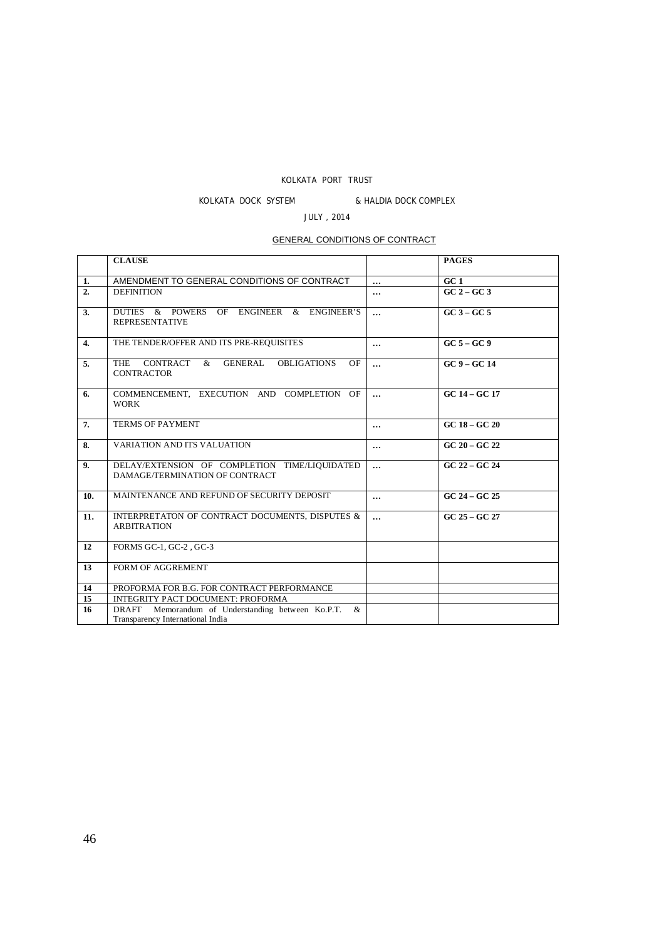# KOLKATA PORT TRUST

# KOLKATA DOCK SYSTEM & HALDIA DOCK COMPLEX

# JULY , 2014

# GENERAL CONDITIONS OF CONTRACT

|                  | <b>CLAUSE</b>                                                                                        |          | <b>PAGES</b>    |
|------------------|------------------------------------------------------------------------------------------------------|----------|-----------------|
| 1.               | AMENDMENT TO GENERAL CONDITIONS OF CONTRACT                                                          | $\cdots$ | GC1             |
| $\overline{2}$   | <b>DEFINITION</b>                                                                                    | $\cdots$ | $GC 2 - GC 3$   |
| 3.               | DUTIES & POWERS OF ENGINEER & ENGINEER'S<br><b>REPRESENTATIVE</b>                                    | $\cdots$ | $GC3 - GC5$     |
| $\overline{4}$ . | THE TENDER/OFFER AND ITS PRE-REQUISITES                                                              | $\cdots$ | $GC5 - GC9$     |
| 5.               | <b>CONTRACT</b><br>GENERAL<br><b>THE</b><br><b>OBLIGATIONS</b><br>OF<br>$\&$<br><b>CONTRACTOR</b>    | $\cdots$ | $GC9 - GC14$    |
| 6.               | COMMENCEMENT, EXECUTION AND COMPLETION OF<br><b>WORK</b>                                             | $\cdots$ | $GC 14 - GC 17$ |
| 7.               | <b>TERMS OF PAYMENT</b>                                                                              | $\cdots$ | $GC 18 - GC 20$ |
| 8.               | <b>VARIATION AND ITS VALUATION</b>                                                                   | $\cdots$ | $GC 20 - GC 22$ |
| 9.               | DELAY/EXTENSION OF COMPLETION TIME/LIQUIDATED<br>DAMAGE/TERMINATION OF CONTRACT                      | $\cdots$ | $GC 22 - GC 24$ |
| 10.              | MAINTENANCE AND REFUND OF SECURITY DEPOSIT                                                           | $\cdots$ | $GC 24 - GC 25$ |
| 11.              | INTERPRETATON OF CONTRACT DOCUMENTS, DISPUTES &<br><b>ARBITRATION</b>                                | $\cdots$ | GC 25 - GC 27   |
| 12               | FORMS GC-1, GC-2, GC-3                                                                               |          |                 |
| 13               | FORM OF AGGREMENT                                                                                    |          |                 |
| 14               | PROFORMA FOR B.G. FOR CONTRACT PERFORMANCE                                                           |          |                 |
| 15               | <b>INTEGRITY PACT DOCUMENT: PROFORMA</b>                                                             |          |                 |
| 16               | Memorandum of Understanding between Ko.P.T.<br><b>DRAFT</b><br>&<br>Transparency International India |          |                 |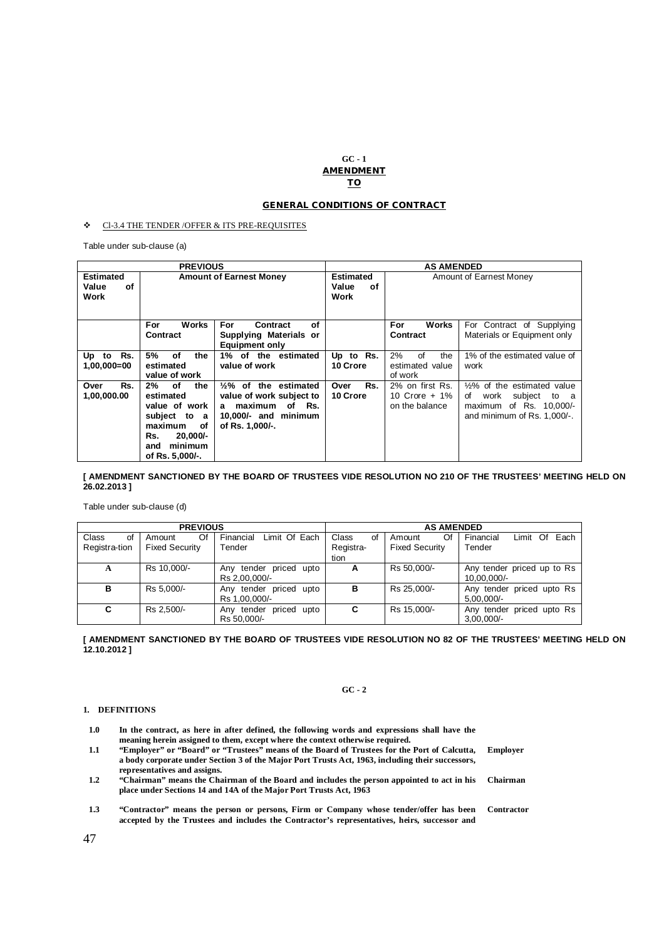### **GC - 1 AMENDMENT TO**

### **GENERAL CONDITIONS OF CONTRACT**

### Cl-3.4 THE TENDER /OFFER & ITS PRE-REQUISITES

Table under sub-clause (a)

| <b>PREVIOUS</b>                         |                                                                                                                                             | <b>AS AMENDED</b>                                                                                                                 |                                         |                                                    |                                                                                                                           |
|-----------------------------------------|---------------------------------------------------------------------------------------------------------------------------------------------|-----------------------------------------------------------------------------------------------------------------------------------|-----------------------------------------|----------------------------------------------------|---------------------------------------------------------------------------------------------------------------------------|
| <b>Estimated</b><br>Value<br>οf<br>Work |                                                                                                                                             | <b>Amount of Earnest Money</b>                                                                                                    | <b>Estimated</b><br>Value<br>οf<br>Work | Amount of Earnest Money                            |                                                                                                                           |
|                                         | <b>Works</b><br>For<br>Contract                                                                                                             | <b>For</b><br>οf<br>Contract<br>Supplying Materials or<br>Equipment only                                                          |                                         | For<br>Works<br>Contract                           | For Contract of Supplying<br>Materials or Equipment only                                                                  |
| Rs.<br>Up to<br>$1,00,000 = 00$         | 5%<br>оf<br>the<br>estimated<br>value of work                                                                                               | 1% of the estimated<br>value of work                                                                                              | Up to Rs.<br>10 Crore                   | 2%<br>of<br>the<br>estimated value<br>of work      | 1% of the estimated value of<br>work                                                                                      |
| Rs.<br>Over<br>1,00,000.00              | $2\%$<br>of<br>the<br>estimated<br>value of work<br>subject to a<br>maximum<br>οf<br>$20.000/-$<br>Rs.<br>minimum<br>and<br>of Rs. 5,000/-. | $\frac{1}{2}\%$ of the estimated<br>value of work subject to<br>maximum<br>of Rs.<br>a<br>10,000/- and minimum<br>of Rs. 1,000/-. | Rs.<br>Over<br>10 Crore                 | 2% on first Rs.<br>10 Crore + 1%<br>on the balance | $1/2\%$ of the estimated value<br>subject<br>work<br>of<br>to a<br>maximum of Rs. 10,000/-<br>and minimum of Rs. 1,000/-. |

#### **[ AMENDMENT SANCTIONED BY THE BOARD OF TRUSTEES VIDE RESOLUTION NO 210 OF THE TRUSTEES' MEETING HELD ON 26.02.2013 ]**

Table under sub-clause (d)

| <b>PREVIOUS</b> |                       |                              |             | <b>AS AMENDED</b>     |                                  |
|-----------------|-----------------------|------------------------------|-------------|-----------------------|----------------------------------|
| Class<br>of     | Of<br>Amount          | Limit Of Each<br>Financial   | Class<br>of | Of<br>Amount          | Each<br>Financial<br>Limit<br>Of |
| Registra-tion   | <b>Fixed Security</b> | Tender                       | Registra-   | <b>Fixed Security</b> | Tender                           |
|                 |                       |                              | tion        |                       |                                  |
| A               | Rs 10.000/-           | priced<br>Anv tender<br>upto | А           | Rs 50.000/-           | Any tender priced up to Rs       |
|                 |                       | Rs 2.00.000/-                |             |                       | 10.00.000/-                      |
| в               | Rs 5.000/-            | priced upto<br>Any tender    | в           | Rs 25.000/-           | Any tender priced upto Rs        |
|                 |                       | Rs 1,00,000/-                |             |                       | $5.00.000/-$                     |
| C               | Rs 2.500/-            | upto<br>priced<br>Anv tender | C           | Rs 15.000/-           | Any tender priced upto Rs        |
|                 |                       | Rs 50.000/-                  |             |                       | $3,00,000/$ -                    |

**[ AMENDMENT SANCTIONED BY THE BOARD OF TRUSTEES VIDE RESOLUTION NO 82 OF THE TRUSTEES' MEETING HELD ON 12.10.2012 ]**

### **GC - 2**

#### **1. DEFINITIONS**

| 1.0 | In the contract, as here in after defined, the following words and expressions shall have the<br>meaning herein assigned to them, except where the context otherwise required.                                                   |                   |
|-----|----------------------------------------------------------------------------------------------------------------------------------------------------------------------------------------------------------------------------------|-------------------|
| 1.1 | "Employer" or "Board" or "Trustees" means of the Board of Trustees for the Port of Calcutta,<br>a body corporate under Section 3 of the Major Port Trusts Act, 1963, including their successors,<br>representatives and assigns. | <b>Employer</b>   |
| 1.2 | "Chairman" means the Chairman of the Board and includes the person appointed to act in his<br>place under Sections 14 and 14A of the Major Port Trusts Act, 1963                                                                 | Chairman          |
| 1.3 | "Contractor" means the person or persons, Firm or Company whose tender/offer has been<br>accepted by the Trustees and includes the Contractor's representatives, heirs, successor and                                            | <b>Contractor</b> |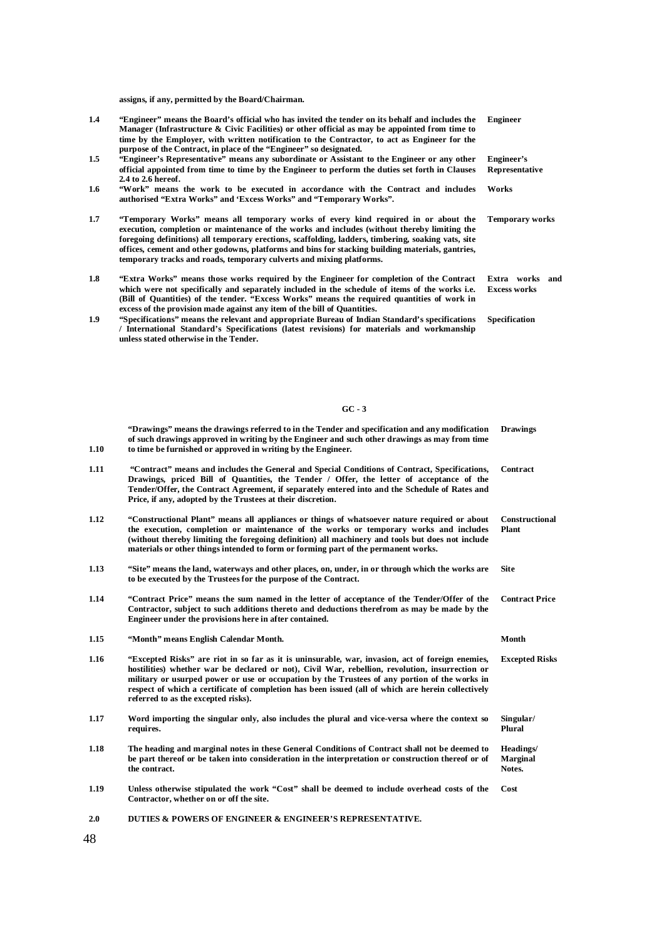**assigns, if any, permitted by the Board/Chairman.**

- **1.4 "Engineer" means the Board's official who has invited the tender on its behalf and includes the Manager (Infrastructure & Civic Facilities) or other official as may be appointed from time to time by the Employer, with written notification to the Contractor, to act as Engineer for the purpose of the Contract, in place of the "Engineer" so designated.**
- **1.5 "Engineer's Representative" means any subordinate or Assistant to the Engineer or any other official appointed from time to time by the Engineer to perform the duties set forth in Clauses 2.4 to 2.6 hereof.**
- **1.6 "Work" means the work to be executed in accordance with the Contract and includes authorised "Extra Works" and 'Excess Works" and "Temporary Works".**
- **1.7 "Temporary Works" means all temporary works of every kind required in or about the execution, completion or maintenance of the works and includes (without thereby limiting the foregoing definitions) all temporary erections, scaffolding, ladders, timbering, soaking vats, site offices, cement and other godowns, platforms and bins for stacking building materials, gantries, temporary tracks and roads, temporary culverts and mixing platforms.**
- **1.8 "Extra Works" means those works required by the Engineer for completion of the Contract**  which were not specifically and separately included in the schedule of items of the works i.e. (Bill of Quantities) of the tender. "Excess Works" means the required quantities of work in **excess of the provision made against any item of the bill of Quantities.**
- **1.9 "Specifications" means the relevant and appropriate Bureau of Indian Standard's specifications / International Standard's Specifications (latest revisions) for materials and workmanship unless stated otherwise in the Tender.**

**Engineer**

**Engineer's Representative**

**Works**

**Temporary works**

**Extra works and Excess works**

**Specification**

### **GC - 3**

| 1.10 | "Drawings" means the drawings referred to in the Tender and specification and any modification<br>of such drawings approved in writing by the Engineer and such other drawings as may from time<br>to time be furnished or approved in writing by the Engineer.                                                                                                                                                                                   | <b>Drawings</b>                        |
|------|---------------------------------------------------------------------------------------------------------------------------------------------------------------------------------------------------------------------------------------------------------------------------------------------------------------------------------------------------------------------------------------------------------------------------------------------------|----------------------------------------|
| 1.11 | "Contract" means and includes the General and Special Conditions of Contract, Specifications,<br>Drawings, priced Bill of Quantities, the Tender / Offer, the letter of acceptance of the<br>Tender/Offer, the Contract Agreement, if separately entered into and the Schedule of Rates and<br>Price, if any, adopted by the Trustees at their discretion.                                                                                        | Contract                               |
| 1.12 | "Constructional Plant" means all appliances or things of whatsoever nature required or about<br>the execution, completion or maintenance of the works or temporary works and includes<br>(without thereby limiting the foregoing definition) all machinery and tools but does not include<br>materials or other things intended to form or forming part of the permanent works.                                                                   | <b>Constructional</b><br>Plant         |
| 1.13 | "Site" means the land, waterways and other places, on, under, in or through which the works are<br>to be executed by the Trustees for the purpose of the Contract.                                                                                                                                                                                                                                                                                | <b>Site</b>                            |
| 1.14 | "Contract Price" means the sum named in the letter of acceptance of the Tender/Offer of the<br>Contractor, subject to such additions thereto and deductions therefrom as may be made by the<br>Engineer under the provisions here in after contained.                                                                                                                                                                                             | <b>Contract Price</b>                  |
| 1.15 | "Month" means English Calendar Month.                                                                                                                                                                                                                                                                                                                                                                                                             | Month                                  |
| 1.16 | "Excepted Risks" are riot in so far as it is uninsurable, war, invasion, act of foreign enemies,<br>hostilities) whether war be declared or not), Civil War, rebellion, revolution, insurrection or<br>military or usurped power or use or occupation by the Trustees of any portion of the works in<br>respect of which a certificate of completion has been issued (all of which are herein collectively<br>referred to as the excepted risks). | <b>Excepted Risks</b>                  |
| 1.17 | Word importing the singular only, also includes the plural and vice-versa where the context so<br>requires.                                                                                                                                                                                                                                                                                                                                       | Singular/<br>Plural                    |
| 1.18 | The heading and marginal notes in these General Conditions of Contract shall not be deemed to<br>be part thereof or be taken into consideration in the interpretation or construction thereof or of<br>the contract.                                                                                                                                                                                                                              | Headings/<br><b>Marginal</b><br>Notes. |
| 1.19 | Unless otherwise stipulated the work "Cost" shall be deemed to include overhead costs of the<br>Contractor, whether on or off the site.                                                                                                                                                                                                                                                                                                           | Cost                                   |
| 2.0  | DUTIES & POWERS OF ENGINEER & ENGINEER'S REPRESENTATIVE.                                                                                                                                                                                                                                                                                                                                                                                          |                                        |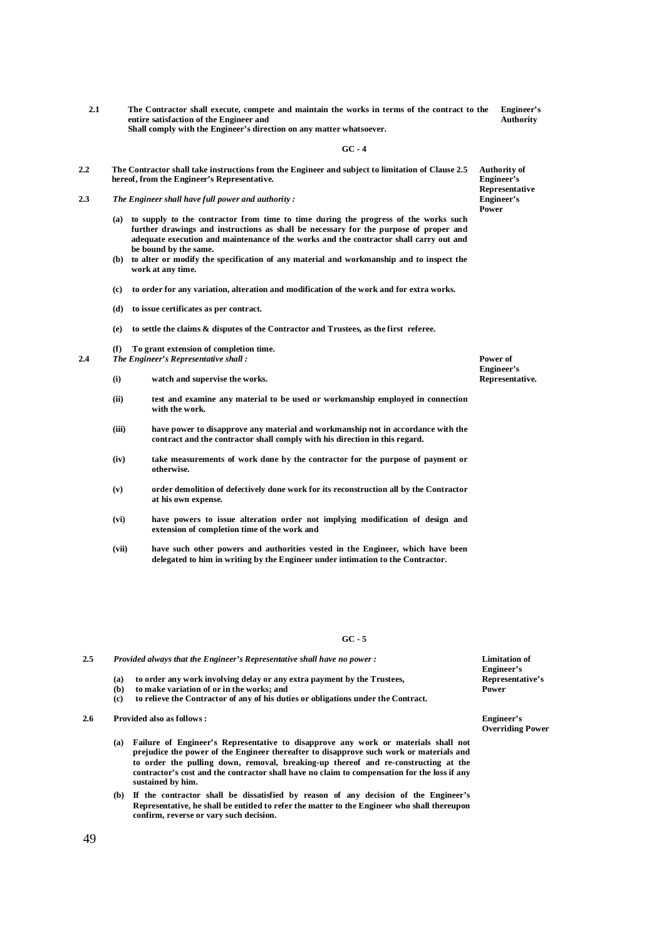**2.1 The Contractor shall execute, compete and maintain the works in terms of the contract to the entire satisfaction of the Engineer and Shall comply with the Engineer's direction on any matter whatsoever. Engineer's Authority**

**GC - 4**

- **2.2 The Contractor shall take instructions from the Engineer and subject to limitation of Clause 2.5 hereof, from the Engineer's Representative.**
- **2.3** *The Engineer shall have full power and authority :*
	- **(a) to supply to the contractor from time to time during the progress of the works such further drawings and instructions as shall be necessary for the purpose of proper and adequate execution and maintenance of the works and the contractor shall carry out and be bound by the same.**
	- **(b) to alter or modify the specification of any material and workmanship and to inspect the work at any time.**
	- **(c) to order for any variation, alteration and modification of the work and for extra works.**
	- **(d) to issue certificates as per contract.**
	- **(e) to settle the claims & disputes of the Contractor and Trustees, as the first referee.**
	- **(f) To grant extension of completion time.**
- **2.4** *The Engineer's Representative shall :*
	- **(i) watch and supervise the works.**
	- **(ii) test and examine any material to be used or workmanship employed in connection with the work.**
	- **(iii) have power to disapprove any material and workmanship not in accordance with the contract and the contractor shall comply with his direction in this regard.**
	- **(iv) take measurements of work done by the contractor for the purpose of payment or otherwise.**
	- **(v) order demolition of defectively done work for its reconstruction all by the Contractor at his own expense.**
	- **(vi) have powers to issue alteration order not implying modification of design and extension of completion time of the work and**
	- **(vii) have such other powers and authorities vested in the Engineer, which have been delegated to him in writing by the Engineer under intimation to the Contractor.**

**GC - 5**

**2.5** *Provided always that the Engineer's Representative shall have no power :*

- **(a) to order any work involving delay or any extra payment by the Trustees,**
- **(b) to make variation of or in the works; and**
- **(c) to relieve the Contractor of any of his duties or obligations under the Contract.**
- **2.6 Provided also as follows :** 
	- **(a) Failure of Engineer's Representative to disapprove any work or materials shall not prejudice the power of the Engineer thereafter to disapprove such work or materials and to order the pulling down, removal, breaking-up thereof and re-constructing at the contractor's cost and the contractor shall have no claim to compensation for the loss if any sustained by him.**
	- **(b) If the contractor shall be dissatisfied by reason of any decision of the Engineer's Representative, he shall be entitled to refer the matter to the Engineer who shall thereupon confirm, reverse or vary such decision.**

**Limitation of Engineer's Representative's Power**

**Engineer's Overriding Power**

**Authority of Engineer's Representative Engineer's Power**

**Power of Engineer's Representative.**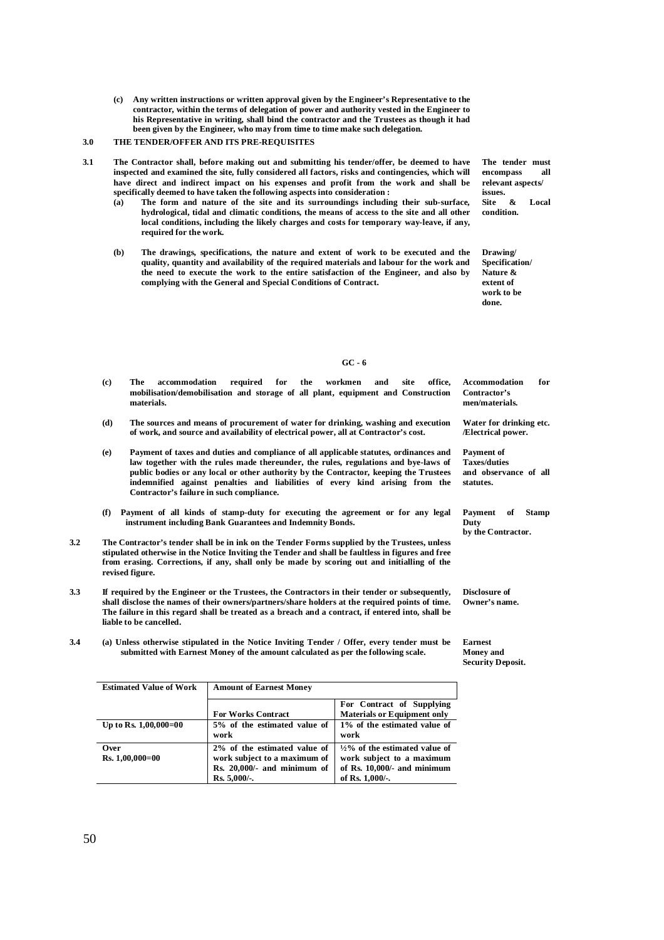**(c) Any written instructions or written approval given by the Engineer's Representative to the contractor, within the terms of delegation of power and authority vested in the Engineer to his Representative in writing, shall bind the contractor and the Trustees as though it had been given by the Engineer, who may from time to time make such delegation.** 

### **3.0 THE TENDER/OFFER AND ITS PRE-REQUISITES**

- **3.1 The Contractor shall, before making out and submitting his tender/offer, be deemed to have inspected and examined the site, fully considered all factors, risks and contingencies, which will have direct and indirect impact on his expenses and profit from the work and shall be specifically deemed to have taken the following aspects into consideration :**
	- **(a) The form and nature of the site and its surroundings including their sub-surface, hydrological, tidal and climatic conditions, the means of access to the site and all other local conditions, including the likely charges and costs for temporary way-leave, if any, required for the work.**
	- **(b) The drawings, specifications, the nature and extent of work to be executed and the quality, quantity and availability of the required materials and labour for the work and the need to execute the work to the entire satisfaction of the Engineer, and also by complying with the General and Special Conditions of Contract.**

**The tender must**  encompass **relevant aspects/ issues.**<br>Site & **Site & Local condition.**

**Drawing/ Specification/ Nature & extent of work to be done.**

**GC - 6**

- **(c) The accommodation required for the workmen and site office, mobilisation/demobilisation and storage of all plant, equipment and Construction materials. Accommodation for Contractor's men/materials. Water for drinking etc.**
- **(d) The sources and means of procurement of water for drinking, washing and execution of work, and source and availability of electrical power, all at Contractor's cost.**
- **(e) Payment of taxes and duties and compliance of all applicable statutes, ordinances and law together with the rules made thereunder, the rules, regulations and bye-laws of public bodies or any local or other authority by the Contractor, keeping the Trustees indemnified against penalties and liabilities of every kind arising from the Contractor's failure in such compliance.**
- **(f) Payment of all kinds of stamp-duty for executing the agreement or for any legal instrument including Bank Guarantees and Indemnity Bonds.**
- **3.2 The Contractor's tender shall be in ink on the Tender Forms supplied by the Trustees, unless stipulated otherwise in the Notice Inviting the Tender and shall be faultless in figures and free from erasing. Corrections, if any, shall only be made by scoring out and initialling of the revised figure.**
- **3.3 If required by the Engineer or the Trustees, the Contractors in their tender or subsequently, shall disclose the names of their owners/partners/share holders at the required points of time. The failure in this regard shall be treated as a breach and a contract, if entered into, shall be liable to be cancelled.**
- **3.4 (a) Unless otherwise stipulated in the Notice Inviting Tender / Offer, every tender must be submitted with Earnest Money of the amount calculated as per the following scale.**

**Payment of Stamp** 

**by the Contractor.** 

**and observance of all** 

**/Electrical power.**

**Payment of Taxes/duties**

**statutes.**

**Duty**

**Disclosure of Owner's name.**

**Earnest Money and Security Deposit.**

| <b>Estimated Value of Work</b> | <b>Amount of Earnest Money</b>                                                                                 |                                                                                                                          |  |  |
|--------------------------------|----------------------------------------------------------------------------------------------------------------|--------------------------------------------------------------------------------------------------------------------------|--|--|
|                                |                                                                                                                | For Contract of Supplying                                                                                                |  |  |
|                                | <b>For Works Contract</b>                                                                                      | <b>Materials or Equipment only</b>                                                                                       |  |  |
| Up to Rs. $1,00,000=00$        | 5% of the estimated value of<br>work                                                                           | 1% of the estimated value of<br>work                                                                                     |  |  |
| Over<br>$Rs. 1,00,000=00$      | 2% of the estimated value of<br>work subject to a maximum of<br>$Rs. 20,000/- and minimum of$<br>$Rs. 5,000-.$ | $\frac{1}{2}\%$ of the estimated value of<br>work subject to a maximum<br>of Rs. 10,000/- and minimum<br>of Rs. 1,000/-. |  |  |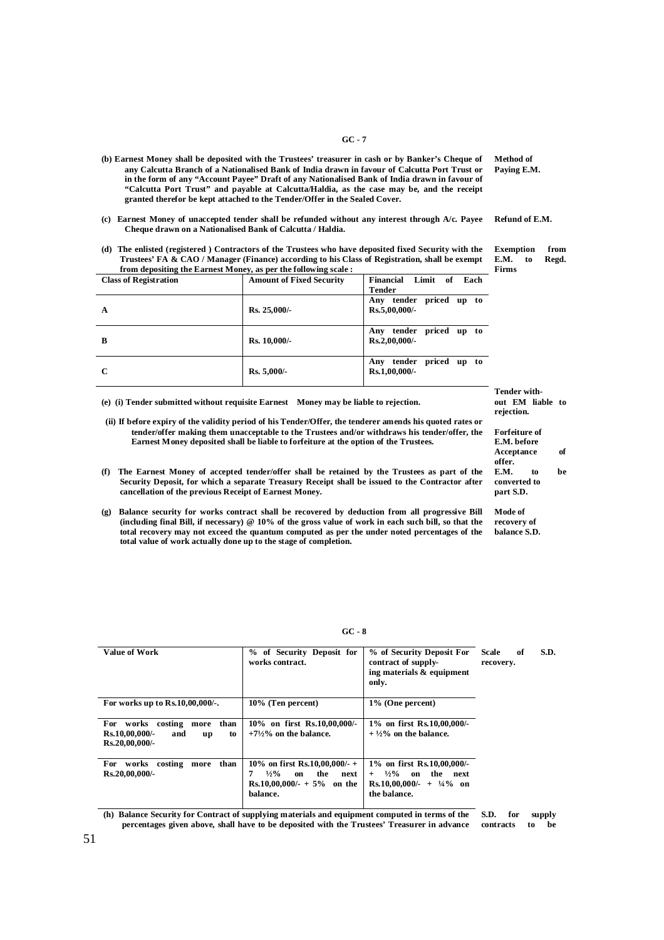- **(b) Earnest Money shall be deposited with the Trustees' treasurer in cash or by Banker's Cheque of any Calcutta Branch of a Nationalised Bank of India drawn in favour of Calcutta Port Trust or in the form of any "Account Payee" Draft of any Nationalised Bank of India drawn in favour of "Calcutta Port Trust" and payable at Calcutta/Haldia, as the case may be, and the receipt granted therefor be kept attached to the Tender/Offer in the Sealed Cover.**
- **(c) Earnest Money of unaccepted tender shall be refunded without any interest through A/c. Payee Cheque drawn on a Nationalised Bank of Calcutta / Haldia.**
- **(d) The enlisted (registered ) Contractors of the Trustees who have deposited fixed Security with the Trustees' FA & CAO / Manager (Finance) according to his Class of Registration, shall be exempt from depositing the Earnest Money, as per the following scale :**

| <b>Class of Registration</b> | <b>Amount of Fixed Security</b> | Limit of<br>Each<br>Financial<br><b>Tender</b>   |
|------------------------------|---------------------------------|--------------------------------------------------|
| A                            | Rs. 25,000/                     | Any tender priced up to<br>$Rs.5,00,000/-$       |
| B                            | Rs. 10,000/-                    | tender priced up to<br>Any<br>$Rs.2,00,000/-$    |
| $\mathbf C$                  | $Rs. 5,000/$ -                  | tender<br>priced up to<br>Any<br>$Rs.1,00,000/-$ |

**(e) (i) Tender submitted without requisite Earnest Money may be liable to rejection.** 

 **(ii) If before expiry of the validity period of his Tender/Offer, the tenderer amends his quoted rates or tender/offer making them unacceptable to the Trustees and/or withdraws his tender/offer, the Earnest Money deposited shall be liable to forfeiture at the option of the Trustees.**

- **(f) The Earnest Money of accepted tender/offer shall be retained by the Trustees as part of the Security Deposit, for which a separate Treasury Receipt shall be issued to the Contractor after cancellation of the previous Receipt of Earnest Money.**
- **(g) Balance security for works contract shall be recovered by deduction from all progressive Bill (including final Bill, if necessary) @ 10% of the gross value of work in each such bill, so that the total recovery may not exceed the quantum computed as per the under noted percentages of the total value of work actually done up to the stage of completion.**

| ×<br>ł<br>٧<br>w<br>I<br>× | ۰, |
|----------------------------|----|
|----------------------------|----|

| <b>Value of Work</b>                                                                                 | % of Security Deposit for<br>works contract.                                                                        | % of Security Deposit For<br>contract of supply-<br>ing materials & equipment<br>only.                                           | S.D.<br>of<br>Scale<br>recovery. |
|------------------------------------------------------------------------------------------------------|---------------------------------------------------------------------------------------------------------------------|----------------------------------------------------------------------------------------------------------------------------------|----------------------------------|
| For works up to Rs.10,00,000/-.                                                                      | 10% (Ten percent)                                                                                                   | $1\%$ (One percent)                                                                                                              |                                  |
| <b>For</b><br>than<br>works<br>costing<br>more<br>Rs.10,00,000/-<br>and<br>to<br>up<br>Rs.20,00,000/ | 10% on first Rs.10,00,000/-<br>$+7\frac{1}{2}\%$ on the balance.                                                    | $1\%$ on first Rs.10,00,000/-<br>$+ \frac{1}{2}\%$ on the balance.                                                               |                                  |
| For<br>than<br>costing<br>works<br>more<br>Rs.20,00,000/                                             | 10\% on first Rs.10,00,000/- +<br>$\frac{1}{2}\%$<br>the<br>next<br>on<br>$Rs.10,00,000/ - +5\%$ on the<br>balance. | 1% on first Rs.10,00,000/-<br>$\frac{1}{2}\%$<br>the<br>on<br>next<br>$+$<br>Rs.10,00,000/- + $\frac{1}{4}\%$ on<br>the balance. |                                  |

**(h) Balance Security for Contract of supplying materials and equipment computed in terms of the percentages given above, shall have to be deposited with the Trustees' Treasurer in advance S.D. for supply contracts to be** 

**Method of Paying E.M.**

**Refund of E.M.**

**Exemption from E.M. to Regd. Firms**

**Tender without EM liable to rejection.**

**Forfeiture of E.M. before Acceptance of offer. E.M. to be converted to part S.D.**

**Mode of recovery of balance S.D.**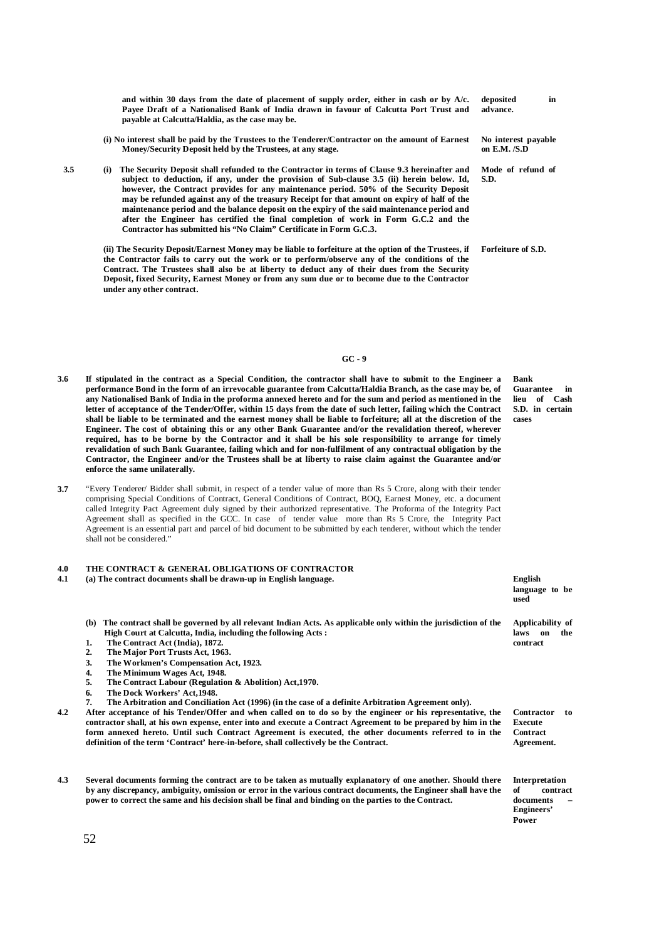**and within 30 days from the date of placement of supply order, either in cash or by A/c. Payee Draft of a Nationalised Bank of India drawn in favour of Calcutta Port Trust and payable at Calcutta/Haldia, as the case may be. advance.**

- **(i) No interest shall be paid by the Trustees to the Tenderer/Contractor on the amount of Earnest Money/Security Deposit held by the Trustees, at any stage.**
- **3.5 (i) The Security Deposit shall refunded to the Contractor in terms of Clause 9.3 hereinafter and subject to deduction, if any, under the provision of Sub-clause 3.5 (ii) herein below. Id, however, the Contract provides for any maintenance period. 50% of the Security Deposit may be refunded against any of the treasury Receipt for that amount on expiry of half of the maintenance period and the balance deposit on the expiry of the said maintenance period and after the Engineer has certified the final completion of work in Form G.C.2 and the Contractor has submitted his "No Claim" Certificate in Form G.C.3.**

**(ii) The Security Deposit/Earnest Money may be liable to forfeiture at the option of the Trustees, if the Contractor fails to carry out the work or to perform/observe any of the conditions of the Contract. The Trustees shall also be at liberty to deduct any of their dues from the Security Deposit, fixed Security, Earnest Money or from any sum due or to become due to the Contractor under any other contract.**

**GC - 9**

- **3.6 If stipulated in the contract as a Special Condition, the contractor shall have to submit to the Engineer a performance Bond in the form of an irrevocable guarantee from Calcutta/Haldia Branch, as the case may be, of any Nationalised Bank of India in the proforma annexed hereto and for the sum and period as mentioned in the letter of acceptance of the Tender/Offer, within 15 days from the date of such letter, failing which the Contract shall be liable to be terminated and the earnest money shall be liable to forfeiture; all at the discretion of the Engineer. The cost of obtaining this or any other Bank Guarantee and/or the revalidation thereof, wherever required, has to be borne by the Contractor and it shall be his sole responsibility to arrange for timely revalidation of such Bank Guarantee, failing which and for non-fulfilment of any contractual obligation by the Contractor, the Engineer and/or the Trustees shall be at liberty to raise claim against the Guarantee and/or enforce the same unilaterally.**
- **3.7** "Every Tenderer/ Bidder shall submit, in respect of a tender value of more than Rs 5 Crore, along with their tender comprising Special Conditions of Contract, General Conditions of Contract, BOQ, Earnest Money, etc. a document called Integrity Pact Agreement duly signed by their authorized representative. The Proforma of the Integrity Pact Agreement shall as specified in the GCC. In case of tender value more than Rs 5 Crore, the Integrity Pact Agreement is an essential part and parcel of bid document to be submitted by each tenderer, without which the tender shall not be considered."

# **4.0 THE CONTRACT & GENERAL OBLIGATIONS OF CONTRACTOR**

#### **4.1 (a) The contract documents shall be drawn-up in English language. English**

- **(b) The contract shall be governed by all relevant Indian Acts. As applicable only within the jurisdiction of the High Court at Calcutta, India, including the following Acts :**
- **1. The Contract Act (India), 1872.**
- **2. The Major Port Trusts Act, 1963.**
- **3. The Workmen's Compensation Act, 1923.**
- **4. The Minimum Wages Act, 1948.**
- **5. The Contract Labour (Regulation & Abolition) Act,1970.**
- **6. The Dock Workers' Act,1948.**
- **7. The Arbitration and Conciliation Act (1996) (in the case of a definite Arbitration Agreement only).**
- **4.2 After acceptance of his Tender/Offer and when called on to do so by the engineer or his representative, the contractor shall, at his own expense, enter into and execute a Contract Agreement to be prepared by him in the form annexed hereto. Until such Contract Agreement is executed, the other documents referred to in the definition of the term 'Contract' here-in-before, shall collectively be the Contract.**
- **4.3 Several documents forming the contract are to be taken as mutually explanatory of one another. Should there by any discrepancy, ambiguity, omission or error in the various contract documents, the Engineer shall have the power to correct the same and his decision shall be final and binding on the parties to the Contract.**

**Forfeiture of S.D.**

**No interest payable on E.M. /S.D**

**Mode of refund of** 

**S.D.**

**Bank Guarantee in lieu of Cash S.D. in certain cases**

**language to be used**

**Applicability of**  laws on the **contract**

**Contractor to Execute Contract Agreement.**

**Interpretation of contract documents – Engineers' Power**

52

**deposited in**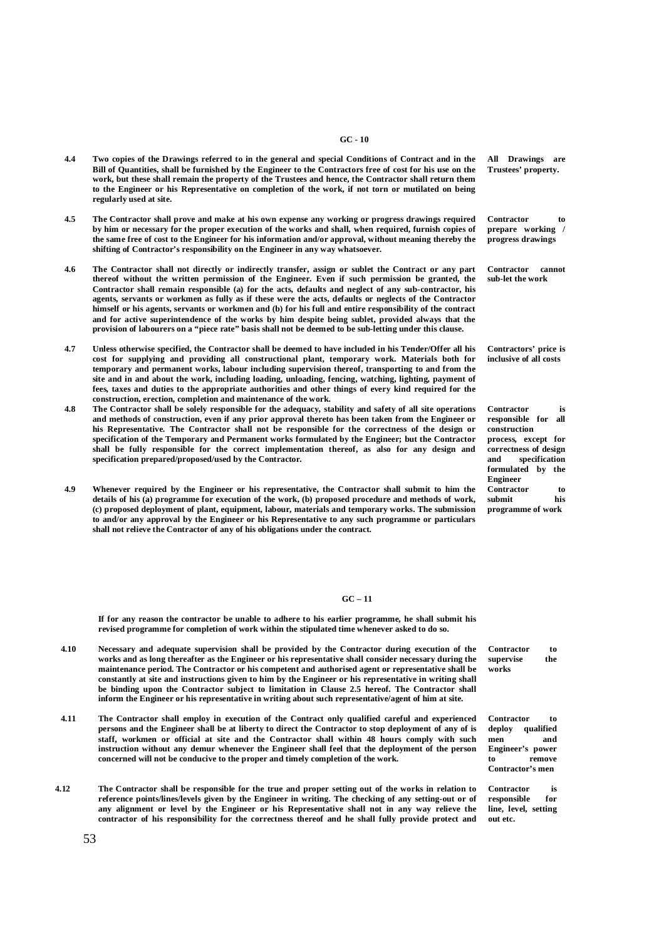#### **GC - 10**

- **4.4 Two copies of the Drawings referred to in the general and special Conditions of Contract and in the Bill of Quantities, shall be furnished by the Engineer to the Contractors free of cost for his use on the work, but these shall remain the property of the Trustees and hence, the Contractor shall return them to the Engineer or his Representative on completion of the work, if not torn or mutilated on being regularly used at site.**
- **4.5 The Contractor shall prove and make at his own expense any working or progress drawings required by him or necessary for the proper execution of the works and shall, when required, furnish copies of the same free of cost to the Engineer for his information and/or approval, without meaning thereby the shifting of Contractor's responsibility on the Engineer in any way whatsoever.**
- **4.6 The Contractor shall not directly or indirectly transfer, assign or sublet the Contract or any part thereof without the written permission of the Engineer. Even if such permission be granted, the Contractor shall remain responsible (a) for the acts, defaults and neglect of any sub-contractor, his agents, servants or workmen as fully as if these were the acts, defaults or neglects of the Contractor himself or his agents, servants or workmen and (b) for his full and entire responsibility of the contract and for active superintendence of the works by him despite being sublet, provided always that the provision of labourers on a "piece rate" basis shall not be deemed to be sub-letting under this clause.**
- **4.7 Unless otherwise specified, the Contractor shall be deemed to have included in his Tender/Offer all his cost for supplying and providing all constructional plant, temporary work. Materials both for temporary and permanent works, labour including supervision thereof, transporting to and from the site and in and about the work, including loading, unloading, fencing, watching, lighting, payment of fees, taxes and duties to the appropriate authorities and other things of every kind required for the construction, erection, completion and maintenance of the work.**
- **4.8 The Contractor shall be solely responsible for the adequacy, stability and safety of all site operations and methods of construction, even if any prior approval thereto has been taken from the Engineer or his Representative. The Contractor shall not be responsible for the correctness of the design or specification of the Temporary and Permanent works formulated by the Engineer; but the Contractor shall be fully responsible for the correct implementation thereof, as also for any design and specification prepared/proposed/used by the Contractor.**
- **4.9 Whenever required by the Engineer or his representative, the Contractor shall submit to him the details of his (a) programme for execution of the work, (b) proposed procedure and methods of work, (c) proposed deployment of plant, equipment, labour, materials and temporary works. The submission to and/or any approval by the Engineer or his Representative to any such programme or particulars shall not relieve the Contractor of any of his obligations under the contract.**

**All Drawings are Trustees' property.**

**Contractor to prepare working / progress drawings**

**Contractor cannot sub-let the work**

**Contractors' price is inclusive of all costs**

**Contractor is responsible for all construction process, except for correctness of design and specification formulated by the Engineer Contractor to submit his programme of work**

#### **GC – 11**

**If for any reason the contractor be unable to adhere to his earlier programme, he shall submit his revised programme for completion of work within the stipulated time whenever asked to do so.**

- **4.10 Necessary and adequate supervision shall be provided by the Contractor during execution of the works and as long thereafter as the Engineer or his representative shall consider necessary during the maintenance period. The Contractor or his competent and authorised agent or representative shall be constantly at site and instructions given to him by the Engineer or his representative in writing shall be binding upon the Contractor subject to limitation in Clause 2.5 hereof. The Contractor shall inform the Engineer or his representative in writing about such representative/agent of him at site.**
- **4.11 The Contractor shall employ in execution of the Contract only qualified careful and experienced persons and the Engineer shall be at liberty to direct the Contractor to stop deployment of any of is staff, workmen or official at site and the Contractor shall within 48 hours comply with such instruction without any demur whenever the Engineer shall feel that the deployment of the person concerned will not be conducive to the proper and timely completion of the work.**
- **4.12 The Contractor shall be responsible for the true and proper setting out of the works in relation to reference points/lines/levels given by the Engineer in writing. The checking of any setting-out or of any alignment or level by the Engineer or his Representative shall not in any way relieve the contractor of his responsibility for the correctness thereof and he shall fully provide protect and**

**Contractor to supervise the works**

**Contractor to deploy qualified men and Engineer's power to remove Contractor's men**

**Contractor is**   $r$ **esponsible line, level, setting out etc.**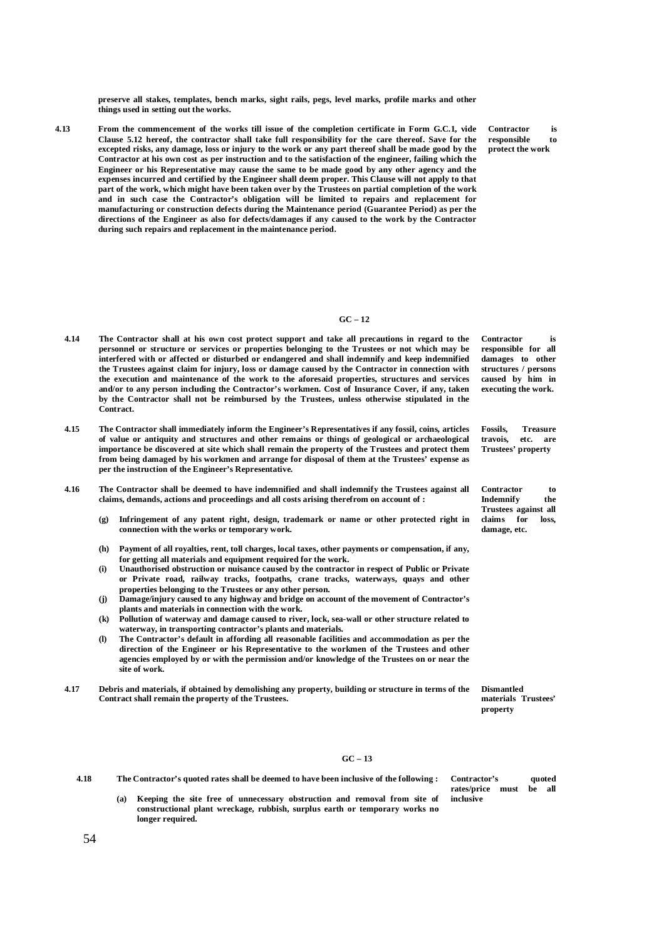**preserve all stakes, templates, bench marks, sight rails, pegs, level marks, profile marks and other things used in setting out the works.**

**4.13 From the commencement of the works till issue of the completion certificate in Form G.C.1, vide Clause 5.12 hereof, the contractor shall take full responsibility for the care thereof. Save for the excepted risks, any damage, loss or injury to the work or any part thereof shall be made good by the Contractor at his own cost as per instruction and to the satisfaction of the engineer, failing which the Engineer or his Representative may cause the same to be made good by any other agency and the expenses incurred and certified by the Engineer shall deem proper. This Clause will not apply to that part of the work, which might have been taken over by the Trustees on partial completion of the work and in such case the Contractor's obligation will be limited to repairs and replacement for manufacturing or construction defects during the Maintenance period (Guarantee Period) as per the directions of the Engineer as also for defects/damages if any caused to the work by the Contractor during such repairs and replacement in the maintenance period.** 

**Contractor is responsible to protect the work**

#### **GC – 12**

- **4.14 The Contractor shall at his own cost protect support and take all precautions in regard to the personnel or structure or services or properties belonging to the Trustees or not which may be interfered with or affected or disturbed or endangered and shall indemnify and keep indemnified the Trustees against claim for injury, loss or damage caused by the Contractor in connection with the execution and maintenance of the work to the aforesaid properties, structures and services and/or to any person including the Contractor's workmen. Cost of Insurance Cover, if any, taken by the Contractor shall not be reimbursed by the Trustees, unless otherwise stipulated in the Contract. Contractor is**
- **4.15 The Contractor shall immediately inform the Engineer's Representatives if any fossil, coins, articles of value or antiquity and structures and other remains or things of geological or archaeological importance be discovered at site which shall remain the property of the Trustees and protect them from being damaged by his workmen and arrange for disposal of them at the Trustees' expense as per the instruction of the Engineer's Representative.**
- **4.16 The Contractor shall be deemed to have indemnified and shall indemnify the Trustees against all claims, demands, actions and proceedings and all costs arising therefrom on account of :**
	- **(g) Infringement of any patent right, design, trademark or name or other protected right in connection with the works or temporary work.**
	- **(h) Payment of all royalties, rent, toll charges, local taxes, other payments or compensation, if any, for getting all materials and equipment required for the work.**
	- **(i) Unauthorised obstruction or nuisance caused by the contractor in respect of Public or Private or Private road, railway tracks, footpaths, crane tracks, waterways, quays and other properties belonging to the Trustees or any other person.**
	- **(j) Damage/injury caused to any highway and bridge on account of the movement of Contractor's plants and materials in connection with the work.**
	- **(k) Pollution of waterway and damage caused to river, lock, sea-wall or other structure related to waterway, in transporting contractor's plants and materials.**
	- **(l) The Contractor's default in affording all reasonable facilities and accommodation as per the direction of the Engineer or his Representative to the workmen of the Trustees and other agencies employed by or with the permission and/or knowledge of the Trustees on or near the site of work.**
- **4.17 Debris and materials, if obtained by demolishing any property, building or structure in terms of the Contract shall remain the property of the Trustees.**

**Dismantled materials Trustees' property**

### **GC – 13**

**4.18 The Contractor's quoted rates shall be deemed to have been inclusive of the following :**

**(a) Keeping the site free of unnecessary obstruction and removal from site of constructional plant wreckage, rubbish, surplus earth or temporary works no longer required.**

**responsible for all damages to other structures / persons caused by him in executing the work.**

**Fossils, Treasure travois, etc. are Trustees' property**

**Contractor to Indemnify the Trustees against all claims for loss, damage, etc.**

**Contractor's quoted** 

**rates/price must be all inclusive**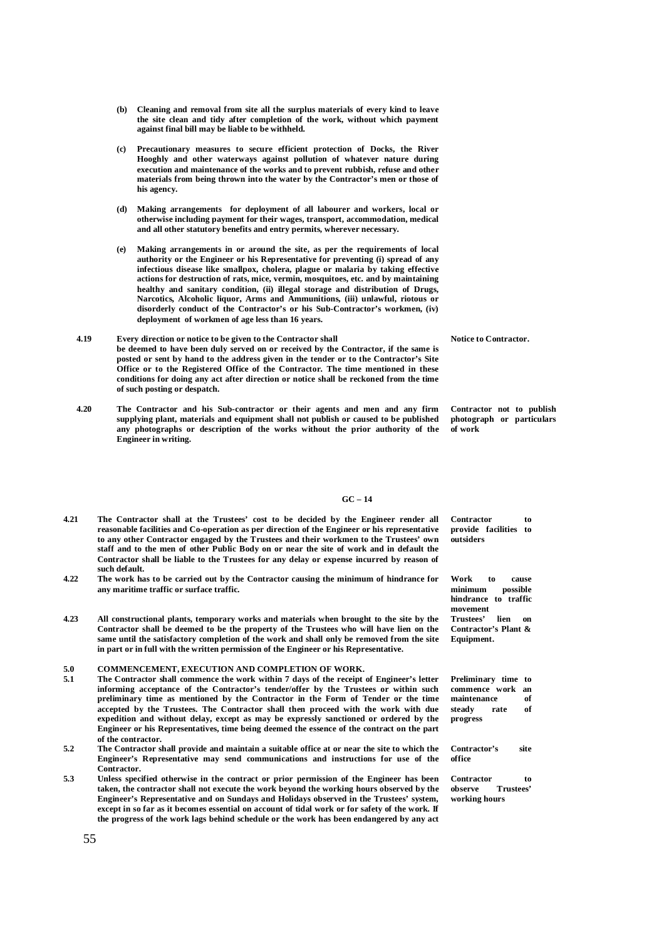- **(b) Cleaning and removal from site all the surplus materials of every kind to leave the site clean and tidy after completion of the work, without which payment against final bill may be liable to be withheld.**
- **(c) Precautionary measures to secure efficient protection of Docks, the River Hooghly and other waterways against pollution of whatever nature during execution and maintenance of the works and to prevent rubbish, refuse and other materials from being thrown into the water by the Contractor's men or those of his agency.**
- **(d) Making arrangements for deployment of all labourer and workers, local or otherwise including payment for their wages, transport, accommodation, medical and all other statutory benefits and entry permits, wherever necessary.**
- **(e) Making arrangements in or around the site, as per the requirements of local authority or the Engineer or his Representative for preventing (i) spread of any infectious disease like smallpox, cholera, plague or malaria by taking effective actions for destruction of rats, mice, vermin, mosquitoes, etc. and by maintaining healthy and sanitary condition, (ii) illegal storage and distribution of Drugs, Narcotics, Alcoholic liquor, Arms and Ammunitions, (iii) unlawful, riotous or disorderly conduct of the Contractor's or his Sub-Contractor's workmen, (iv) deployment of workmen of age less than 16 years.**
- **4.19 Every direction or notice to be given to the Contractor shall be deemed to have been duly served on or received by the Contractor, if the same is posted or sent by hand to the address given in the tender or to the Contractor's Site Office or to the Registered Office of the Contractor. The time mentioned in these conditions for doing any act after direction or notice shall be reckoned from the time of such posting or despatch.**
- **4.20 The Contractor and his Sub-contractor or their agents and men and any firm supplying plant, materials and equipment shall not publish or caused to be published any photographs or description of the works without the prior authority of the Engineer in writing.**

**Notice to Contractor.**

**Contractor not to publish photograph or particulars of work**

#### **GC – 14**

- **4.21 The Contractor shall at the Trustees' cost to be decided by the Engineer render all reasonable facilities and Co-operation as per direction of the Engineer or his representative to any other Contractor engaged by the Trustees and their workmen to the Trustees' own staff and to the men of other Public Body on or near the site of work and in default the Contractor shall be liable to the Trustees for any delay or expense incurred by reason of such default.**
- **4.22 The work has to be carried out by the Contractor causing the minimum of hindrance for any maritime traffic or surface traffic.**
- **4.23 All constructional plants, temporary works and materials when brought to the site by the Contractor shall be deemed to be the property of the Trustees who will have lien on the same until the satisfactory completion of the work and shall only be removed from the site in part or in full with the written permission of the Engineer or his Representative.**

# 5.0 **COMMENCEMENT, EXECUTION AND COMPLETION OF WORK.**<br>5.1 The Contractor shall commence the work within 7 days of the receipt

- **5.1 The Contractor shall commence the work within 7 days of the receipt of Engineer's letter informing acceptance of the Contractor's tender/offer by the Trustees or within such preliminary time as mentioned by the Contractor in the Form of Tender or the time accepted by the Trustees. The Contractor shall then proceed with the work with due expedition and without delay, except as may be expressly sanctioned or ordered by the Engineer or his Representatives, time being deemed the essence of the contract on the part of the contractor.**
- **5.2 The Contractor shall provide and maintain a suitable office at or near the site to which the Engineer's Representative may send communications and instructions for use of the Contractor.**
- **5.3 Unless specified otherwise in the contract or prior permission of the Engineer has been taken, the contractor shall not execute the work beyond the working hours observed by the Engineer's Representative and on Sundays and Holidays observed in the Trustees' system, except in so far as it becomes essential on account of tidal work or for safety of the work. If the progress of the work lags behind schedule or the work has been endangered by any act**

**Contractor to provide facilities to outsiders**

**Work to cause minimum possible hindrance to traffic movement Trustees' lien on Contractor's Plant & Equipment.**

| Preliminary time to |      |    |
|---------------------|------|----|
| commence work an    |      |    |
| maintenance         |      | of |
| steadv              | rate | of |
| progress            |      |    |

**Contractor's site office**

Contractor to<br>observe Trustees'  $Trustees'$ **working hours**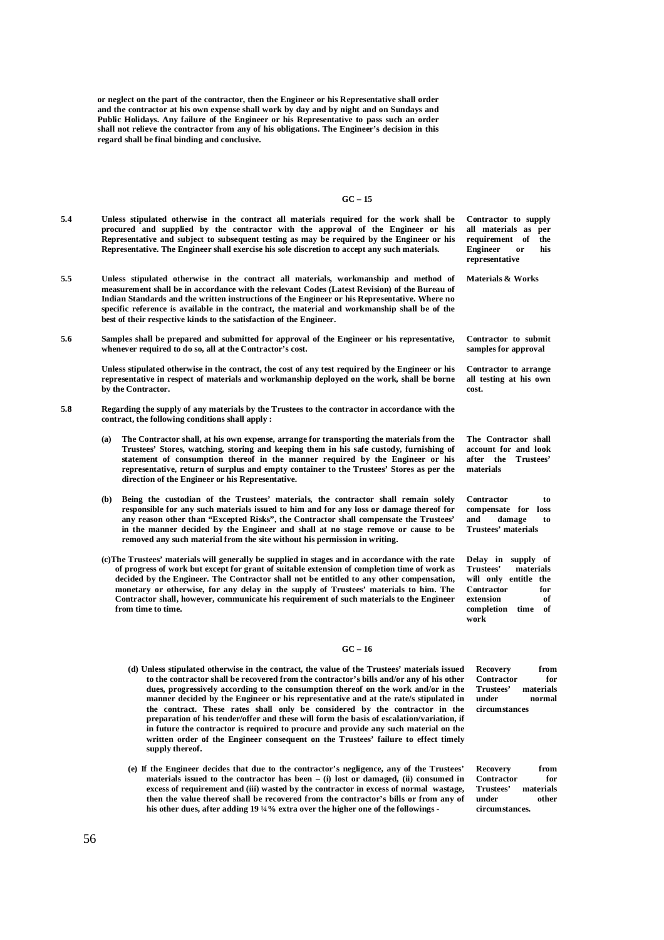**or neglect on the part of the contractor, then the Engineer or his Representative shall order and the contractor at his own expense shall work by day and by night and on Sundays and Public Holidays. Any failure of the Engineer or his Representative to pass such an order**  shall not relieve the contractor from any of his obligations. The Engineer's decision in this  $\frac{1}{2}$ **regard shall be final binding and conclusive.**

#### **GC – 15**

| 5.4 | Unless stipulated otherwise in the contract all materials required for the work shall be<br>procured and supplied by the contractor with the approval of the Engineer or his<br>Representative and subject to subsequent testing as may be required by the Engineer or his<br>Representative. The Engineer shall exercise his sole discretion to accept any such materials.                                                                                                                                                                        | Contractor to supply<br>all materials as per<br>requirement of<br>the<br><b>Engineer</b><br>or<br>his<br>representative                        |
|-----|----------------------------------------------------------------------------------------------------------------------------------------------------------------------------------------------------------------------------------------------------------------------------------------------------------------------------------------------------------------------------------------------------------------------------------------------------------------------------------------------------------------------------------------------------|------------------------------------------------------------------------------------------------------------------------------------------------|
| 5.5 | Unless stipulated otherwise in the contract all materials, workmanship and method of<br>measurement shall be in accordance with the relevant Codes (Latest Revision) of the Bureau of<br>Indian Standards and the written instructions of the Engineer or his Representative. Where no<br>specific reference is available in the contract, the material and workmanship shall be of the<br>best of their respective kinds to the satisfaction of the Engineer.                                                                                     | Materials & Works                                                                                                                              |
| 5.6 | Samples shall be prepared and submitted for approval of the Engineer or his representative,<br>whenever required to do so, all at the Contractor's cost.                                                                                                                                                                                                                                                                                                                                                                                           | Contractor to submit<br>samples for approval                                                                                                   |
|     | Unless stipulated otherwise in the contract, the cost of any test required by the Engineer or his<br>representative in respect of materials and workmanship deployed on the work, shall be borne<br>by the Contractor.                                                                                                                                                                                                                                                                                                                             | Contractor to arrange<br>all testing at his own<br>cost.                                                                                       |
| 5.8 | Regarding the supply of any materials by the Trustees to the contractor in accordance with the<br>contract, the following conditions shall apply:                                                                                                                                                                                                                                                                                                                                                                                                  |                                                                                                                                                |
|     | The Contractor shall, at his own expense, arrange for transporting the materials from the<br>(a)<br>Trustees' Stores, watching, storing and keeping them in his safe custody, furnishing of<br>statement of consumption thereof in the manner required by the Engineer or his<br>representative, return of surplus and empty container to the Trustees' Stores as per the<br>direction of the Engineer or his Representative.                                                                                                                      | The Contractor shall<br>account for and look<br>after the Trustees'<br>materials                                                               |
|     | Being the custodian of the Trustees' materials, the contractor shall remain solely<br>(b)<br>responsible for any such materials issued to him and for any loss or damage thereof for<br>any reason other than "Excepted Risks", the Contractor shall compensate the Trustees"<br>in the manner decided by the Engineer and shall at no stage remove or cause to be<br>removed any such material from the site without his permission in writing.                                                                                                   | Contractor<br>to<br>compensate for loss<br>and<br>damage<br>to<br>Trustees' materials                                                          |
|     | (c) The Trustees' materials will generally be supplied in stages and in accordance with the rate<br>of progress of work but except for grant of suitable extension of completion time of work as<br>decided by the Engineer. The Contractor shall not be entitled to any other compensation,<br>monetary or otherwise, for any delay in the supply of Trustees' materials to him. The<br>Contractor shall, however, communicate his requirement of such materials to the Engineer<br>from time to time.                                            | Delay in supply of<br>Trustees'<br>materials<br>will only entitle the<br>Contractor<br>for<br>extension<br>оf<br>completion<br>time of<br>work |
|     | $GC - 16$                                                                                                                                                                                                                                                                                                                                                                                                                                                                                                                                          |                                                                                                                                                |
|     | (d) Unless stipulated otherwise in the contract, the value of the Trustees' materials issued<br>to the contractor shall be recovered from the contractor's bills and/or any of his other<br>dues, progressively according to the consumption thereof on the work and/or in the<br>manner decided by the Engineer or his representative and at the rate/s stipulated in<br>the contract. These rates shall only be considered by the contractor in the<br>preparation of his tender/offer and these will form the basis of escalation/variation, if | from<br>Recovery<br>Contractor<br>for<br>Trustees'<br>materials<br>under<br>normal<br>circumstances                                            |

**(e) If the Engineer decides that due to the contractor's negligence, any of the Trustees' materials issued to the contractor has been – (i) lost or damaged, (ii) consumed in excess of requirement and (iii) wasted by the contractor in excess of normal wastage, then the value thereof shall be recovered from the contractor's bills or from any of his other dues, after adding 19 ¼% extra over the higher one of the followings -** 

**in future the contractor is required to procure and provide any such material on the**  written order of the Engineer consequent on the Trustees' failure to effect timely

**Recovery from** 

Contractor for<br>Trustees' materials materials<br>other **under circumstances.**

**supply thereof.**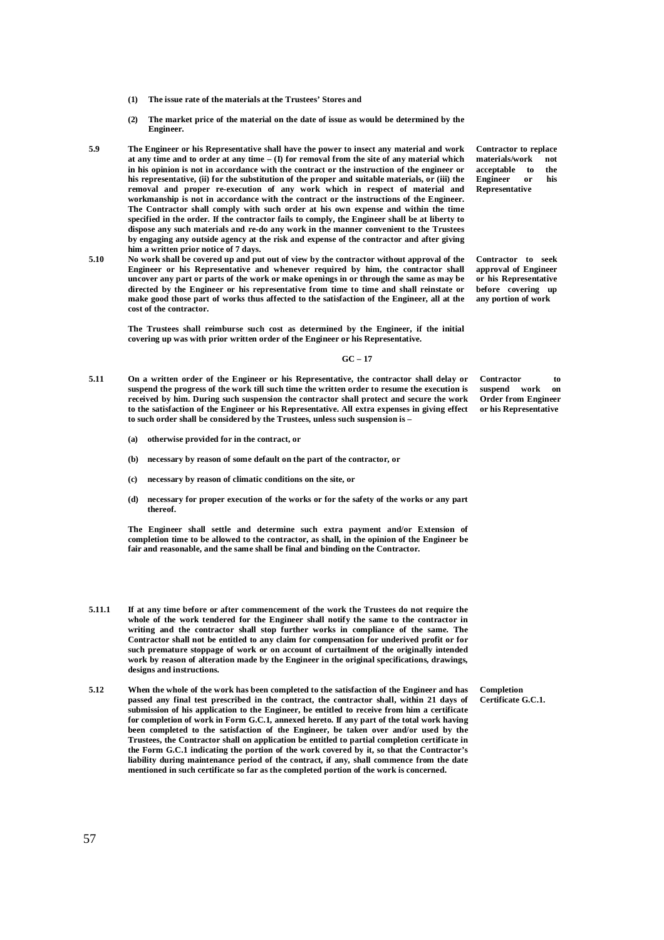- **(1) The issue rate of the materials at the Trustees' Stores and**
- **(2) The market price of the material on the date of issue as would be determined by the Engineer.**
- **5.9 The Engineer or his Representative shall have the power to insect any material and work at any time and to order at any time – (I) for removal from the site of any material which in his opinion is not in accordance with the contract or the instruction of the engineer or his representative, (ii) for the substitution of the proper and suitable materials, or (iii) the removal and proper re-execution of any work which in respect of material and workmanship is not in accordance with the contract or the instructions of the Engineer. The Contractor shall comply with such order at his own expense and within the time specified in the order. If the contractor fails to comply, the Engineer shall be at liberty to dispose any such materials and re-do any work in the manner convenient to the Trustees by engaging any outside agency at the risk and expense of the contractor and after giving him a written prior notice of 7 days.**
- **5.10 No work shall be covered up and put out of view by the contractor without approval of the Engineer or his Representative and whenever required by him, the contractor shall uncover any part or parts of the work or make openings in or through the same as may be directed by the Engineer or his representative from time to time and shall reinstate or make good those part of works thus affected to the satisfaction of the Engineer, all at the cost of the contractor.**

**The Trustees shall reimburse such cost as determined by the Engineer, if the initial covering up was with prior written order of the Engineer or his Representative.**

#### **GC – 17**

- **5.11 On a written order of the Engineer or his Representative, the contractor shall delay or suspend the progress of the work till such time the written order to resume the execution is received by him. During such suspension the contractor shall protect and secure the work to the satisfaction of the Engineer or his Representative. All extra expenses in giving effect to such order shall be considered by the Trustees, unless such suspension is –**
	- **(a) otherwise provided for in the contract, or**
	- **(b) necessary by reason of some default on the part of the contractor, or**
	- **(c) necessary by reason of climatic conditions on the site, or**
	- **(d) necessary for proper execution of the works or for the safety of the works or any part thereof.**

**The Engineer shall settle and determine such extra payment and/or Extension of completion time to be allowed to the contractor, as shall, in the opinion of the Engineer be fair and reasonable, and the same shall be final and binding on the Contractor.**

- **5.11.1 If at any time before or after commencement of the work the Trustees do not require the whole of the work tendered for the Engineer shall notify the same to the contractor in writing and the contractor shall stop further works in compliance of the same. The Contractor shall not be entitled to any claim for compensation for underived profit or for such premature stoppage of work or on account of curtailment of the originally intended work by reason of alteration made by the Engineer in the original specifications, drawings, designs and instructions.**
- **5.12 When the whole of the work has been completed to the satisfaction of the Engineer and has passed any final test prescribed in the contract, the contractor shall, within 21 days of submission of his application to the Engineer, be entitled to receive from him a certificate for completion of work in Form G.C.1, annexed hereto. If any part of the total work having been completed to the satisfaction of the Engineer, be taken over and/or used by the Trustees, the Contractor shall on application be entitled to partial completion certificate in the Form G.C.1 indicating the portion of the work covered by it, so that the Contractor's liability during maintenance period of the contract, if any, shall commence from the date mentioned in such certificate so far as the completed portion of the work is concerned.**

**Contractor to replace materials/work** not<br>accentable to the **acceptable to the Engineer** or **Representative**

**Contractor to seek approval of Engineer or his Representative before covering up any portion of work**

**Contractor** to **suspend** work on suspend work **Order from Engineer or his Representative**

**Completion Certificate G.C.1.**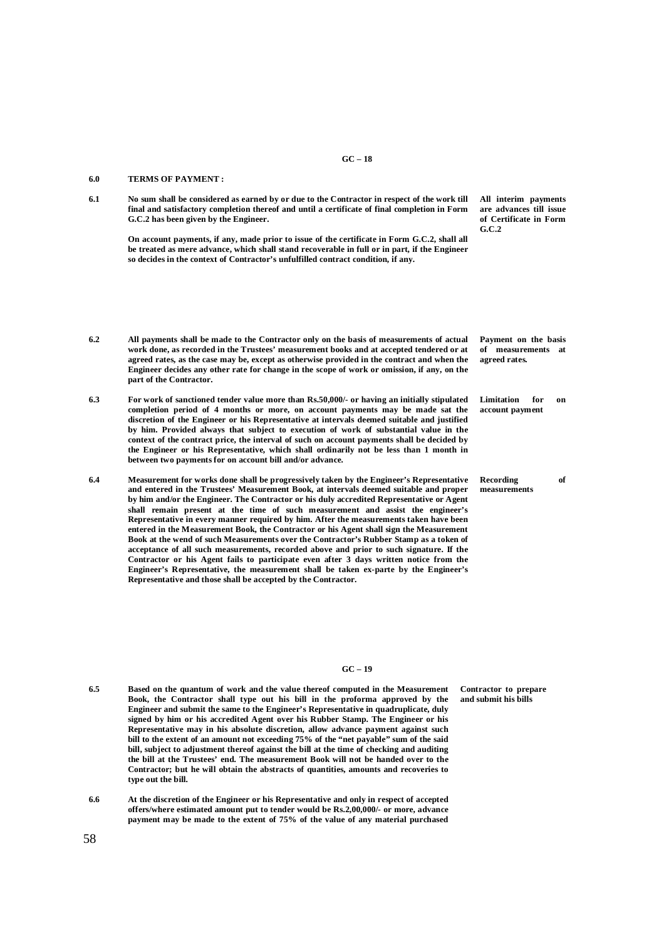#### **GC – 18**

#### **6.0 TERMS OF PAYMENT :**

**6.1 No sum shall be considered as earned by or due to the Contractor in respect of the work till final and satisfactory completion thereof and until a certificate of final completion in Form G.C.2 has been given by the Engineer.**

> **On account payments, if any, made prior to issue of the certificate in Form G.C.2, shall all be treated as mere advance, which shall stand recoverable in full or in part, if the Engineer so decides in the context of Contractor's unfulfilled contract condition, if any.**

**are advances till issue of Certificate in Form G.C.2**

**All interim payments** 

- **6.2 All payments shall be made to the Contractor only on the basis of measurements of actual work done, as recorded in the Trustees' measurement books and at accepted tendered or at agreed rates, as the case may be, except as otherwise provided in the contract and when the Engineer decides any other rate for change in the scope of work or omission, if any, on the part of the Contractor. Payment on the basis of measurements at agreed rates.**
	- **6.3 For work of sanctioned tender value more than Rs.50,000/- or having an initially stipulated completion period of 4 months or more, on account payments may be made sat the discretion of the Engineer or his Representative at intervals deemed suitable and justified by him. Provided always that subject to execution of work of substantial value in the context of the contract price, the interval of such on account payments shall be decided by the Engineer or his Representative, which shall ordinarily not be less than 1 month in between two payments for on account bill and/or advance.**
	- **6.4 Measurement for works done shall be progressively taken by the Engineer's Representative and entered in the Trustees' Measurement Book, at intervals deemed suitable and proper by him and/or the Engineer. The Contractor or his duly accredited Representative or Agent shall remain present at the time of such measurement and assist the engineer's Representative in every manner required by him. After the measurements taken have been entered in the Measurement Book, the Contractor or his Agent shall sign the Measurement Book at the wend of such Measurements over the Contractor's Rubber Stamp as a token of acceptance of all such measurements, recorded above and prior to such signature. If the Contractor or his Agent fails to participate even after 3 days written notice from the Engineer's Representative, the measurement shall be taken ex-parte by the Engineer's Representative and those shall be accepted by the Contractor.**

#### **GC – 19**

- **6.5 Based on the quantum of work and the value thereof computed in the Measurement Book, the Contractor shall type out his bill in the proforma approved by the Engineer and submit the same to the Engineer's Representative in quadruplicate, duly signed by him or his accredited Agent over his Rubber Stamp. The Engineer or his Representative may in his absolute discretion, allow advance payment against such bill to the extent of an amount not exceeding 75% of the "net payable" sum of the said**  bill, subject to adjustment thereof against the bill at the time of checking and auditing **the bill at the Trustees' end. The measurement Book will not be handed over to the Contractor; but he will obtain the abstracts of quantities, amounts and recoveries to type out the bill.**
- **6.6 At the discretion of the Engineer or his Representative and only in respect of accepted offers/where estimated amount put to tender would be Rs.2,00,000/- or more, advance payment may be made to the extent of 75% of the value of any material purchased**

**Limitation for on account payment** 

**Recording of measurements**

**Contractor to prepare and submit his bills**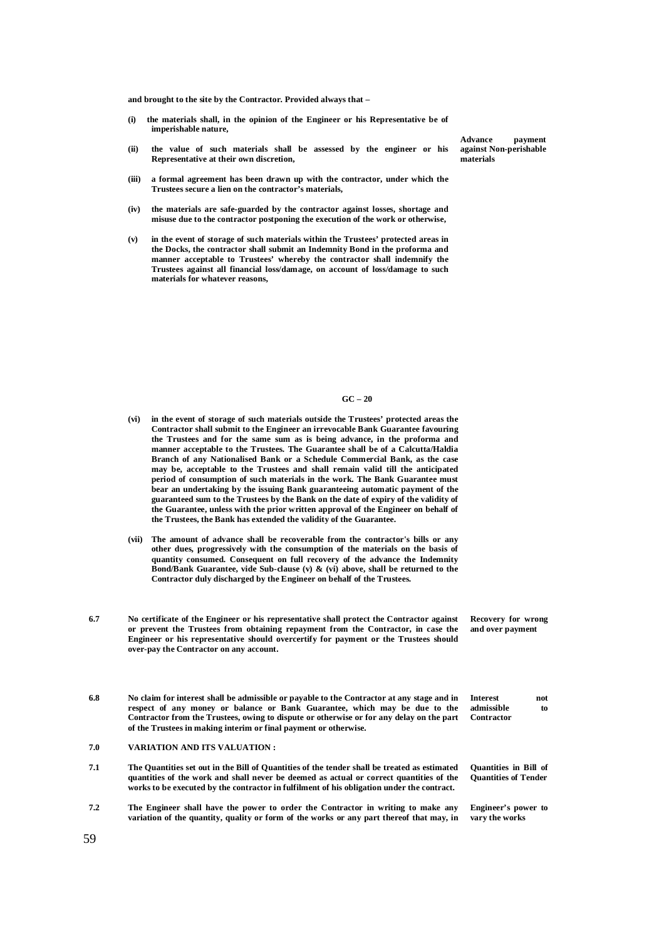**and brought to the site by the Contractor. Provided always that –**

- **(i) the materials shall, in the opinion of the Engineer or his Representative be of imperishable nature,**
- **(ii) the value of such materials shall be assessed by the engineer or his Representative at their own discretion,**
- **(iii) a formal agreement has been drawn up with the contractor, under which the Trustees secure a lien on the contractor's materials,**
- **(iv) the materials are safe-guarded by the contractor against losses, shortage and misuse due to the contractor postponing the execution of the work or otherwise,**
- **(v) in the event of storage of such materials within the Trustees' protected areas in the Docks, the contractor shall submit an Indemnity Bond in the proforma and manner acceptable to Trustees' whereby the contractor shall indemnify the Trustees against all financial loss/damage, on account of loss/damage to such materials for whatever reasons,**

**GC – 20**

- **(vi) in the event of storage of such materials outside the Trustees' protected areas the Contractor shall submit to the Engineer an irrevocable Bank Guarantee favouring the Trustees and for the same sum as is being advance, in the proforma and manner acceptable to the Trustees. The Guarantee shall be of a Calcutta/Haldia Branch of any Nationalised Bank or a Schedule Commercial Bank, as the case may be, acceptable to the Trustees and shall remain valid till the anticipated period of consumption of such materials in the work. The Bank Guarantee must bear an undertaking by the issuing Bank guaranteeing automatic payment of the guaranteed sum to the Trustees by the Bank on the date of expiry of the validity of the Guarantee, unless with the prior written approval of the Engineer on behalf of the Trustees, the Bank has extended the validity of the Guarantee.**
- **(vii) The amount of advance shall be recoverable from the contractor's bills or any other dues, progressively with the consumption of the materials on the basis of quantity consumed. Consequent on full recovery of the advance the Indemnity Bond/Bank Guarantee, vide Sub-clause (v) & (vi) above, shall be returned to the Contractor duly discharged by the Engineer on behalf of the Trustees.**
- **6.7 No certificate of the Engineer or his representative shall protect the Contractor against or prevent the Trustees from obtaining repayment from the Contractor, in case the Engineer or his representative should overcertify for payment or the Trustees should over-pay the Contractor on any account. Recovery for wrong and over payment**
- **6.8 No claim for interest shall be admissible or payable to the Contractor at any stage and in respect of any money or balance or Bank Guarantee, which may be due to the Contractor from the Trustees, owing to dispute or otherwise or for any delay on the part of the Trustees in making interim or final payment or otherwise. Interest not admissible to Contractor**
- **7.0 VARIATION AND ITS VALUATION :**
- **7.1 The Quantities set out in the Bill of Quantities of the tender shall be treated as estimated quantities of the work and shall never be deemed as actual or correct quantities of the works to be executed by the contractor in fulfilment of his obligation under the contract. Quantities in Bill of Quantities of Tender**
- **7.2 The Engineer shall have the power to order the Contractor in writing to make any**  variation of the quantity, quality or form of the works or any part thereof that may, in **Engineer's power to vary the works**

**Advance payment against Non-perishable materials**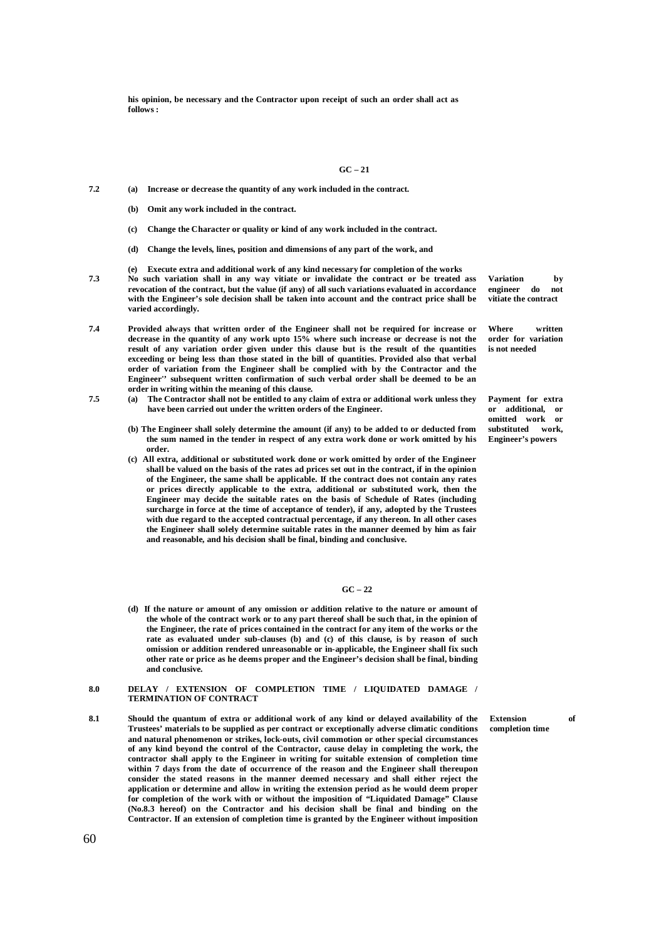**his opinion, be necessary and the Contractor upon receipt of such an order shall act as follows :**

#### **GC – 21**

- **7.2 (a) Increase or decrease the quantity of any work included in the contract.**
	- **(b) Omit any work included in the contract.**
	- **(c) Change the Character or quality or kind of any work included in the contract.**
	- **(d) Change the levels, lines, position and dimensions of any part of the work, and**
	- **(e) Execute extra and additional work of any kind necessary for completion of the works**
- **7.3 No such variation shall in any way vitiate or invalidate the contract or be treated ass revocation of the contract, but the value (if any) of all such variations evaluated in accordance with the Engineer's sole decision shall be taken into account and the contract price shall be varied accordingly.**
- **7.4 Provided always that written order of the Engineer shall not be required for increase or decrease in the quantity of any work upto 15% where such increase or decrease is not the result of any variation order given under this clause but is the result of the quantities exceeding or being less than those stated in the bill of quantities. Provided also that verbal order of variation from the Engineer shall be complied with by the Contractor and the Engineer'' subsequent written confirmation of such verbal order shall be deemed to be an order in writing within the meaning of this clause.**
- **7.5 (a) The Contractor shall not be entitled to any claim of extra or additional work unless they have been carried out under the written orders of the Engineer.**
	- **(b) The Engineer shall solely determine the amount (if any) to be added to or deducted from the sum named in the tender in respect of any extra work done or work omitted by his order.**
	- **(c) All extra, additional or substituted work done or work omitted by order of the Engineer shall be valued on the basis of the rates ad prices set out in the contract, if in the opinion of the Engineer, the same shall be applicable. If the contract does not contain any rates or prices directly applicable to the extra, additional or substituted work, then the Engineer may decide the suitable rates on the basis of Schedule of Rates (including surcharge in force at the time of acceptance of tender), if any, adopted by the Trustees with due regard to the accepted contractual percentage, if any thereon. In all other cases the Engineer shall solely determine suitable rates in the manner deemed by him as fair and reasonable, and his decision shall be final, binding and conclusive.**

#### **GC – 22**

**(d) If the nature or amount of any omission or addition relative to the nature or amount of the whole of the contract work or to any part thereof shall be such that, in the opinion of the Engineer, the rate of prices contained in the contract for any item of the works or the rate as evaluated under sub-clauses (b) and (c) of this clause, is by reason of such omission or addition rendered unreasonable or in-applicable, the Engineer shall fix such other rate or price as he deems proper and the Engineer's decision shall be final, binding and conclusive.**

#### **8.0 DELAY / EXTENSION OF COMPLETION TIME / LIQUIDATED DAMAGE / TERMINATION OF CONTRACT**

**Extension of completion time**

**8.1 Should the quantum of extra or additional work of any kind or delayed availability of the Trustees' materials to be supplied as per contract or exceptionally adverse climatic conditions and natural phenomenon or strikes, lock-outs, civil commotion or other special circumstances of any kind beyond the control of the Contractor, cause delay in completing the work, the contractor shall apply to the Engineer in writing for suitable extension of completion time within 7 days from the date of occurrence of the reason and the Engineer shall thereupon consider the stated reasons in the manner deemed necessary and shall either reject the application or determine and allow in writing the extension period as he would deem proper for completion of the work with or without the imposition of "Liquidated Damage" Clause (No.8.3 hereof) on the Contractor and his decision shall be final and binding on the Contractor. If an extension of completion time is granted by the Engineer without imposition** 

**Variation by engineer do not vitiate the contract**

**Where written order for variation is not needed**

**Payment for extra or additional, or omitted work or substituted work, Engineer's powers**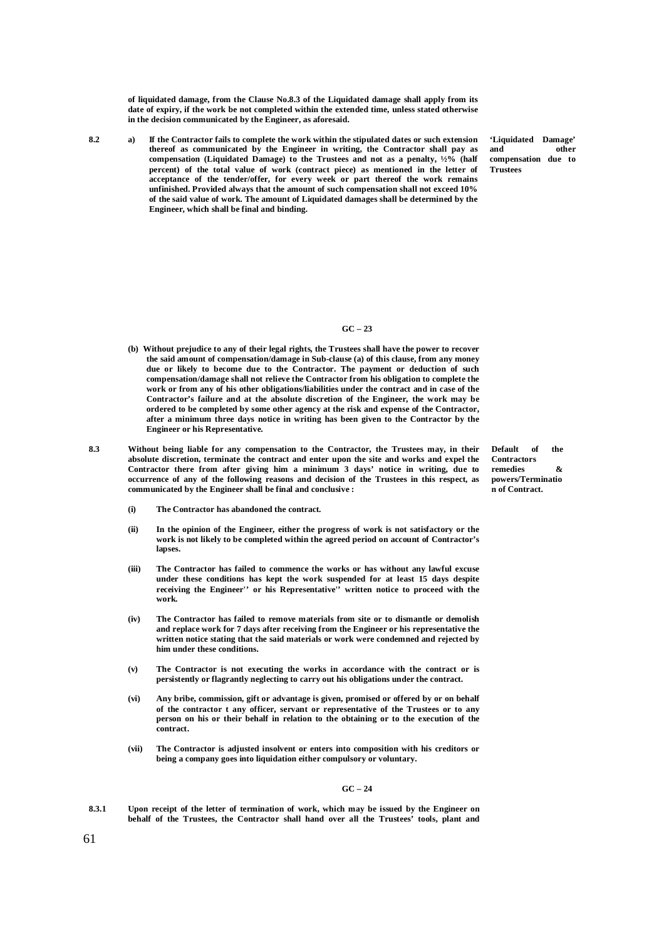**of liquidated damage, from the Clause No.8.3 of the Liquidated damage shall apply from its date of expiry, if the work be not completed within the extended time, unless stated otherwise in the decision communicated by the Engineer, as aforesaid.**

**8.2 a) If the Contractor fails to complete the work within the stipulated dates or such extension thereof as communicated by the Engineer in writing, the Contractor shall pay as compensation (Liquidated Damage) to the Trustees and not as a penalty, ½% (half percent) of the total value of work (contract piece) as mentioned in the letter of acceptance of the tender/offer, for every week or part thereof the work remains unfinished. Provided always that the amount of such compensation shall not exceed 10% of the said value of work. The amount of Liquidated damages shall be determined by the Engineer, which shall be final and binding.**

**'Liquidated Damage' and other compensation due to Trustees**

#### **GC – 23**

- **(b) Without prejudice to any of their legal rights, the Trustees shall have the power to recover the said amount of compensation/damage in Sub-clause (a) of this clause, from any money due or likely to become due to the Contractor. The payment or deduction of such compensation/damage shall not relieve the Contractor from his obligation to complete the work or from any of his other obligations/liabilities under the contract and in case of the Contractor's failure and at the absolute discretion of the Engineer, the work may be ordered to be completed by some other agency at the risk and expense of the Contractor, after a minimum three days notice in writing has been given to the Contractor by the Engineer or his Representative.**
- **8.3 Without being liable for any compensation to the Contractor, the Trustees may, in their absolute discretion, terminate the contract and enter upon the site and works and expel the Contractor there from after giving him a minimum 3 days' notice in writing, due to occurrence of any of the following reasons and decision of the Trustees in this respect, as communicated by the Engineer shall be final and conclusive :**

**Default of the Contractors remedies & powers/Terminatio n of Contract.**

- **(i) The Contractor has abandoned the contract.**
- **(ii) In the opinion of the Engineer, either the progress of work is not satisfactory or the work is not likely to be completed within the agreed period on account of Contractor's**  lapses.
- **(iii) The Contractor has failed to commence the works or has without any lawful excuse under these conditions has kept the work suspended for at least 15 days despite receiving the Engineer'' or his Representative'' written notice to proceed with the work.**
- **(iv) The Contractor has failed to remove materials from site or to dismantle or demolish and replace work for 7 days after receiving from the Engineer or his representative the written notice stating that the said materials or work were condemned and rejected by him under these conditions.**
- **(v) The Contractor is not executing the works in accordance with the contract or is persistently or flagrantly neglecting to carry out his obligations under the contract.**
- **(vi) Any bribe, commission, gift or advantage is given, promised or offered by or on behalf of the contractor t any officer, servant or representative of the Trustees or to any person on his or their behalf in relation to the obtaining or to the execution of the contract.**
- **(vii) The Contractor is adjusted insolvent or enters into composition with his creditors or being a company goes into liquidation either compulsory or voluntary.**

#### **GC – 24**

**8.3.1 Upon receipt of the letter of termination of work, which may be issued by the Engineer on behalf of the Trustees, the Contractor shall hand over all the Trustees' tools, plant and**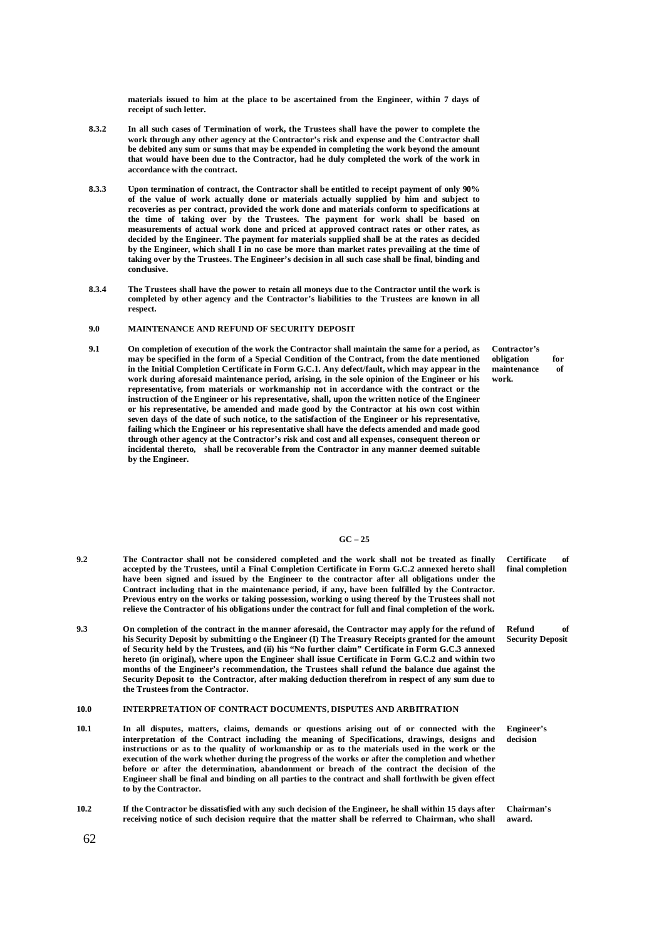**materials issued to him at the place to be ascertained from the Engineer, within 7 days of receipt of such letter.**

- **8.3.2 In all such cases of Termination of work, the Trustees shall have the power to complete the work through any other agency at the Contractor's risk and expense and the Contractor shall be debited any sum or sums that may be expended in completing the work beyond the amount that would have been due to the Contractor, had he duly completed the work of the work in accordance with the contract.**
- **8.3.3 Upon termination of contract, the Contractor shall be entitled to receipt payment of only 90% of the value of work actually done or materials actually supplied by him and subject to recoveries as per contract, provided the work done and materials conform to specifications at the time of taking over by the Trustees. The payment for work shall be based on measurements of actual work done and priced at approved contract rates or other rates, as decided by the Engineer. The payment for materials supplied shall be at the rates as decided by the Engineer, which shall I in no case be more than market rates prevailing at the time of taking over by the Trustees. The Engineer's decision in all such case shall be final, binding and conclusive.**
- **8.3.4 The Trustees shall have the power to retain all moneys due to the Contractor until the work is completed by other agency and the Contractor's liabilities to the Trustees are known in all respect.**

### **9.0 MAINTENANCE AND REFUND OF SECURITY DEPOSIT**

**9.1 On completion of execution of the work the Contractor shall maintain the same for a period, as may be specified in the form of a Special Condition of the Contract, from the date mentioned in the Initial Completion Certificate in Form G.C.1. Any defect/fault, which may appear in the work during aforesaid maintenance period, arising, in the sole opinion of the Engineer or his representative, from materials or workmanship not in accordance with the contract or the instruction of the Engineer or his representative, shall, upon the written notice of the Engineer or his representative, be amended and made good by the Contractor at his own cost within seven days of the date of such notice, to the satisfaction of the Engineer or his representative, failing which the Engineer or his representative shall have the defects amended and made good through other agency at the Contractor's risk and cost and all expenses, consequent thereon or incidental thereto, shall be recoverable from the Contractor in any manner deemed suitable by the Engineer.**

**Contractor's obligation for maintenance of work.**

#### **GC – 25**

- **9.2 The Contractor shall not be considered completed and the work shall not be treated as finally accepted by the Trustees, until a Final Completion Certificate in Form G.C.2 annexed hereto shall**  have been signed and issued by the Engineer to the contractor after all obligations under the **Contract including that in the maintenance period, if any, have been fulfilled by the Contractor. Previous entry on the works or taking possession, working o using thereof by the Trustees shall not relieve the Contractor of his obligations under the contract for full and final completion of the work.**
- **9.3 On completion of the contract in the manner aforesaid, the Contractor may apply for the refund of his Security Deposit by submitting o the Engineer (I) The Treasury Receipts granted for the amount of Security held by the Trustees, and (ii) his "No further claim" Certificate in Form G.C.3 annexed hereto (in original), where upon the Engineer shall issue Certificate in Form G.C.2 and within two months of the Engineer's recommendation, the Trustees shall refund the balance due against the Security Deposit to the Contractor, after making deduction therefrom in respect of any sum due to the Trustees from the Contractor.**

#### **10.0 INTERPRETATION OF CONTRACT DOCUMENTS, DISPUTES AND ARBITRATION**

- **10.1 In all disputes, matters, claims, demands or questions arising out of or connected with the interpretation of the Contract including the meaning of Specifications, drawings, designs and instructions or as to the quality of workmanship or as to the materials used in the work or the execution of the work whether during the progress of the works or after the completion and whether before or after the determination, abandonment or breach of the contract the decision of the Engineer shall be final and binding on all parties to the contract and shall forthwith be given effect to by the Contractor.**
- **10.2 If the Contractor be dissatisfied with any such decision of the Engineer, he shall within 15 days after receiving notice of such decision require that the matter shall be referred to Chairman, who shall**

**Certificate of final completion**

**Refund of Security Deposit**

**Engineer's decision**

**Chairman's award.**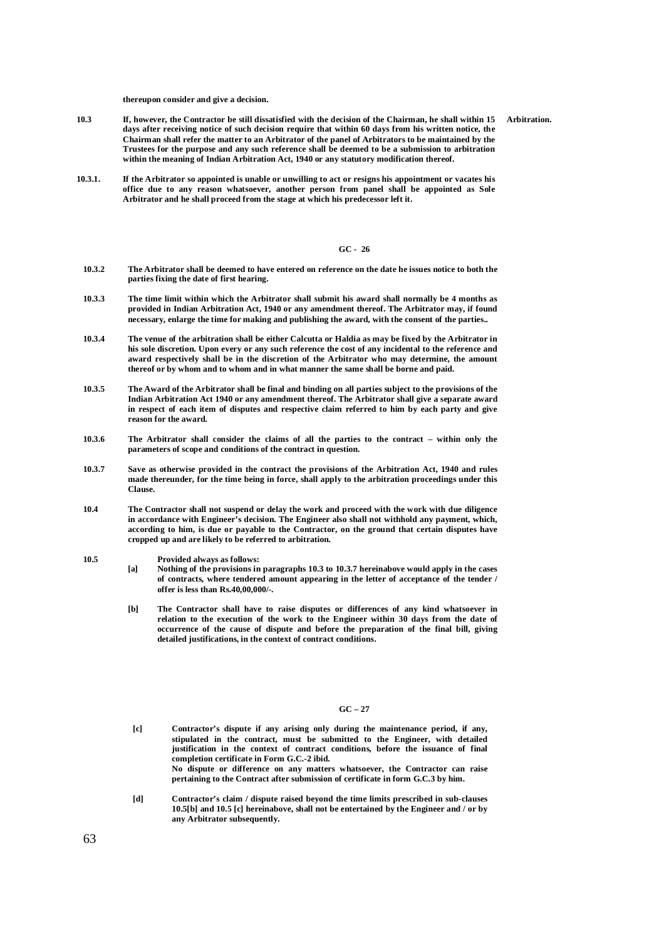**thereupon consider and give a decision.** 

- **10.3 If, however, the Contractor be still dissatisfied with the decision of the Chairman, he shall within 15 Arbitration. days after receiving notice of such decision require that within 60 days from his written notice, the Chairman shall refer the matter to an Arbitrator of the panel of Arbitrators to be maintained by the Trustees for the purpose and any such reference shall be deemed to be a submission to arbitration within the meaning of Indian Arbitration Act, 1940 or any statutory modification thereof.**
- **10.3.1. If the Arbitrator so appointed is unable or unwilling to act or resigns his appointment or vacates his office due to any reason whatsoever, another person from panel shall be appointed as Sole Arbitrator and he shall proceed from the stage at which his predecessor left it.**

### **GC - 26**

- **10.3.2 The Arbitrator shall be deemed to have entered on reference on the date he issues notice to both the parties fixing the date of first hearing.**
- **10.3.3 The time limit within which the Arbitrator shall submit his award shall normally be 4 months as provided in Indian Arbitration Act, 1940 or any amendment thereof. The Arbitrator may, if found necessary, enlarge the time for making and publishing the award, with the consent of the parties..**
- **10.3.4 The venue of the arbitration shall be either Calcutta or Haldia as may be fixed by the Arbitrator in his sole discretion. Upon every or any such reference the cost of any incidental to the reference and award respectively shall be in the discretion of the Arbitrator who may determine, the amount thereof or by whom and to whom and in what manner the same shall be borne and paid.**
- **10.3.5 The Award of the Arbitrator shall be final and binding on all parties subject to the provisions of the Indian Arbitration Act 1940 or any amendment thereof. The Arbitrator shall give a separate award in respect of each item of disputes and respective claim referred to him by each party and give reason for the award.**
- **10.3.6 The Arbitrator shall consider the claims of all the parties to the contract – within only the parameters of scope and conditions of the contract in question.**
- **10.3.7 Save as otherwise provided in the contract the provisions of the Arbitration Act, 1940 and rules made thereunder, for the time being in force, shall apply to the arbitration proceedings under this Clause.**
- **10.4 The Contractor shall not suspend or delay the work and proceed with the work with due diligence in accordance with Engineer's decision. The Engineer also shall not withhold any payment, which, according to him, is due or payable to the Contractor, on the ground that certain disputes have cropped up and are likely to be referred to arbitration.**
- **10.5 Provided always as follows:**
	- **[a] Nothing of the provisions in paragraphs 10.3 to 10.3.7 hereinabove would apply in the cases of contracts, where tendered amount appearing in the letter of acceptance of the tender / offer is less than Rs.40,00,000/-.**
	- **[b] The Contractor shall have to raise disputes or differences of any kind whatsoever in relation to the execution of the work to the Engineer within 30 days from the date of occurrence of the cause of dispute and before the preparation of the final bill, giving detailed justifications, in the context of contract conditions.**

#### **GC – 27**

- **[c] Contractor's dispute if any arising only during the maintenance period, if any, stipulated in the contract, must be submitted to the Engineer, with detailed justification in the context of contract conditions, before the issuance of final completion certificate in Form G.C.-2 ibid. No dispute or difference on any matters whatsoever, the Contractor can raise pertaining to the Contract after submission of certificate in form G.C.3 by him.**
- **[d] Contractor's claim / dispute raised beyond the time limits prescribed in sub-clauses 10.5[b] and 10.5 [c] hereinabove, shall not be entertained by the Engineer and / or by any Arbitrator subsequently.**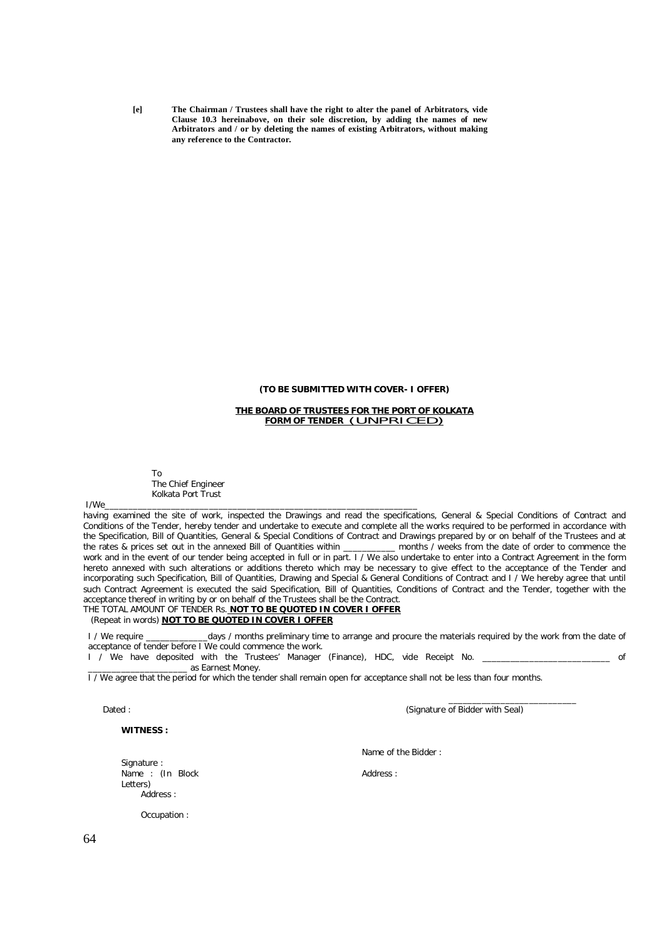**[e] The Chairman / Trustees shall have the right to alter the panel of Arbitrators, vide Clause 10.3 hereinabove, on their sole discretion, by adding the names of new Arbitrators and / or by deleting the names of existing Arbitrators, without making any reference to the Contractor.** 

### **(TO BE SUBMITTED WITH COVER- I OFFER)**

#### **THE BOARD OF TRUSTEES FOR THE PORT OF KOLKATA FORM OF TENDER** (UNPRICED)

To The Chief Engineer Kolkata Port Trust

I/We\_\_\_\_\_\_\_\_\_\_\_\_\_\_\_\_\_\_\_\_\_\_\_\_\_\_\_\_\_\_\_\_\_\_\_\_\_\_\_\_\_\_\_\_\_\_\_\_\_\_\_\_\_\_\_\_\_\_\_\_\_\_\_\_\_\_

having examined the site of work, inspected the Drawings and read the specifications, General & Special Conditions of Contract and Conditions of the Tender, hereby tender and undertake to execute and complete all the works required to be performed in accordance with the Specification, Bill of Quantities, General & Special Conditions of Contract and Drawings prepared by or on behalf of the Trustees and at the rates & prices set out in the annexed Bill of Quantities within \_\_\_\_\_\_\_\_\_\_\_ months / weeks from the date of order to commence the work and in the event of our tender being accepted in full or in part. I / We also undertake to enter into a Contract Agreement in the form hereto annexed with such alterations or additions thereto which may be necessary to give effect to the acceptance of the Tender and incorporating such Specification, Bill of Quantities, Drawing and Special & General Conditions of Contract and I / We hereby agree that until such Contract Agreement is executed the said Specification, Bill of Quantities, Conditions of Contract and the Tender, together with the acceptance thereof in writing by or on behalf of the Trustees shall be the Contract.

# THE TOTAL AMOUNT OF TENDER Rs. **NOT TO BE QUOTED IN COVER I OFFER**

(Repeat in words) **NOT TO BE QUOTED IN COVER I OFFER**

I / We require **the same of a contrary time to arrange and procure the materials required by the work from the date of** acceptance of tender before I We could commence the work.

I / We have deposited with the Trustees' Manager (Finance), HDC, vide Receipt No. \_\_\_\_\_\_\_\_\_\_\_\_\_\_\_\_\_\_\_\_\_\_\_\_\_\_ of \_\_\_\_\_\_\_\_\_\_\_\_\_\_\_\_\_\_\_\_\_ as Earnest Money.

I / We agree that the period for which the tender shall remain open for acceptance shall not be less than four months.

Dated : (Signature of Bidder with Seal)

**WITNESS :** 

 $\overline{\phantom{a}}$  ,  $\overline{\phantom{a}}$  ,  $\overline{\phantom{a}}$  ,  $\overline{\phantom{a}}$  ,  $\overline{\phantom{a}}$  ,  $\overline{\phantom{a}}$  ,  $\overline{\phantom{a}}$  ,  $\overline{\phantom{a}}$  ,  $\overline{\phantom{a}}$  ,  $\overline{\phantom{a}}$  ,  $\overline{\phantom{a}}$  ,  $\overline{\phantom{a}}$  ,  $\overline{\phantom{a}}$  ,  $\overline{\phantom{a}}$  ,  $\overline{\phantom{a}}$  ,  $\overline{\phantom{a}}$ 

Signature : Name : (In Block Letters) Address :

Name of the Bidder :

Address :

Occupation :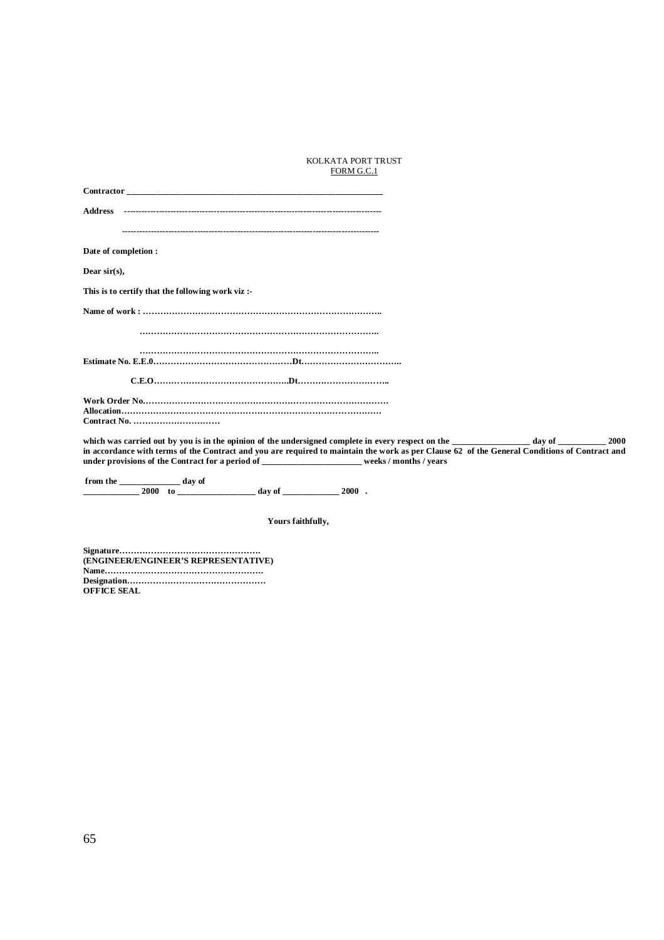### KOLKATA PORT TRUST FORM G.C.1

| Contractor <b>Contractor</b>                                                                                                                                                                                                                                                                                                                                                |  |
|-----------------------------------------------------------------------------------------------------------------------------------------------------------------------------------------------------------------------------------------------------------------------------------------------------------------------------------------------------------------------------|--|
|                                                                                                                                                                                                                                                                                                                                                                             |  |
|                                                                                                                                                                                                                                                                                                                                                                             |  |
| Date of completion :                                                                                                                                                                                                                                                                                                                                                        |  |
| Dear sir $(s)$ ,                                                                                                                                                                                                                                                                                                                                                            |  |
| This is to certify that the following work viz:                                                                                                                                                                                                                                                                                                                             |  |
|                                                                                                                                                                                                                                                                                                                                                                             |  |
|                                                                                                                                                                                                                                                                                                                                                                             |  |
|                                                                                                                                                                                                                                                                                                                                                                             |  |
|                                                                                                                                                                                                                                                                                                                                                                             |  |
|                                                                                                                                                                                                                                                                                                                                                                             |  |
| which was carried out by you is in the opinion of the undersigned complete in every respect on the day of day of 2000<br>in accordance with terms of the Contract and you are required to maintain the work as per Clause 62 of the General Conditions of Contract and<br>under provisions of the Contract for a period of __________________________weeks / months / years |  |
| from the $\_\_\_\_\_\_\_\_\_\_$ day of<br>$\frac{1}{2000}$ to $\frac{1}{2000}$ to $\frac{1}{2000}$ day of $\frac{1}{2000}$ .                                                                                                                                                                                                                                                |  |

 **Yours faithfully,**

**Signature…………………………………………. (ENGINEER/ENGINEER'S REPRESENTATIVE) Name………………………………………………. Designation………………………………………… OFFICE SEAL**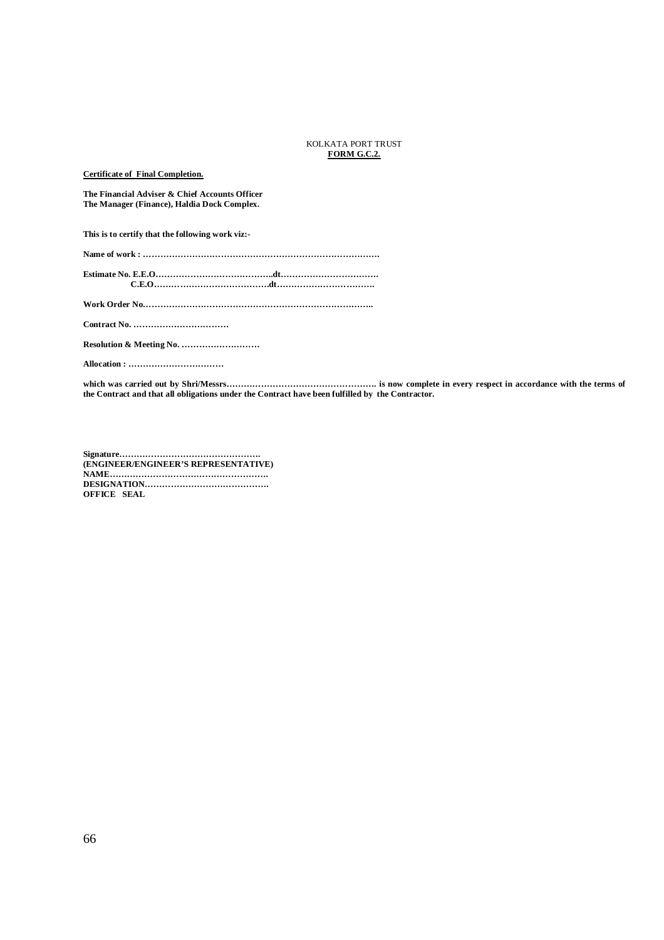#### KOLKATA PORT TRUST **FORM G.C.2.**

**Certificate of Final Completion.**

**The Financial Adviser & Chief Accounts Officer The Manager (Finance), Haldia Dock Complex.**

**This is to certify that the following work viz:-**

**Name of work : ……………………………………………………………………….**

**Estimate No. E.E.O…………………………………..dt……………………………. C.E.O………………………………….dt…………………………….** 

**Work Order No……………………………………………………………………..**

**Contract No. ……………………………**

**Resolution & Meeting No. ………………………**

**Allocation : ……………………………**

**which was carried out by Shri/Messrs……………………………………………. is now complete in every respect in accordance with the terms of the Contract and that all obligations under the Contract have been fulfilled by the Contractor.** 

**Signature…………………………………………. (ENGINEER/ENGINEER'S REPRESENTATIVE) NAME………………………………………………. DESIGNATION……………………………………. OFFICE SEAL**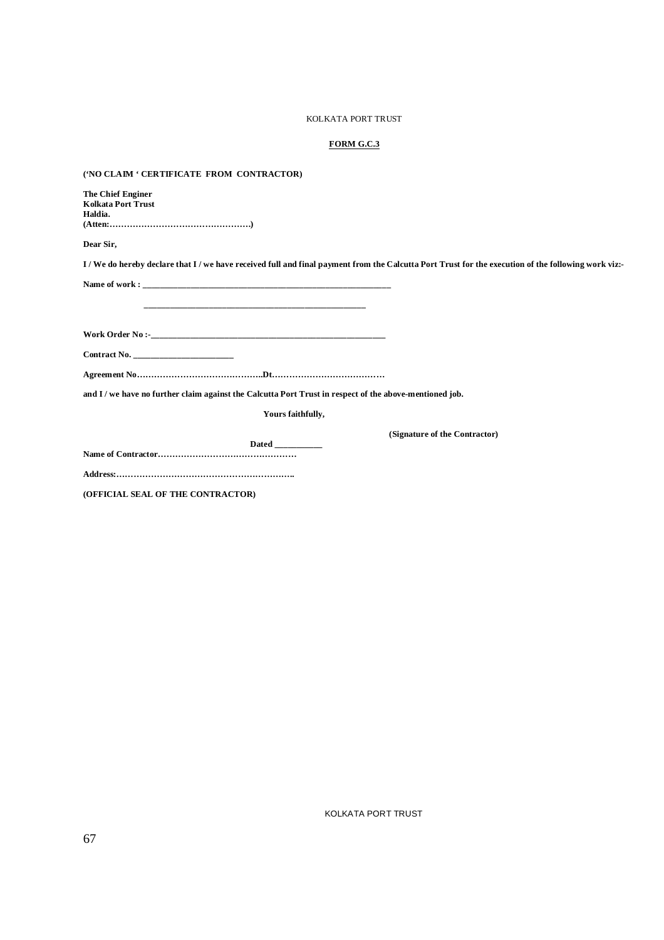### KOLKATA PORT TRUST

### **FORM G.C.3**

**('NO CLAIM ' CERTIFICATE FROM CONTRACTOR)**

| The Chief Enginer                                                                                                                                |
|--------------------------------------------------------------------------------------------------------------------------------------------------|
| <b>Kolkata Port Trust</b>                                                                                                                        |
| Haldia.                                                                                                                                          |
| (Attention 1)                                                                                                                                    |
| Dear Sir,                                                                                                                                        |
| I/We do hereby declare that I/we have received full and final payment from the Calcutta Port Trust for the execution of the following work viz:- |
|                                                                                                                                                  |
|                                                                                                                                                  |
|                                                                                                                                                  |
|                                                                                                                                                  |
| Contract No.                                                                                                                                     |
|                                                                                                                                                  |
|                                                                                                                                                  |
| and I / we have no further claim against the Calcutta Port Trust in respect of the above-mentioned job.                                          |
| Yours faithfully,                                                                                                                                |
| (Signature of the Contractor)                                                                                                                    |
| Dated ___________                                                                                                                                |
|                                                                                                                                                  |
|                                                                                                                                                  |

**(OFFICIAL SEAL OF THE CONTRACTOR)**

KOLKATA PORT TRUST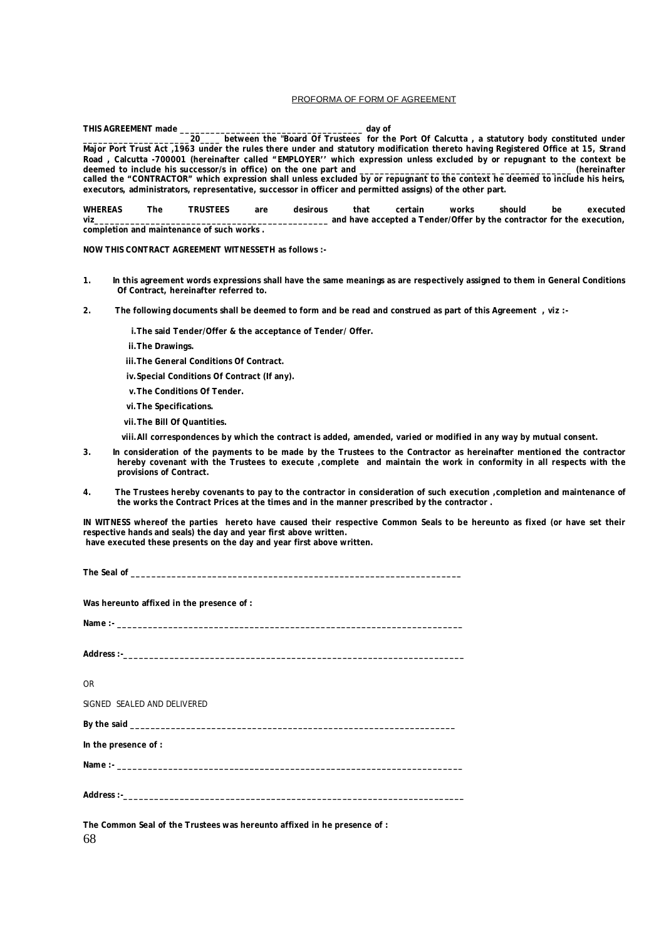#### PROFORMA OF FORM OF AGREEMENT

|                                                                                                                               | THIS AGREEMENT made<br>dav of                                                                                                    |          |     |                                                                                                |      |                                                                       |       |        |    |          |
|-------------------------------------------------------------------------------------------------------------------------------|----------------------------------------------------------------------------------------------------------------------------------|----------|-----|------------------------------------------------------------------------------------------------|------|-----------------------------------------------------------------------|-------|--------|----|----------|
|                                                                                                                               |                                                                                                                                  |          |     | 20 between the "Board Of Trustees for the Port Of Calcutta, a statutory body constituted under |      |                                                                       |       |        |    |          |
|                                                                                                                               | Major Port Trust Act, 1963 under the rules there under and statutory modification thereto having Registered Office at 15, Strand |          |     |                                                                                                |      |                                                                       |       |        |    |          |
|                                                                                                                               | Road, Calcutta -700001 (hereinafter called "EMPLOYER" which expression unless excluded by or repugnant to the context be         |          |     |                                                                                                |      |                                                                       |       |        |    |          |
|                                                                                                                               | (hereinafter                                                                                                                     |          |     |                                                                                                |      |                                                                       |       |        |    |          |
| called the "CONTRACTOR" which expression shall unless excluded by or repugnant to the context he deemed to include his heirs, |                                                                                                                                  |          |     |                                                                                                |      |                                                                       |       |        |    |          |
| executors, administrators, representative, successor in officer and permitted assigns) of the other part.                     |                                                                                                                                  |          |     |                                                                                                |      |                                                                       |       |        |    |          |
| <b>WHEREAS</b>                                                                                                                | The                                                                                                                              | TRUSTEES | are | desirous                                                                                       | that | certain                                                               | works | should | be | executed |
| viz                                                                                                                           |                                                                                                                                  |          |     |                                                                                                |      | and have accepted a Tender/Offer by the contractor for the execution, |       |        |    |          |

**completion and maintenance of such works .**

#### **NOW THIS CONTRACT AGREEMENT WITNESSETH as follows :-**

- **1. In this agreement words expressions shall have the same meanings as are respectively assigned to them in General Conditions Of Contract, hereinafter referred to.**
- **2. The following documents shall be deemed to form and be read and construed as part of this Agreement , viz :**
	- **i.The said Tender/Offer & the acceptance of Tender/ Offer.**
	- **ii.The Drawings.**
	- **iii.The General Conditions Of Contract.**
	- **iv.Special Conditions Of Contract (If any).**
	- **v.The Conditions Of Tender.**
	- **vi.The Specifications.**
	- **vii.The Bill Of Quantities.**
	- **viii.All correspondences by which the contract is added, amended, varied or modified in any way by mutual consent.**
- **3. In consideration of the payments to be made by the Trustees to the Contractor as hereinafter mentioned the contractor hereby covenant with the Trustees to execute ,complete and maintain the work in conformity in all respects with the provisions of Contract.**
- **4. The Trustees hereby covenants to pay to the contractor in consideration of such execution ,completion and maintenance of the works the Contract Prices at the times and in the manner prescribed by the contractor .**

**IN WITNESS whereof the parties hereto have caused their respective Common Seals to be hereunto as fixed (or have set their respective hands and seals) the day and year first above written. have executed these presents on the day and year first above written.**

The Seal of **Was hereunto affixed in the presence of : Name :- \_\_\_\_\_\_\_\_\_\_\_\_\_\_\_\_\_\_\_\_\_\_\_\_\_\_\_\_\_\_\_\_\_\_\_\_\_\_\_\_\_\_\_\_\_\_\_\_\_\_\_\_\_\_\_\_\_\_\_\_\_\_\_\_\_\_\_\_**

Address :-\_\_

OR SIGNED SEALED AND DELIVERED **By the said \_\_\_\_\_\_\_\_\_\_\_\_\_\_\_\_\_\_\_\_\_\_\_\_\_\_\_\_\_\_\_\_\_\_\_\_\_\_\_\_\_\_\_\_\_\_\_\_\_\_\_\_\_\_\_\_\_\_\_\_\_\_\_\_ In the presence of : Name :- \_\_\_\_\_\_\_\_\_\_\_\_\_\_\_\_\_\_\_\_\_\_\_\_\_\_\_\_\_\_\_\_\_\_\_\_\_\_\_\_\_\_\_\_\_\_\_\_\_\_\_\_\_\_\_\_\_\_\_\_\_\_\_\_\_\_\_\_ Address :-\_\_\_\_\_\_\_\_\_\_\_\_\_\_\_\_\_\_\_\_\_\_\_\_\_\_\_\_\_\_\_\_\_\_\_\_\_\_\_\_\_\_\_\_\_\_\_\_\_\_\_\_\_\_\_\_\_\_\_\_\_\_\_\_\_\_\_**

68 **The Common Seal of the Trustees was hereunto affixed in he presence of :**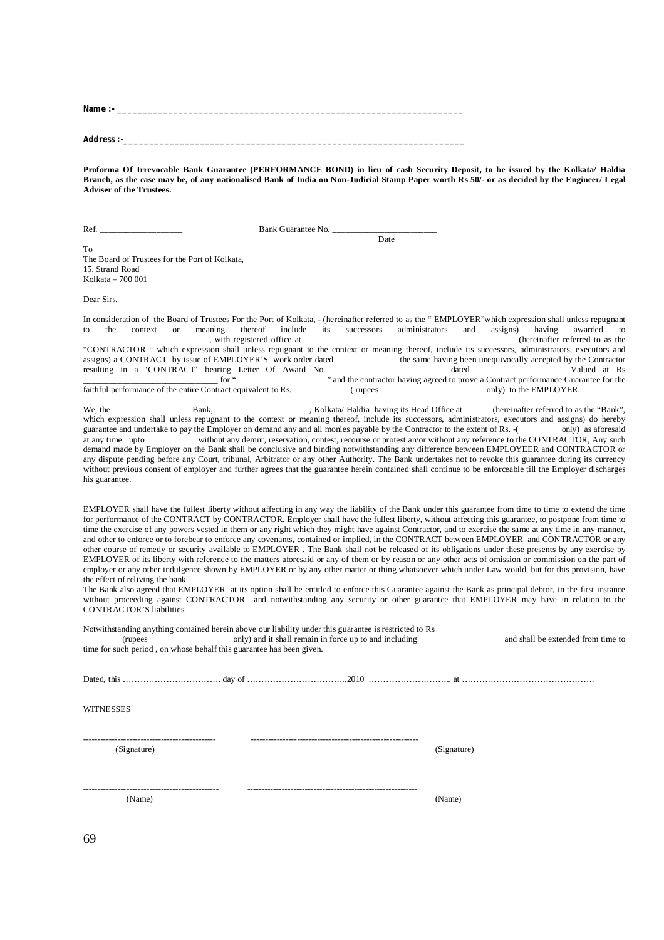**Name :- \_\_\_\_\_\_\_\_\_\_\_\_\_\_\_\_\_\_\_\_\_\_\_\_\_\_\_\_\_\_\_\_\_\_\_\_\_\_\_\_\_\_\_\_\_\_\_\_\_\_\_\_\_\_\_\_\_\_\_\_\_\_\_\_\_\_\_\_** Address :-\_\_\_\_

**Proforma Of Irrevocable Bank Guarantee (PERFORMANCE BOND) in lieu of cash Security Deposit, to be issued by the Kolkata/ Haldia Branch, as the case may be, of any nationalised Bank of India on Non-Judicial Stamp Paper worth Rs 50/- or as decided by the Engineer/ Legal Adviser of the Trustees.** 

| Ref.                                                                                                                                                                                      |                                                           | Bank Guarantee No.                                     |                                             |             |                                                                                                                                                                                                                                                                                                                                                                                                                                                                                                                                                                                                                                                                                                                                                                                                                                                                                                                                                                                                                                                                                                                                                                                                                                                                                                                                                                                                    |
|-------------------------------------------------------------------------------------------------------------------------------------------------------------------------------------------|-----------------------------------------------------------|--------------------------------------------------------|---------------------------------------------|-------------|----------------------------------------------------------------------------------------------------------------------------------------------------------------------------------------------------------------------------------------------------------------------------------------------------------------------------------------------------------------------------------------------------------------------------------------------------------------------------------------------------------------------------------------------------------------------------------------------------------------------------------------------------------------------------------------------------------------------------------------------------------------------------------------------------------------------------------------------------------------------------------------------------------------------------------------------------------------------------------------------------------------------------------------------------------------------------------------------------------------------------------------------------------------------------------------------------------------------------------------------------------------------------------------------------------------------------------------------------------------------------------------------------|
| To<br>The Board of Trustees for the Port of Kolkata,<br>15, Strand Road<br>Kolkata - 700 001                                                                                              |                                                           |                                                        | Date                                        |             |                                                                                                                                                                                                                                                                                                                                                                                                                                                                                                                                                                                                                                                                                                                                                                                                                                                                                                                                                                                                                                                                                                                                                                                                                                                                                                                                                                                                    |
| Dear Sirs,                                                                                                                                                                                |                                                           |                                                        |                                             |             |                                                                                                                                                                                                                                                                                                                                                                                                                                                                                                                                                                                                                                                                                                                                                                                                                                                                                                                                                                                                                                                                                                                                                                                                                                                                                                                                                                                                    |
| to<br>the<br>context<br><b>or</b><br>faithful performance of the entire Contract equivalent to Rs.                                                                                        | thereof<br>meaning<br>_, with registered office at ______ | include<br>its<br>successors<br>(rupees)               | administrators                              | and         | In consideration of the Board of Trustees For the Port of Kolkata, - (hereinafter referred to as the "EMPLOYER" which expression shall unless repugnant<br>having<br>assigns)<br>awarded<br>to<br>(hereinafter referred to as the<br>"CONTRACTOR " which expression shall unless repugnant to the context or meaning thereof, include its successors, administrators, executors and<br>assigns) a CONTRACT by issue of EMPLOYER'S work order dated ___________ the same having been unequivocally accepted by the Contractor<br>resulting in a 'CONTRACT' bearing Letter Of Award No and the contractor having agreed to prove a Contract performance Guarantee for the<br>only) to the EMPLOYER.                                                                                                                                                                                                                                                                                                                                                                                                                                                                                                                                                                                                                                                                                                  |
| We, the<br>guarantee and undertake to pay the Employer on demand any and all monies payable by the Contractor to the extent of Rs. -(<br>at any time upto<br>his guarantee.               | Bank,                                                     |                                                        | , Kolkata/ Haldia having its Head Office at |             | (hereinafter referred to as the "Bank",<br>which expression shall unless repugnant to the context or meaning thereof, include its successors, administrators, executors and assigns) do hereby<br>only) as aforesaid<br>without any demur, reservation, contest, recourse or protest an/or without any reference to the CONTRACTOR, Any such<br>demand made by Employer on the Bank shall be conclusive and binding notwithstanding any difference between EMPLOYEER and CONTRACTOR or<br>any dispute pending before any Court, tribunal, Arbitrator or any other Authority. The Bank undertakes not to revoke this guarantee during its currency<br>without previous consent of employer and further agrees that the guarantee herein contained shall continue to be enforceable till the Employer discharges                                                                                                                                                                                                                                                                                                                                                                                                                                                                                                                                                                                     |
| the effect of reliving the bank.<br>CONTRACTOR'S liabilities.                                                                                                                             |                                                           |                                                        |                                             |             | EMPLOYER shall have the fullest liberty without affecting in any way the liability of the Bank under this guarantee from time to time to extend the time<br>for performance of the CONTRACT by CONTRACTOR. Employer shall have the fullest liberty, without affecting this guarantee, to postpone from time to<br>time the exercise of any powers vested in them or any right which they might have against Contractor, and to exercise the same at any time in any manner,<br>and other to enforce or to forebear to enforce any covenants, contained or implied, in the CONTRACT between EMPLOYER and CONTRACTOR or any<br>other course of remedy or security available to EMPLOYER. The Bank shall not be released of its obligations under these presents by any exercise by<br>EMPLOYER of its liberty with reference to the matters aforesaid or any of them or by reason or any other acts of omission or commission on the part of<br>employer or any other indulgence shown by EMPLOYER or by any other matter or thing whatsoever which under Law would, but for this provision, have<br>The Bank also agreed that EMPLOYER at its option shall be entitled to enforce this Guarantee against the Bank as principal debtor, in the first instance<br>without proceeding against CONTRACTOR and notwithstanding any security or other guarantee that EMPLOYER may have in relation to the |
| Notwithstanding anything contained herein above our liability under this guarantee is restricted to Rs<br>(rupees<br>time for such period, on whose behalf this guarantee has been given. |                                                           | only) and it shall remain in force up to and including |                                             |             | and shall be extended from time to                                                                                                                                                                                                                                                                                                                                                                                                                                                                                                                                                                                                                                                                                                                                                                                                                                                                                                                                                                                                                                                                                                                                                                                                                                                                                                                                                                 |
|                                                                                                                                                                                           |                                                           |                                                        |                                             |             |                                                                                                                                                                                                                                                                                                                                                                                                                                                                                                                                                                                                                                                                                                                                                                                                                                                                                                                                                                                                                                                                                                                                                                                                                                                                                                                                                                                                    |
| <b>WITNESSES</b>                                                                                                                                                                          |                                                           |                                                        |                                             |             |                                                                                                                                                                                                                                                                                                                                                                                                                                                                                                                                                                                                                                                                                                                                                                                                                                                                                                                                                                                                                                                                                                                                                                                                                                                                                                                                                                                                    |
| (Signature)                                                                                                                                                                               |                                                           |                                                        |                                             | (Signature) |                                                                                                                                                                                                                                                                                                                                                                                                                                                                                                                                                                                                                                                                                                                                                                                                                                                                                                                                                                                                                                                                                                                                                                                                                                                                                                                                                                                                    |
| (Name)                                                                                                                                                                                    |                                                           |                                                        |                                             | (Name)      |                                                                                                                                                                                                                                                                                                                                                                                                                                                                                                                                                                                                                                                                                                                                                                                                                                                                                                                                                                                                                                                                                                                                                                                                                                                                                                                                                                                                    |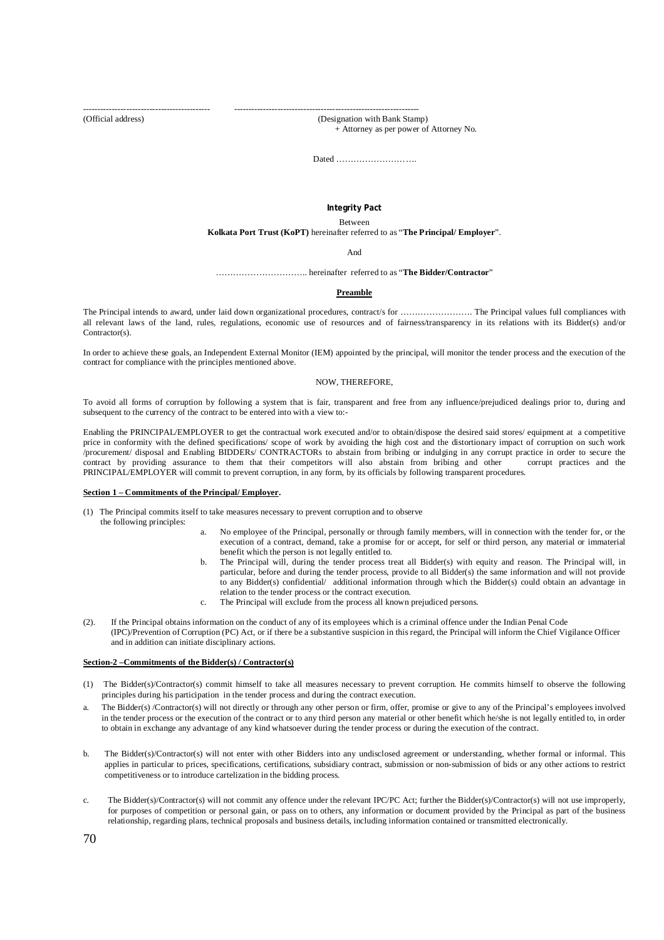(Official address) (Designation with Bank Stamp)

-------------------------------------------- ----------------------------------------------------------------

+ Attorney as per power of Attorney No.

Dated ……………………….

### **Integrity Pact**

Between

#### **Kolkata Port Trust (KoPT)** hereinafter referred to as "**The Principal/ Employer**".

And

………………………….. hereinafter referred to as "**The Bidder/Contractor**"

#### **Preamble**

The Principal intends to award, under laid down organizational procedures, contract/s for ……………………. The Principal values full compliances with all relevant laws of the land, rules, regulations, economic use of resources and of fairness/transparency in its relations with its Bidder(s) and/or Contractor(s).

In order to achieve these goals, an Independent External Monitor (IEM) appointed by the principal, will monitor the tender process and the execution of the contract for compliance with the principles mentioned above.

#### NOW, THEREFORE,

To avoid all forms of corruption by following a system that is fair, transparent and free from any influence/prejudiced dealings prior to, during and subsequent to the currency of the contract to be entered into with a view to:-

Enabling the PRINCIPAL/EMPLOYER to get the contractual work executed and/or to obtain/dispose the desired said stores/ equipment at a competitive price in conformity with the defined specifications/ scope of work by avoiding the high cost and the distortionary impact of corruption on such work /procurement/ disposal and Enabling BIDDERs/ CONTRACTORs to abstain from bribing or indulging in any corrupt practice in order to secure the contract by providing assurance to them that their competitors will also abstain from bribing and other corrupt practices and the PRINCIPAL/EMPLOYER will commit to prevent corruption, in any form, by its officials by following transparent procedures.

#### **Section 1 – Commitments of the Principal/ Employer.**

- (1) The Principal commits itself to take measures necessary to prevent corruption and to observe the following principles:
	- a. No employee of the Principal, personally or through family members, will in connection with the tender for, or the execution of a contract, demand, take a promise for or accept, for self or third person, any material or immaterial benefit which the person is not legally entitled to.
	- b. The Principal will, during the tender process treat all Bidder(s) with equity and reason. The Principal will, in particular, before and during the tender process, provide to all Bidder(s) the same information and will not provide to any Bidder(s) confidential/ additional information through which the Bidder(s) could obtain an advantage in relation to the tender process or the contract execution.
	- c. The Principal will exclude from the process all known prejudiced persons.
- (2). If the Principal obtains information on the conduct of any of its employees which is a criminal offence under the Indian Penal Code (IPC)/Prevention of Corruption (PC) Act, or if there be a substantive suspicion in this regard, the Principal will inform the Chief Vigilance Officer and in addition can initiate disciplinary actions.

#### **Section-2 –Commitments of the Bidder(s) / Contractor(s)**

- (1) The Bidder(s)/Contractor(s) commit himself to take all measures necessary to prevent corruption. He commits himself to observe the following principles during his participation in the tender process and during the contract execution.
- The Bidder(s) /Contractor(s) will not directly or through any other person or firm, offer, promise or give to any of the Principal's employees involved in the tender process or the execution of the contract or to any third person any material or other benefit which he/she is not legally entitled to, in order to obtain in exchange any advantage of any kind whatsoever during the tender process or during the execution of the contract.
- b. The Bidder(s)/Contractor(s) will not enter with other Bidders into any undisclosed agreement or understanding, whether formal or informal. This applies in particular to prices, specifications, certifications, subsidiary contract, submission or non-submission of bids or any other actions to restrict competitiveness or to introduce cartelization in the bidding process.
- c. The Bidder(s)/Contractor(s) will not commit any offence under the relevant IPC/PC Act; further the Bidder(s)/Contractor(s) will not use improperly, for purposes of competition or personal gain, or pass on to others, any information or document provided by the Principal as part of the business relationship, regarding plans, technical proposals and business details, including information contained or transmitted electronically.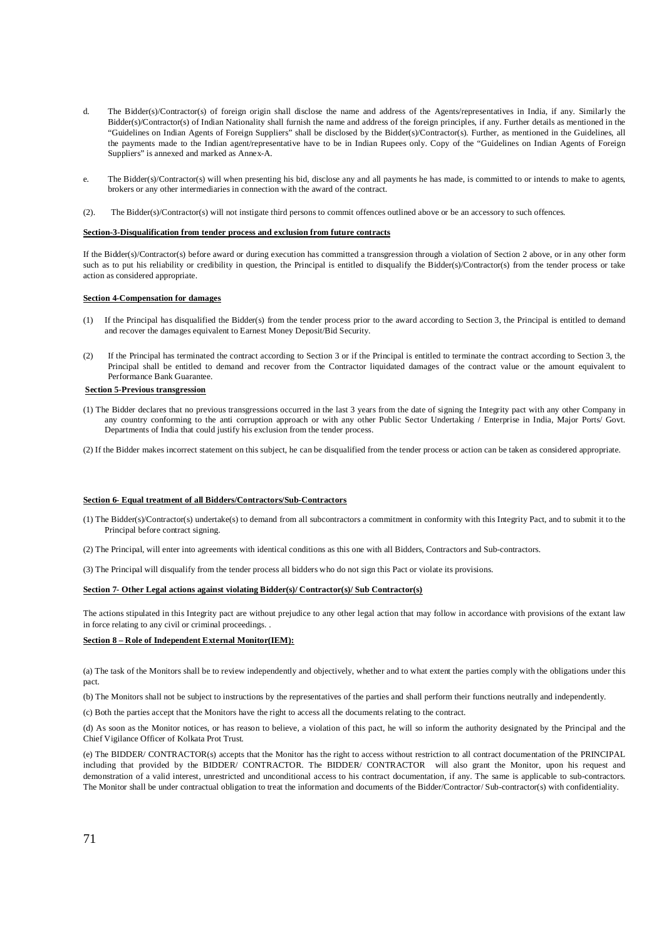- d. The Bidder(s)/Contractor(s) of foreign origin shall disclose the name and address of the Agents/representatives in India, if any. Similarly the Bidder(s)/Contractor(s) of Indian Nationality shall furnish the name and address of the foreign principles, if any. Further details as mentioned in the "Guidelines on Indian Agents of Foreign Suppliers" shall be disclosed by the Bidder(s)/Contractor(s). Further, as mentioned in the Guidelines, all the payments made to the Indian agent/representative have to be in Indian Rupees only. Copy of the "Guidelines on Indian Agents of Foreign Suppliers" is annexed and marked as Annex-A.
- e. The Bidder(s)/Contractor(s) will when presenting his bid, disclose any and all payments he has made, is committed to or intends to make to agents, brokers or any other intermediaries in connection with the award of the contract.
- (2). The Bidder(s)/Contractor(s) will not instigate third persons to commit offences outlined above or be an accessory to such offences.

#### **Section-3-Disqualification from tender process and exclusion from future contracts**

If the Bidder(s)/Contractor(s) before award or during execution has committed a transgression through a violation of Section 2 above, or in any other form such as to put his reliability or credibility in question, the Principal is entitled to disqualify the Bidder(s)/Contractor(s) from the tender process or take action as considered appropriate.

#### **Section 4-Compensation for damages**

- (1) If the Principal has disqualified the Bidder(s) from the tender process prior to the award according to Section 3, the Principal is entitled to demand and recover the damages equivalent to Earnest Money Deposit/Bid Security.
- (2) If the Principal has terminated the contract according to Section 3 or if the Principal is entitled to terminate the contract according to Section 3, the Principal shall be entitled to demand and recover from the Contractor liquidated damages of the contract value or the amount equivalent to Performance Bank Guarantee.

### **Section 5-Previous transgression**

(1) The Bidder declares that no previous transgressions occurred in the last 3 years from the date of signing the Integrity pact with any other Company in any country conforming to the anti corruption approach or with any other Public Sector Undertaking / Enterprise in India, Major Ports/ Govt. Departments of India that could justify his exclusion from the tender process.

(2) If the Bidder makes incorrect statement on this subject, he can be disqualified from the tender process or action can be taken as considered appropriate.

#### **Section 6- Equal treatment of all Bidders/Contractors/Sub-Contractors**

- (1) The Bidder(s)/Contractor(s) undertake(s) to demand from all subcontractors a commitment in conformity with this Integrity Pact, and to submit it to the Principal before contract signing.
- (2) The Principal, will enter into agreements with identical conditions as this one with all Bidders, Contractors and Sub-contractors.

(3) The Principal will disqualify from the tender process all bidders who do not sign this Pact or violate its provisions.

#### **Section 7- Other Legal actions against violating Bidder(s)/ Contractor(s)/ Sub Contractor(s)**

The actions stipulated in this Integrity pact are without prejudice to any other legal action that may follow in accordance with provisions of the extant law in force relating to any civil or criminal proceedings. .

#### **Section 8 – Role of Independent External Monitor(IEM):**

(a) The task of the Monitors shall be to review independently and objectively, whether and to what extent the parties comply with the obligations under this pact.

(b) The Monitors shall not be subject to instructions by the representatives of the parties and shall perform their functions neutrally and independently.

(c) Both the parties accept that the Monitors have the right to access all the documents relating to the contract.

(d) As soon as the Monitor notices, or has reason to believe, a violation of this pact, he will so inform the authority designated by the Principal and the Chief Vigilance Officer of Kolkata Prot Trust.

(e) The BIDDER/ CONTRACTOR(s) accepts that the Monitor has the right to access without restriction to all contract documentation of the PRINCIPAL including that provided by the BIDDER/ CONTRACTOR. The BIDDER/ CONTRACTOR will also grant the Monitor, upon his request and demonstration of a valid interest, unrestricted and unconditional access to his contract documentation, if any. The same is applicable to sub-contractors. The Monitor shall be under contractual obligation to treat the information and documents of the Bidder/Contractor/ Sub-contractor(s) with confidentiality.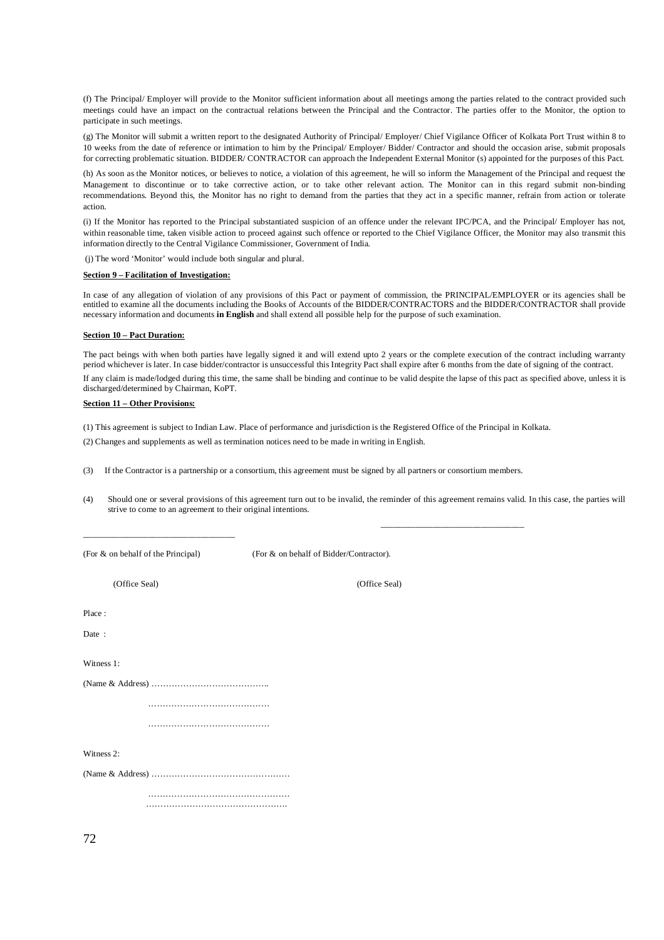(f) The Principal/ Employer will provide to the Monitor sufficient information about all meetings among the parties related to the contract provided such meetings could have an impact on the contractual relations between the Principal and the Contractor. The parties offer to the Monitor, the option to participate in such meetings.

(g) The Monitor will submit a written report to the designated Authority of Principal/ Employer/ Chief Vigilance Officer of Kolkata Port Trust within 8 to 10 weeks from the date of reference or intimation to him by the Principal/ Employer/ Bidder/ Contractor and should the occasion arise, submit proposals for correcting problematic situation. BIDDER/ CONTRACTOR can approach the Independent External Monitor (s) appointed for the purposes of this Pact.

(h) As soon as the Monitor notices, or believes to notice, a violation of this agreement, he will so inform the Management of the Principal and request the Management to discontinue or to take corrective action, or to take other relevant action. The Monitor can in this regard submit non-binding recommendations. Beyond this, the Monitor has no right to demand from the parties that they act in a specific manner, refrain from action or tolerate action.

(i) If the Monitor has reported to the Principal substantiated suspicion of an offence under the relevant IPC/PCA, and the Principal/ Employer has not, within reasonable time, taken visible action to proceed against such offence or reported to the Chief Vigilance Officer, the Monitor may also transmit this information directly to the Central Vigilance Commissioner, Government of India.

(j) The word 'Monitor' would include both singular and plural.

#### **Section 9 – Facilitation of Investigation:**

In case of any allegation of violation of any provisions of this Pact or payment of commission, the PRINCIPAL/EMPLOYER or its agencies shall be entitled to examine all the documents including the Books of Accounts of the BIDDER/CONTRACTORS and the BIDDER/CONTRACTOR shall provide necessary information and documents **in English** and shall extend all possible help for the purpose of such examination.

#### **Section 10 – Pact Duration:**

The pact beings with when both parties have legally signed it and will extend upto 2 years or the complete execution of the contract including warranty period whichever is later. In case bidder/contractor is unsuccessful this Integrity Pact shall expire after 6 months from the date of signing of the contract.

If any claim is made/lodged during this time, the same shall be binding and continue to be valid despite the lapse of this pact as specified above, unless it is discharged/determined by Chairman, KoPT.

#### **Section 11 – Other Provisions:**

(1) This agreement is subject to Indian Law. Place of performance and jurisdiction is the Registered Office of the Principal in Kolkata.

(2) Changes and supplements as well as termination notices need to be made in writing in English.

(3) If the Contractor is a partnership or a consortium, this agreement must be signed by all partners or consortium members.

\_\_\_\_\_\_\_\_\_\_\_\_\_\_\_\_\_\_\_\_\_\_\_\_\_\_\_\_\_\_\_\_\_

(4) Should one or several provisions of this agreement turn out to be invalid, the reminder of this agreement remains valid. In this case, the parties will strive to come to an agreement to their original intentions.

\_\_\_\_\_\_\_\_\_\_\_\_\_\_\_\_\_\_\_\_\_\_\_\_\_\_\_\_\_\_\_\_\_\_\_

(For & on behalf of the Principal) (For & on behalf of Bidder/Contractor).

(Office Seal) (Office Seal)

Place :

Date :

Witness 1:

…………………………………………

……………………………………

Witness 2.

(Name & Address) …………………………………………

 …………………………………………. ………………………………………….